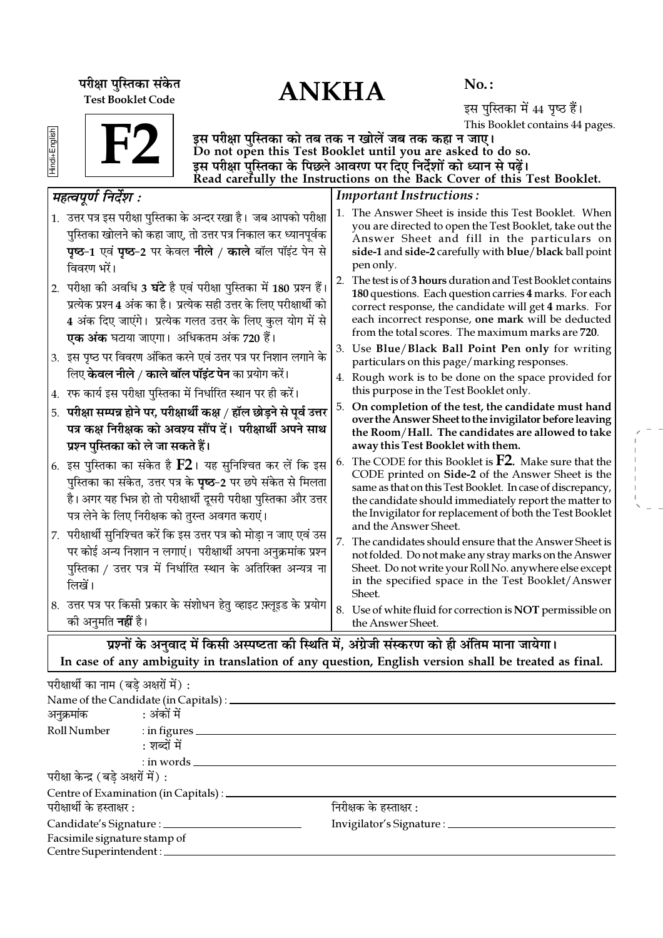ANKHA **¬⁄ˡÊÊ ¬ÈÁSÃ∑§Ê '¥∑§Ã** Test Booklet Code

No. :

इस पुस्तिका में 44 पृष्ठ हैं। This Booklet contains 44 pages.

| ▀ |  |  |
|---|--|--|
| õ |  |  |
| Ŧ |  |  |
| ┍ |  |  |
|   |  |  |

F2

इस परीक्षा पुस्तिका को तब तक न खोलें जब तक कहा न जाए। Do not open this Test Booklet until you are asked to do so. इस परीक्षा पुस्तिका के पिछले आवरण पर दिए निर्देशों को ध्यान से पढ़ें। Read carefully the Instructions on the Back Cover of this Test Booklet.

| महत्वपूर्ण निर्देश :                                                                                                                                                                                                                                           | <b>Important Instructions:</b>                                                                                                                                                                                                                                                                                                |  |  |  |  |  |  |
|----------------------------------------------------------------------------------------------------------------------------------------------------------------------------------------------------------------------------------------------------------------|-------------------------------------------------------------------------------------------------------------------------------------------------------------------------------------------------------------------------------------------------------------------------------------------------------------------------------|--|--|--|--|--|--|
| 1. उत्तर पत्र इस परीक्षा पुस्तिका के अन्दर रखा है। जब आपको परीक्षा<br>पुस्तिका खोलने को कहा जाए, तो उत्तर पत्र निकाल कर ध्यानपूर्वक<br><b>पृष्ठ-1</b> एवं <b>पृष्ठ-2</b> पर केवल <b>नीले / काले</b> बॉल पॉइंट पेन से<br>विवरण भरें।                            | 1. The Answer Sheet is inside this Test Booklet. When<br>you are directed to open the Test Booklet, take out the<br>Answer Sheet and fill in the particulars on<br>side-1 and side-2 carefully with blue/black ball point<br>pen only.                                                                                        |  |  |  |  |  |  |
| 2. परीक्षा की अवधि 3 <b>घंटे</b> है एवं परीक्षा पुस्तिका में 180 प्रश्न हैं।<br>प्रत्येक प्रश्न 4 अंक का है। प्रत्येक सही उत्तर के लिए परीक्षार्थी को<br>4 अंक दिए जाएंगे। प्रत्येक गलत उत्तर के लिए कुल योग में से<br>एक अंक घटाया जाएगा। अधिकतम अंक 720 हैं। | 2. The test is of 3 hours duration and Test Booklet contains<br>180 questions. Each question carries 4 marks. For each<br>correct response, the candidate will get 4 marks. For<br>each incorrect response, one mark will be deducted<br>from the total scores. The maximum marks are 720.                                    |  |  |  |  |  |  |
| 3. इस पृष्ठ पर विवरण अंकित करने एवं उत्तर पत्र पर निशान लगाने के                                                                                                                                                                                               | 3. Use Blue/Black Ball Point Pen only for writing<br>particulars on this page/marking responses.                                                                                                                                                                                                                              |  |  |  |  |  |  |
| लिए <b>केवल नीले / काले बॉल पॉइंट पेन</b> का प्रयोग करें।<br>4. रफ कार्य इस परीक्षा पुस्तिका में निर्धारित स्थान पर ही करें।                                                                                                                                   | 4. Rough work is to be done on the space provided for<br>this purpose in the Test Booklet only.                                                                                                                                                                                                                               |  |  |  |  |  |  |
| परीक्षा सम्पन्न होने पर, परीक्षार्थी कक्ष / हॉल छोड़ने से पूर्व उत्तर<br>5.<br>पत्र कक्ष निरीक्षक को अवश्य सौंप दें। परीक्षार्थी अपने साथ<br>प्रश्न पुस्तिका को ले जा सकते हैं।                                                                                | On completion of the test, the candidate must hand<br>5.<br>over the Answer Sheet to the invigilator before leaving<br>the Room/Hall. The candidates are allowed to take<br>away this Test Booklet with them.                                                                                                                 |  |  |  |  |  |  |
| 6. इस पुस्तिका का संकेत है $F2$ । यह सुनिश्चित कर लें कि इस<br>पुस्तिका का संकेत, उत्तर पत्र के <b>पृष्ठ</b> -2 पर छपे संकेत से मिलता<br>है। अगर यह भिन्न हो तो परीक्षार्थी दूसरी परीक्षा पुस्तिका और उत्तर<br>पत्र लेने के लिए निरीक्षक को तुरन्त अवगत कराएं। | The CODE for this Booklet is $F2$ . Make sure that the<br>6.<br>CODE printed on Side-2 of the Answer Sheet is the<br>same as that on this Test Booklet. In case of discrepancy,<br>the candidate should immediately report the matter to<br>the Invigilator for replacement of both the Test Booklet<br>and the Answer Sheet. |  |  |  |  |  |  |
| 7. परीक्षार्थी सुनिश्चित करें कि इस उत्तर पत्र को मोड़ा न जाए एवं उस<br>पर कोई अन्य निशान न लगाएं। परीक्षार्थी अपना अनुक्रमांक प्रश्न<br>पुस्तिका / उत्तर पत्र में निर्धारित स्थान के अतिरिक्त अन्यत्र ना<br>लिखें।                                            | 7.<br>The candidates should ensure that the Answer Sheet is<br>not folded. Do not make any stray marks on the Answer<br>Sheet. Do not write your Roll No. anywhere else except<br>in the specified space in the Test Booklet/Answer<br>Sheet.                                                                                 |  |  |  |  |  |  |
| 8. उत्तर पत्र पर किसी प्रकार के संशोधन हेतु व्हाइट फ़्लूइड के प्रयोग<br>को अनुमति <b>नहीं</b> है।                                                                                                                                                              | 8. Use of white fluid for correction is NOT permissible on<br>the Answer Sheet.                                                                                                                                                                                                                                               |  |  |  |  |  |  |
| प्रश्नों के अनुवाद में किसी अस्पष्टता की स्थिति में, अंग्रेजी संस्करण को ही अंतिम माना जायेगा।                                                                                                                                                                 |                                                                                                                                                                                                                                                                                                                               |  |  |  |  |  |  |

In case of any ambiguity in translation of any question, English version shall be treated as final.

| परीक्षार्थी का नाम (बडे अक्षरों में): |                                                  |                                     |  |
|---------------------------------------|--------------------------------------------------|-------------------------------------|--|
|                                       |                                                  |                                     |  |
| अनुक्रमांक : अंकों में                |                                                  |                                     |  |
|                                       | Roll Number : in figures                         |                                     |  |
|                                       | : शब्दों में                                     |                                     |  |
|                                       | $:$ in words $\_\_$                              |                                     |  |
| परीक्षा केन्द्र (बडे अक्षरों में) :   |                                                  |                                     |  |
|                                       | Centre of Examination (in Capitals) : __________ |                                     |  |
| परीक्षार्थी के हस्ताक्षर :            |                                                  | निरीक्षक के हस्ताक्षर :             |  |
|                                       | Candidate's Signature : ______________           | Invigilator's Signature : _________ |  |
| Facsimile signature stamp of          |                                                  |                                     |  |
|                                       | Centre Superintendent :                          |                                     |  |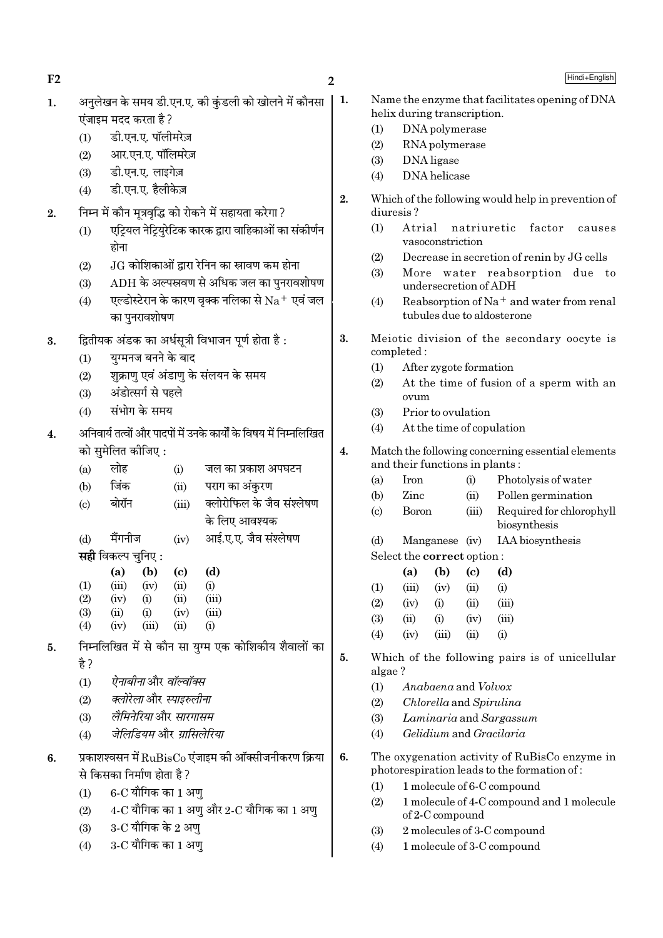$F2$  2

- 1. अनलेखन के समय डी.एन.ए. की कंडली को खोलने में कौनसा  $\vec{v}$ जाइम मदद करता है ?
	- (1) डी.एन.ए. पॉलीमरेज़
	- $(2)$  आर.एन.ए. पॉलिमरेज़
	- (3) डी.एन.ए. लाइगेज़
	- (4) डी.एन.ए. हैलीकेज़
- $2.$  निम्न में कौन मूत्रवृद्धि को रोकने में सहायता करेगा ?
	- $(1)$   $\,$  एट्रियल नेट्रियुरेटिक कारक द्वारा वाहिकाओं का संकीर्णन होना
	- $(2)$   $\;$   $\;$   $\rm JG$  कोशिकाओं द्वारा रेनिन का स्रावण कम होना
	- (3) ADH के अल्पस्रवण से अधिक जल का पुनरावशोषण
	- (4)  $\overline{v}$  एल्डोस्टेरान के कारण वृक्क नलिका से  $\overline{Na}^+$  एवं जल का पनरावशोषण
- $3.$  द्वितीयक अंडक का अर्धसूत्री विभाजन पूर्ण होता है :
	- $(1)$  युग्मनज बनने के बाद
	- $(2)$  शुक्राण एवं अंडाण के संलयन के समय
	- (3) अंडोत्सर्ग से पहले
	- $(4)$  संभोग के समय
- $4.$  अनिवार्य तत्वों और पादपों में उनके कार्यों के विषय में निम्नलिखित को समेलित कीजिए $:$

| (a) | लोह                       |       | (i)   | जल का प्रकाश अपघटन        |
|-----|---------------------------|-------|-------|---------------------------|
| (b) | जिंक                      |       | (ii)  | पराग का अंकुरण            |
| (c) | बोरॉन                     |       | (iii) | क्लोरोफिल के जैव संश्लेषण |
|     |                           |       |       | के लिए आवश्यक             |
| (d) | मैंगनीज                   |       | (iv)  | आई.ए.ए. जैव संश्लेषण      |
|     | <b>सही</b> विकल्प चुनिए : |       |       |                           |
|     | (a)                       | (b)   | (c)   | (d)                       |
| (1) | (iii)                     | (iv)  | (ii)  | (i)                       |
| (2) | (iv)                      | (i)   | (ii)  | (iii)                     |
| (3) | (ii)                      | (i)   | (iv)  | (iii)                     |
| (4) | (iv)                      | (iii) | (ii)  | (i)                       |

- 5. निम्नलिखित में से कौन सा युग्म एक कोशिकीय शैवालों का है ?
	- (1) *ऐनाबीना* और *वॉल्वॉक्स*
	- (2) *क्लोरेला* और स्पाइरुलीना
	- (3) *लैमिनेरिया* और *सारगासम*
	- (4) जेलिडियम और *ग्रासिलेरिया*
- $6.$   $\bar{2}$  प्रकाशश्वसन में  $\rm RuBisCo$  एंजाइम की ऑक्सीजनीकरण क्रिया से किसका निर्माण होता है ?
	- $(1)$  6-C यौगिक का 1 अण
	- (2)  $4-C$  यौगिक का  $1 \frac{3}{2}$ े और  $2-C$  यौगिक का  $1 \frac{3}{2}$
	- (3) 3-C यौगिक के 2 अण्
	- $(4)$  3-C यौगिक का 1 अणु
- 1. Name the enzyme that facilitates opening of DNA helix during transcription.
	- (1) DNA polymerase
	- (2) RNA polymerase
	- (3) DNA ligase
	- (4) DNA helicase
	- 2. Which of the following would help in prevention of diuresis ?
		- (1) Atrial natriuretic factor causes vasoconstriction
		- (2) Decrease in secretion of renin by JG cells
		- (3) More water reabsorption due to undersecretion of ADH
		- (4) Reabsorption of Na<sup>+</sup> and water from renal tubules due to aldosterone
	- 3. Meiotic division of the secondary oocyte is completed :
		- (1) After zygote formation
		- (2) At the time of fusion of a sperm with an ovum
		- (3) Prior to ovulation
		- (4) At the time of copulation
	- 4. Match the following concerning essential elements and their functions in plants :
		- (a) Iron (i) Photolysis of water
		- (b) Zinc (ii) Pollen germination
		- (c) Boron (iii) Required for chlorophyll biosynthesis
		- (d) Manganese (iv) IAA biosynthesis Select the correct option :

|                   | (a)   | (b)      | (c)            | (d)      |
|-------------------|-------|----------|----------------|----------|
| $\left(1\right)$  | (iii) | (iv)     | (ii)           | (i)      |
| (2)               | (iv)  | $\rm(i)$ | (ii)           | (iii)    |
| (3)               | (ii)  | (i)      | (iv)           | (iii)    |
| $\left( 4\right)$ | (iv)  | (iii)    | $\overline{u}$ | $\rm(i)$ |

- 5. Which of the following pairs is of unicellular algae ?
	- (1) Anabaena and Volvox
	- (2) Chlorella and Spirulina
	- (3) Laminaria and Sargassum
	- (4) Gelidium and Gracilaria
- 6. The oxygenation activity of RuBisCo enzyme in photorespiration leads to the formation of :
	- (1) 1 molecule of 6-C compound
	- (2) 1 molecule of 4-C compound and 1 molecule of 2-C compound
	- (3) 2 molecules of 3-C compound
	- (4) 1 molecule of 3-C compound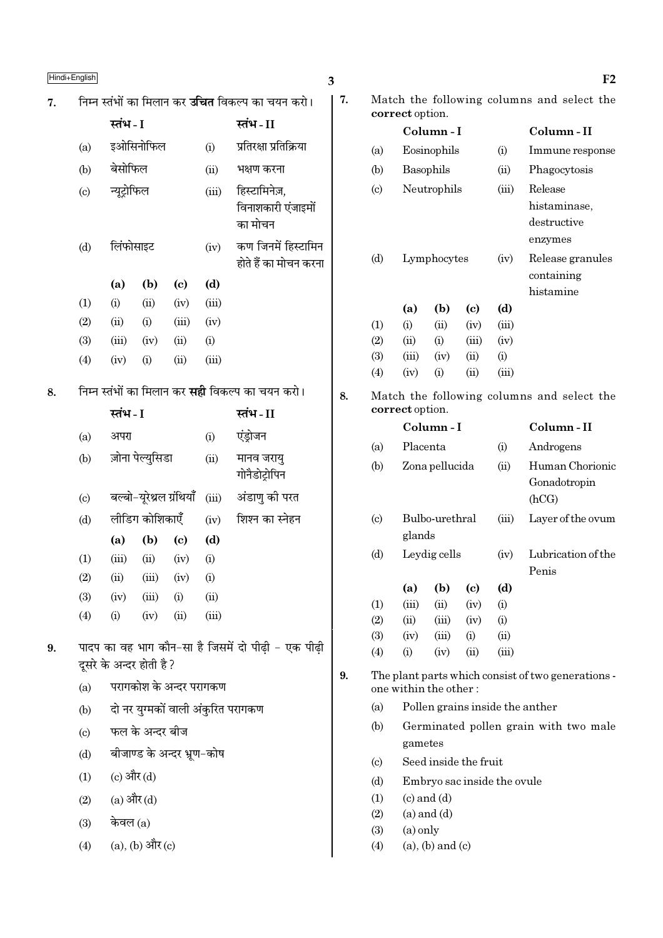|    | Hindi+English                                                        |                          |                        |                                                       |       |                                                               | 3                    |                        |                                                      |                         |                                        |           | F <sub>2</sub>                                     |
|----|----------------------------------------------------------------------|--------------------------|------------------------|-------------------------------------------------------|-------|---------------------------------------------------------------|----------------------|------------------------|------------------------------------------------------|-------------------------|----------------------------------------|-----------|----------------------------------------------------|
| 7. |                                                                      |                          |                        |                                                       |       | निम्न स्तंभों का मिलान कर <b>उचित</b> विकल्प का चयन करो।      | 7.                   |                        | correct option.                                      |                         |                                        |           | Match the following columns and select the         |
|    |                                                                      | स्तंभ - I<br>स्तंभ-II    |                        |                                                       |       |                                                               |                      | Column-I               |                                                      |                         | Column-II                              |           |                                                    |
|    | (a)                                                                  |                          | इओसिनोफिल              |                                                       | (i)   | प्रतिरक्षा प्रतिक्रिया                                        | (a)                  |                        |                                                      | Eosinophils             |                                        | (i)       | Immune response                                    |
|    | (b)                                                                  | बेसोफिल                  |                        |                                                       | (ii)  | भक्षण करना                                                    |                      | (b)                    |                                                      | Basophils               |                                        | (ii)      | Phagocytosis                                       |
|    | $\left( \mathrm{c}\right)$                                           | न्यूट्रोफिल<br>(iii)     |                        | (c)<br>हिस्टामिनेज़,<br>विनाशकारी एंजाइमों<br>का मोचन |       |                                                               | Neutrophils<br>(iii) |                        |                                                      |                         | Release<br>histaminase,<br>destructive |           |                                                    |
|    | (d)                                                                  | लिंफोसाइट                |                        |                                                       | (iv)  | कण जिनमें हिस्टामिन<br>होते हैं का मोचन करना                  |                      | (d)                    |                                                      | Lymphocytes             |                                        | (iv)      | enzymes<br>Release granules<br>containing          |
|    |                                                                      | (a)                      | (b)                    | $\left( \mathrm{c} \right)$                           | (d)   |                                                               |                      |                        |                                                      |                         |                                        |           | histamine                                          |
|    | (1)                                                                  | (i)                      | (ii)                   | (iv)                                                  | (iii) |                                                               |                      |                        | (a)                                                  | (b)                     | $\left( \mathrm{c}\right)$             | (d)       |                                                    |
|    | (2)                                                                  | (ii)                     | (i)                    | (iii)                                                 | (iv)  |                                                               |                      | (1)                    | (i)                                                  | (ii)                    | (iv)                                   | (iii)     |                                                    |
|    | (3)                                                                  | (iii)                    | (iv)                   | (ii)                                                  | (i)   |                                                               |                      | (2)                    | (ii)                                                 | (i)                     | (iii)                                  | (iv)      |                                                    |
|    | (4)                                                                  | (iv)                     | (i)                    | (ii)                                                  | (iii) |                                                               |                      | (3)                    | (iii)                                                | (iv)                    | (ii)                                   | (i)       |                                                    |
|    |                                                                      |                          |                        |                                                       |       |                                                               |                      | (4)                    | (iv)                                                 | (i)                     | (ii)                                   | (iii)     |                                                    |
| 8. | निम्न स्तंभों का मिलान कर <b>सही</b> विकल्प का चयन करो।<br>स्तंभ - I |                          | स्तंभ - II             | 8.                                                    |       | Match the following columns and select the<br>correct option. |                      |                        |                                                      |                         |                                        |           |                                                    |
|    |                                                                      | अपरा                     |                        |                                                       | (i)   | एंड्रोजन                                                      |                      |                        | Column-I<br>Placenta<br>(i)                          |                         |                                        | Column-II |                                                    |
|    | (a)                                                                  |                          |                        |                                                       |       |                                                               |                      | (a)                    |                                                      |                         |                                        | Androgens |                                                    |
|    | (b)                                                                  |                          | ज़ोना पेल्युसिडा       |                                                       | (ii)  | मानव जरायु<br>गोनैडोट्रोपिन                                   |                      | (b)                    |                                                      | Zona pellucida          |                                        | (ii)      | Human Chorionic<br>Gonadotropin                    |
|    | $\left( \mathrm{c}\right)$                                           |                          |                        | बल्बो-यूरेथ्रल ग्रंथियाँ                              | (iii) | अंडाणु की परत                                                 |                      |                        |                                                      |                         |                                        | (hCG)     |                                                    |
|    | (d)                                                                  |                          | लीडिंग कोशिकाएँ        |                                                       | (iv)  | शिश्न का स्नेहन                                               |                      | $\left( \circ \right)$ |                                                      | Bulbo-urethral          |                                        | (iii)     | Layer of the ovum                                  |
|    |                                                                      | (a)                      | (b)                    | $\left( \mathrm{c}\right)$                            | (d)   |                                                               |                      |                        | glands                                               |                         |                                        |           |                                                    |
|    | (1)                                                                  | (iii)                    | (ii)                   | (iv)                                                  | (i)   |                                                               |                      | (d)                    |                                                      | Leydig cells            |                                        | (iv)      | Lubrication of the<br>Penis                        |
|    | (2)                                                                  | $\overline{u}$           | (iii)                  | (iv)                                                  | (i)   |                                                               |                      |                        | (a)                                                  | (b)                     | $\left( \mathrm{c}\right)$             | (d)       |                                                    |
|    | (3)                                                                  | (iv)                     | (iii)                  | (i)                                                   | (ii)  |                                                               |                      | (1)                    | (iii)                                                | (ii)                    | (iv)                                   | (i)       |                                                    |
|    | (4)                                                                  | (i)                      | (iv)                   | (ii)                                                  | (iii) |                                                               |                      | (2)                    | (ii)                                                 | (iii)                   | (iv)                                   | (i)       |                                                    |
| 9. |                                                                      |                          |                        |                                                       |       | पादप का वह भाग कौन-सा है जिसमें दो पीढ़ी - एक पीढ़ी           |                      | (3)                    | (iv)                                                 | (iii)                   | (i)                                    | (ii)      |                                                    |
|    |                                                                      | दूसरे के अन्दर होती है ? |                        |                                                       |       |                                                               |                      | (4)                    | (i)                                                  | (iv)                    | (ii)                                   | (iii)     |                                                    |
|    | (a)                                                                  |                          |                        | परागकोश के अन्दर परागकण                               |       |                                                               | 9.                   |                        |                                                      | one within the other:   |                                        |           | The plant parts which consist of two generations - |
|    | (b)                                                                  |                          |                        |                                                       |       | दो नर युग्मकों वाली अंकुरित परागकण                            |                      | (a)                    |                                                      |                         |                                        |           | Pollen grains inside the anther                    |
|    | (c)                                                                  |                          | फल के अन्दर बीज        |                                                       |       |                                                               |                      | (b)                    |                                                      |                         |                                        |           | Germinated pollen grain with two male              |
|    | (d)                                                                  |                          |                        | बीजाण्ड के अन्दर भ्रूण-कोष                            |       |                                                               |                      |                        | gametes                                              |                         |                                        |           |                                                    |
|    | (1)                                                                  |                          | (c) और $(d)$           |                                                       |       |                                                               |                      | (c)<br>(d)             | Seed inside the fruit<br>Embryo sac inside the ovule |                         |                                        |           |                                                    |
|    | (2)                                                                  |                          | $(a)$ और $(d)$         |                                                       |       |                                                               |                      | (1)                    |                                                      | $(c)$ and $(d)$         |                                        |           |                                                    |
|    | (3)                                                                  | केवल $(a)$               |                        |                                                       |       |                                                               |                      | (2)                    |                                                      | $(a)$ and $(d)$         |                                        |           |                                                    |
|    |                                                                      |                          |                        |                                                       |       |                                                               |                      | (3)                    | $(a)$ only                                           |                         |                                        |           |                                                    |
|    | (4)                                                                  |                          | $(a)$ , $(b)$ और $(c)$ |                                                       |       |                                                               |                      | (4)                    |                                                      | $(a)$ , $(b)$ and $(c)$ |                                        |           |                                                    |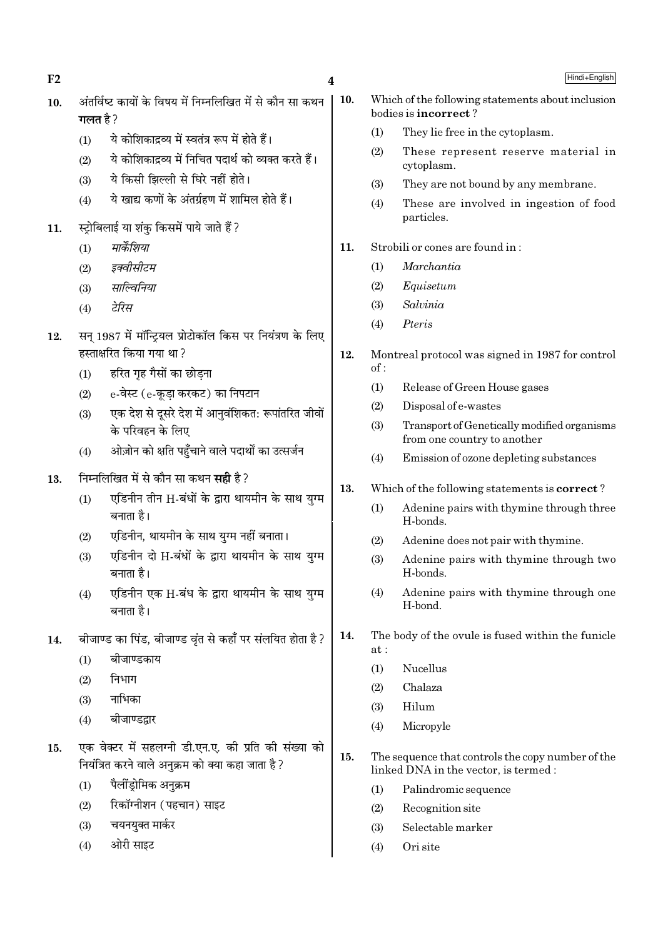$F<sub>2</sub>$ 

- अंतर्विष्ट कार्यों के विषय में निम्नलिखित में से कौन सा कथन  $10.$ गलत है  $2$ 
	- ये कोशिकाद्रव्य में स्वतंत्र रूप में होते हैं।  $(1)$
	- ये कोशिकाद्रव्य में निचित पदार्थ को व्यक्त करते हैं।  $(2)$
	- ये किसी झिल्ली से घिरे नहीं होते।  $(3)$
	- ये खाद्य कणों के अंतर्ग्रहण में शामिल होते हैं।  $(4)$
- स्ट्रोबिलाई या शंकु किसमें पाये जाते हैं?  $11.$ 
	- मार्केशिया  $(1)$
	- $(2)$ इक्वीसीटम
	- साल्विनिया  $(3)$
	- टेरिस  $(4)$
- सन 1987 में मॉन्टियल प्रोटोकॉल किस पर नियंत्रण के लिए 12. हस्ताक्षरित किया गया था?
	- हरित गह गैसों का छोडना  $(1)$
	- e-वेस्ट (e-कडा करकट) का निपटान  $(2)$
	- एक देश से दसरे देश में आनवंशिकत: रूपांतरित जीवों  $(3)$ के परिवहन के लिए
	- ओज़ोन को क्षति पहुँचाने वाले पदार्थों का उत्सर्जन  $(4)$
- निम्नलिखित में से कौन सा कथन **सही** है? 13.
	- एडिनीन तीन H-बंधों के द्वारा थायमीन के साथ युग्म  $(1)$ बनाता है।
	- एडिनीन, थायमीन के साथ यग्म नहीं बनाता।  $(2)$
	- एडिनीन दो H-बंधों के द्वारा थायमीन के साथ यग्म  $(3)$ बनाता है।
	- एडिनीन एक H-बंध के द्वारा थायमीन के साथ युग्म  $(4)$ बनाता है।
- बीजाण्ड का पिंड, बीजाण्ड वृंत से कहाँ पर संलयित होता है ? 14.
	- $(1)$ बीजाण्डकाय
	- निभाग  $(2)$
	- नाभिका  $(3)$
	- बीजाण्डद्वार  $(4)$
- एक वेक्टर में सहलग्नी डी.एन.ए. की प्रति की संख्या को  $15.$ नियंत्रित करने वाले अनुक्रम को क्या कहा जाता है ?
	- पैलींडोमिक अनुक्रम  $(1)$
	- रिकॉग्नीशन (पहचान) साइट  $(2)$
	- चयनयुक्त मार्कर  $(3)$
	- ओरी साइट  $(4)$

 $\overline{\mathbf{4}}$ 

- Hindi+English
- 10. Which of the following statements about inclusion bodies is **incorrect**?
	- $(1)$ They lie free in the cytoplasm.
	- $(2)$ These represent reserve material in cytoplasm.
	- They are not bound by any membrane.  $(3)$
	- These are involved in ingestion of food  $(4)$ particles.
- 11. Strobili or cones are found in:
	- Marchantia  $(1)$
	- $(2)$ Equisetum
	- $(3)$ Salvinia
	- Pteris  $(4)$
- $12.$ Montreal protocol was signed in 1987 for control  $of:$ 
	- $(1)$ Release of Green House gases
	- Disposal of e-wastes  $(2)$
	- $(3)$ Transport of Genetically modified organisms from one country to another
	- Emission of ozone depleting substances  $(4)$
- 13. Which of the following statements is **correct**?
	- $(1)$ Adenine pairs with thymine through three H-bonds.
	- $(2)$ Adenine does not pair with thymine.
	- $(3)$ Adenine pairs with thymine through two H-bonds.
	- Adenine pairs with thymine through one  $(4)$ H-bond.
- 14. The body of the ovule is fused within the funicle  $at.$ 
	- $(1)$ **Nucellus**
	- Chalaza  $(2)$
	- $(3)$ Hilum
	- Micropyle  $(4)$
- $15.$ The sequence that controls the copy number of the linked DNA in the vector, is termed :
	- $(1)$ Palindromic sequence
	- $(2)$ Recognition site
	- $(3)$ Selectable marker
	- Ori site  $(4)$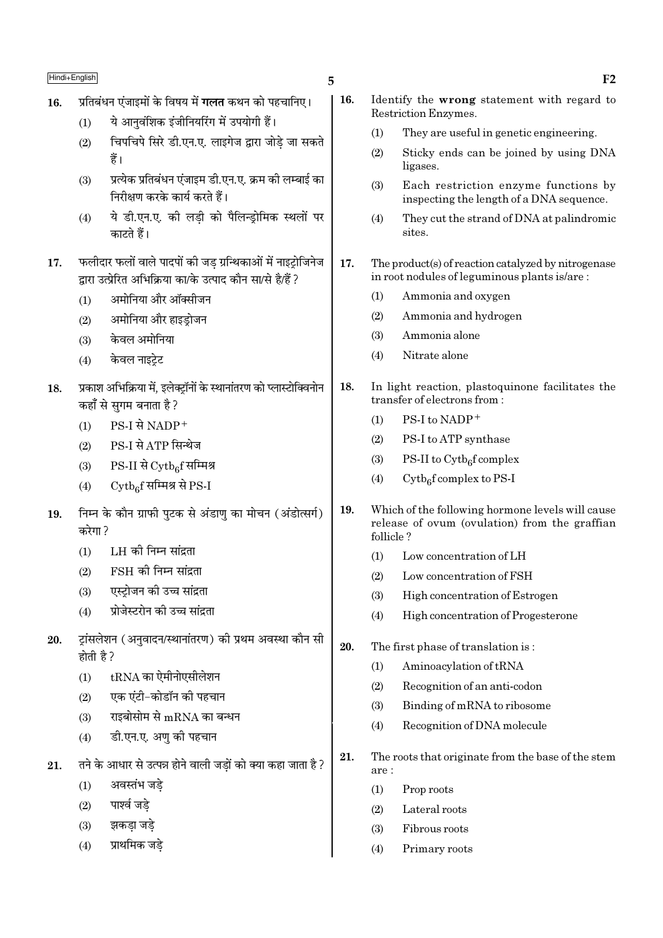- प्रतिबंधन एंजाइमों के विषय में **गलत** कथन को पहचानिए। 16.
	- ये आनवंशिक इंजीनियरिंग में उपयोगी हैं।  $(1)$
	- चिपचिपे सिरे डी.एन.ए. लाइगेज द्वारा जोडे जा सकते  $(2)$ हैं।
	- प्रत्येक प्रतिबंधन एंजाइम डी.एन.ए. क्रम की लम्बाई का  $(3)$ निरीक्षण करके कार्य करते हैं।
	- ये डी.एन.ए. की लडी को पैलिन्ड़ोमिक स्थलों पर  $(4)$ काटते हैं।
- फलीदार फलों वाले पादपों की जड ग्रन्थिकाओं में नाइट्रोजिनेज 17. द्रारा उत्प्रेरित अभिक्रिया का/के उत्पाद कौन सा/से है/हैं ?
	- अमोनिया और ऑक्सीजन  $(1)$
	- अमोनिया और हाइडोजन  $(2)$
	- केवल अमोनिया  $(3)$
	- केवल नाइटेट  $(4)$
- प्रकाश अभिक्रिया में, इलेक्ट्रॉनों के स्थानांतरण को प्लास्टोक्विनोन 18. कहाँ से सुगम बनाता है ?
	- PS-I से NADP<sup>+</sup>  $(1)$
	- PS-I से ATP सिन्थेज  $(2)$
	- $PS-II$  से  $\mathrm{Cytb}_{6}$ f सम्मिश्र  $(3)$
	- $\mathrm{Cytb}_\mathrm{e}$ f सम्मिश्र से PS-I  $(4)$
- निम्न के कौन ग्राफी पटक से अंडाण का मोचन (अंडोत्सर्ग) 19. करेगा ?
	- LH की निम्न सांदता  $(1)$
	- FSH की निम्न सांद्रता  $(2)$
	- एस्टोजन की उच्च सांद्रता  $(3)$
	- प्रोजेस्टरोन की उच्च सांद्रता  $(4)$
- ट्रांसलेशन (अनुवादन/स्थानांतरण) की प्रथम अवस्था कौन सी 20. होती है ?
	- $tRNA$  का ऐमीनोएसीलेशन  $(1)$
	- एक एंटी-कोडॉन की पहचान  $(2)$
	- राइबोसोम से  $mRNA$  का बन्धन  $(3)$
	- डी.एन.ए. अणु की पहचान  $(4)$
- तने के आधार से उत्पन्न होने वाली जडों को क्या कहा जाता है ? 21.
	- $(1)$ अवस्तंभ जडे
	- पार्श्व जडे  $(2)$
	- झकडा जडे  $(3)$
	- प्राथमिक जडे  $(4)$

5

- 16. Identify the wrong statement with regard to Restriction Enzymes.  $(1)$ They are useful in genetic engineering. Sticky ends can be joined by using DNA  $(2)$ ligases. Each restriction enzyme functions by  $(3)$ inspecting the length of a DNA sequence.  $(4)$ They cut the strand of DNA at palindromic sites. 17. The product(s) of reaction catalyzed by nitrogenase in root nodules of leguminous plants is/are: Ammonia and oxygen  $(1)$  $(2)$ Ammonia and hydrogen  $(3)$ Ammonia alone  $(4)$ Nitrate alone 18. In light reaction, plastoquinone facilitates the transfer of electrons from: PS-I to NADP+  $(1)$ PS-I to ATP synthase  $(2)$ PS-II to  $\mathrm{Cytb}_{6}$  complex  $(3)$  $Cytb<sub>6</sub>f$  complex to PS-I  $(4)$ 19. Which of the following hormone levels will cause release of ovum (ovulation) from the graffian follicle?  $(1)$ Low concentration of LH  $(2)$ Low concentration of FSH  $(3)$ High concentration of Estrogen  $(4)$ High concentration of Progesterone 20. The first phase of translation is:  $(1)$ Aminoacylation of tRNA  $(2)$ Recognition of an anti-codon  $(3)$ Binding of mRNA to ribosome  $(4)$ Recognition of DNA molecule 21. The roots that originate from the base of the stem are: Prop roots  $(1)$ 
	- $(2)$ Lateral roots
	- $(3)$ Fibrous roots
	- $(4)$ Primary roots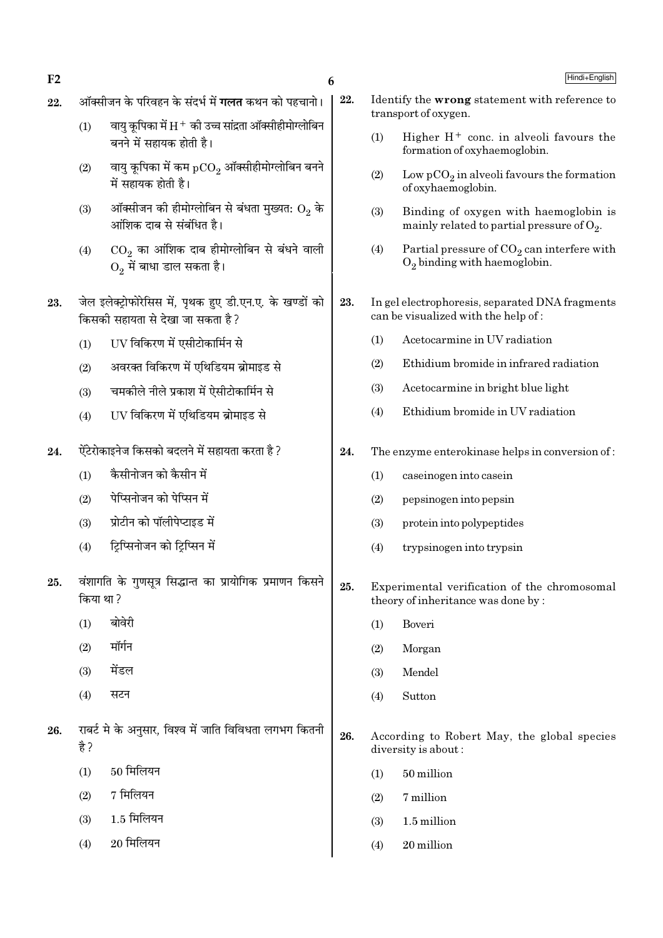ऑक्सीजन के परिवहन के संदर्भ में **गलत** कथन को पहचानो। 22. Identify the wrong statement with reference to 22. transport of oxygen. वायु कूपिका में  $\rm H^+$  की उच्च सांद्रता ऑक्सीहीमोग्लोबिन  $(1)$  $(1)$ Higher  $H^+$  conc. in alveoli favours the बनने में सहायक होती है। formation of oxyhaemoglobin. वायु कूपिका में कम  $pCO<sub>2</sub>$  ऑक्सीहीमोग्लोबिन बनने  $(2)$  $(2)$ Low  $pCO_2$  in alveoli favours the formation में सहायक होती है। of oxyhaemoglobin. ऑक्सीजन की हीमोग्लोबिन से बंधता मुख्यत:  $\mathrm{O}_2$  के  $(3)$  $(3)$ Binding of oxygen with haemoglobin is आंशिक दाब से संबंधित है। mainly related to partial pressure of  $O_2$ .  $CO<sub>2</sub>$  का आंशिक दाब हीमोग्लोबिन से बंधने वाली  $(4)$ Partial pressure of  $CO<sub>2</sub>$  can interfere with  $(4)$  $O<sub>2</sub>$  binding with haemoglobin.  $O<sub>2</sub>$  में बाधा डाल सकता है। जेल इलेक्ट्रोफोरेसिस में, पृथक हुए डी.एन.ए. के खण्डों को 23. In gel electrophoresis, separated DNA fragments 23. किसकी सहायता से देखा जा सकता है ? can be visualized with the help of: Acetocarmine in UV radiation  $(1)$ UV विकिरण में एसीटोकार्मिन से  $(1)$  $(2)$ Ethidium bromide in infrared radiation अवरक्त विकिरण में एथिडियम ब्रोमाइड से  $(2)$  $(3)$ Acetocarmine in bright blue light चमकीले नीले प्रकाश में ऐसीटोकार्मिन से  $(3)$ Ethidium bromide in UV radiation  $(4)$ UV विकिरण में एथिडियम ब्रोमाइड से  $(4)$ ऐंटेरोकाइनेज किसको बदलने में सहायता करता है ? 24. 24. The enzyme enterokinase helps in conversion of: कैसीनोजन को कैसीन में  $(1)$  $(1)$ caseinogen into casein पेप्सिनोजन को पेप्सिन में  $(2)$  $(2)$ pepsinogen into pepsin प्रोटीन को पॉलीपेप्टाइड में  $(3)$  $(3)$ protein into polypeptides टिप्सिनोजन को टिप्सिन में  $(4)$  $(4)$ trypsinogen into trypsin वंशागति के गुणसूत्र सिद्धान्त का प्रायोगिक प्रमाणन किसने 25. 25. Experimental verification of the chromosomal किया था ? theory of inheritance was done by: बोवेरी  $(1)$  $(1)$ Boveri मॉर्गन  $(2)$  $(2)$ Morgan मेंडल  $(3)$  $(3)$ Mendel  $(4)$ सटन Sutton  $(4)$ राबर्ट मे के अनुसार, विश्व में जाति विविधता लगभग कितनी 26. 26. According to Robert May, the global species है ? diversity is about: 50 मिलियन  $(1)$ 50 million  $(1)$  $7$  मिलियन  $(2)$  $(2)$ 7 million 1.5 मिलियन  $(3)$  $(3)$ 1.5 million  $20$  मिलियन  $(4)$  $(4)$ 20 million

6

 $F<sub>2</sub>$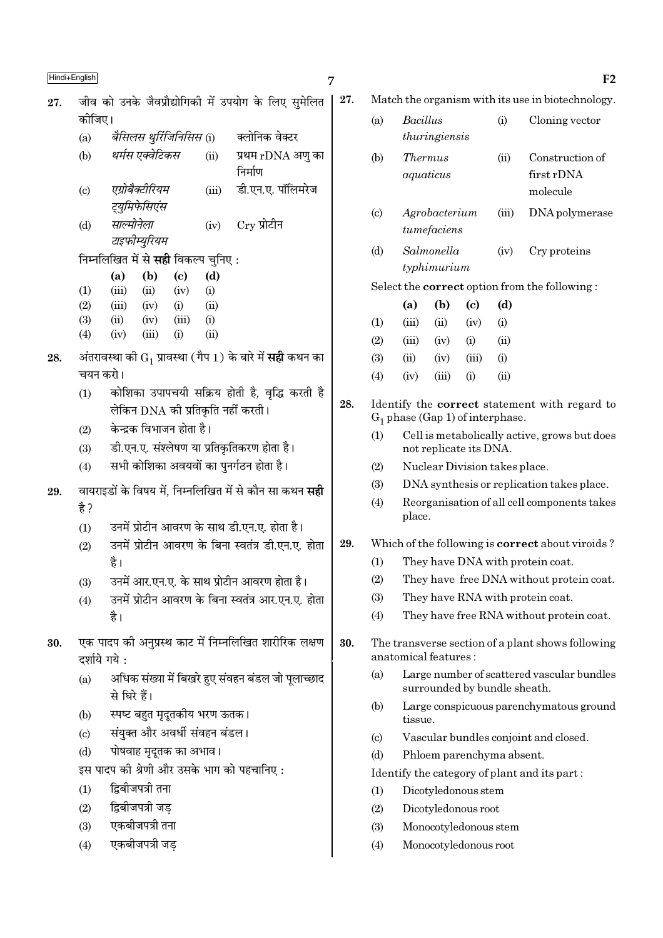$\blacksquare$ Hindi+English  $_{\rm F2}$ 

 $27.$  जीव को उनके जैवप्रौद्योगिकी में उपयोग के लिए समेलित  $\vert$ कोजिए।

- (a) वै*सिलस थुर्रिजिनिसिस* (i) क्लोनिक वेक्टर
- (b) *थर्मस एक्वेटिकस* (ii) प्रथम rDNA अण का निर्माण
- (c) *एग्रोबैक्टीरियम* (iii) डी.एन.ए. पॉलिमरेज *ट्युमिफेसिएंस*
- (d) *साल्मोनेला* (iv) Cry प्रोटीन टाइफीम्युरियम

िनम्नलिखित में से **सही** विकल्प चुनिए :

|                   | (a)   | (b)   | (c)   | (d)  |
|-------------------|-------|-------|-------|------|
| $\rm(1)$          | (iii) | (ii)  | (iv)  | (i)  |
| (2)               | (iii) | (iv)  | (i)   | (ii) |
| (3)               | (ii)  | (iv)  | (iii) | (i)  |
| $\left( 4\right)$ | (iv)  | (iii) | (i)   | (ii) |

- ${\bf 28.} \quad$  अंतरावस्था की  ${\rm G}^{}_1$  प्रावस्था ( गैप  $1$  ) के बारे में **सही** कथन का चयन करो।
	- (1) कोशिका उपापचयी सक्रिय होती है, वृद्धि करती है लेकिन DNA की प्रतिकति नहीं करती ।
	- $(2)$  केन्द्रक विभाजन होता है।
	- $(3)$   $\equiv$  डी.एन.ए. संश्लेषण या प्रतिकतिकरण होता है।
	- $(4)$  सभी कोशिका अवयवों का पनर्गठन होता है।
- 29. वायराइडों के विषय में, निम्नलिखित में से कौन सा कथन **सद्दी** है $2$ 
	- (1) उनमें प्रोटीन आवरण के साथ डी.एन.ए. होता है।
	- (2) ठनमें प्रोटीन आवरण के बिना स्वतंत्र डी.एन.ए. होता है।
	- (3) उनमें आर.एन.ए. के साथ प्रोटीन आवरण होता है।
	- (4) उनमें प्रोटीन आवरण के बिना स्वतंत्र आर.एन.ए. होता है।
- 30. एक पादप की अनुप्रस्थ काट में निम्नलिखित शारीरिक लक्षण  $\overline{c}$ र्शाये गये  $\cdot$ 
	- (a) अधिक संख्या में बिखरे हुए संवहन बंडल जो पूलाच्छाद से घिरे हैं।
	- (b) स्पष्ट बहुत मृदुतकीय भरण ऊतक ।
	- (c) संयुक्त और अवर्धी संवहन बंडल।
	- (d) पोषवाह मदतक का अभाव।
	- इस पादप की श्रेणी और उसके भाग को पहचानिए :
	- $(1)$  द्विबीजपत्री तना
	- $(2)$  द्विबीजपत्री जड
	- (3) एकबीजपत्री तना
	- (4) एकबीजपत्री जड
- 27. Match the organism with its use in biotechnology.
	- (a) Bacillus (i) Cloning vector thuringiensis (b) Thermus (ii) Construction of aquaticus first rDNA molecule
	- (c) Agrobacterium (iii) DNA polymerase tumefaciens
	- (d) Salmonella (iv) Cry proteins typhimurium

Select the correct option from the following :

- (a) (b) (c) (d)  $(1)$   $(iii)$   $(ii)$   $(iv)$   $(i)$  $(2)$   $(iii)$   $(iv)$   $(i)$   $(ii)$  $(3)$   $(ii)$   $(iv)$   $(iii)$   $(i)$  $(4)$   $(iv)$   $(iii)$   $(i)$   $(ii)$
- 28. Identify the correct statement with regard to  $G_1$  phase (Gap 1) of interphase.
	- (1) Cell is metabolically active, grows but does not replicate its DNA.
	- (2) Nuclear Division takes place.
	- (3) DNA synthesis or replication takes place.
	- (4) Reorganisation of all cell components takes place.

# 29. Which of the following is correct about viroids ?

- (1) They have DNA with protein coat.
- (2) They have free DNA without protein coat.
- (3) They have RNA with protein coat.
- (4) They have free RNA without protein coat.
- 30. The transverse section of a plant shows following anatomical features :
	- (a) Large number of scattered vascular bundles surrounded by bundle sheath.
	- (b) Large conspicuous parenchymatous ground tissue.
	- (c) Vascular bundles conjoint and closed.
	- (d) Phloem parenchyma absent.

# Identify the category of plant and its part :

- (1) Dicotyledonous stem
- (2) Dicotyledonous root
- (3) Monocotyledonous stem
- (4) Monocotyledonous root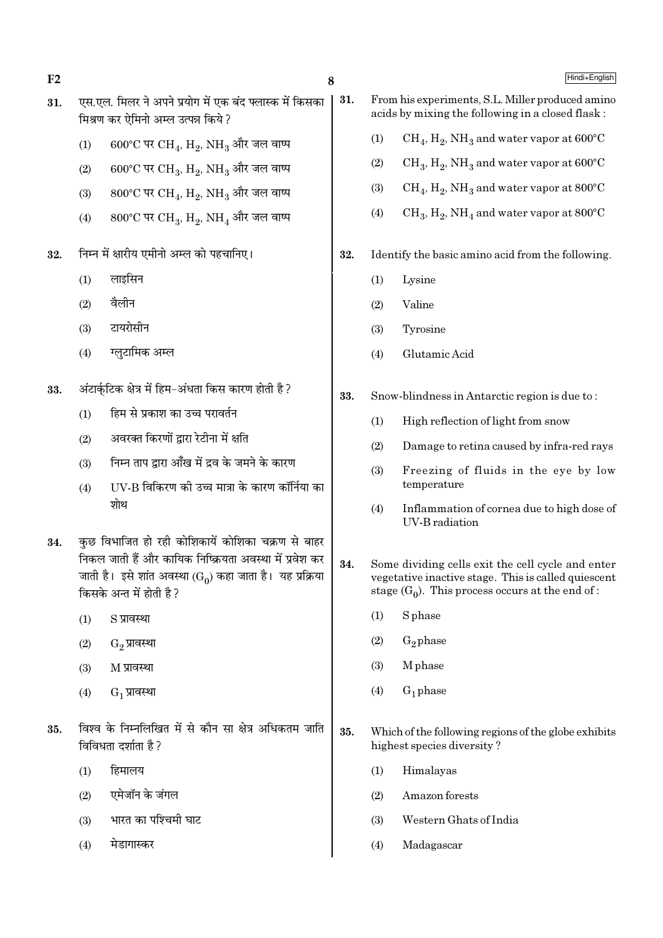- $F<sub>2</sub>$
- एस.एल. मिलर ने अपने प्रयोग में एक बंद फ्लास्क में किसका 31. मिश्रण कर ऐमिनो अम्ल उत्पन्न किये ?
	- 600°C पर CH<sub>4</sub>, H<sub>2</sub>, NH<sub>3</sub> और जल वाष्प  $(1)$
	- $600^{\circ}$ C पर CH<sub>3</sub>, H<sub>2</sub>, NH<sub>3</sub> और जल वाष्प  $(2)$
	- $800^{\circ}$ C पर CH<sub>4</sub>, H<sub>9</sub>, NH<sub>3</sub> और जल वाष्प  $(3)$
	- $800^{\circ}$ C पर CH<sub>3</sub>, H<sub>2</sub>, NH<sub>4</sub> और जल वाष्प  $(4)$
- निम्न में क्षारीय एमीनो अम्ल को पहचानिए। 32.
	- लाइसिन  $(1)$
	- वैलीन  $(2)$
	- टायरोसीन  $(3)$
	- ग्लटामिक अम्ल  $(4)$
- अंटार्कुटिक क्षेत्र में हिम-अंधता किस कारण होती है ? 33.
	- $(1)$ हिम से प्रकाश का उच्च परावर्तन
	- अवरक्त किरणों द्वारा रेटीना में क्षति  $(2)$
	- निम्न ताप द्वारा आँख में द्रव के जमने के कारण  $(3)$
	- IIV-B विकिरण की उच्च मात्रा के कारण कॉर्निया का  $(4)$ शोथ
- कुछ विभाजित हो रही कोशिकायें कोशिका चक्रण से बाहर 34. निकल जाती हैं और कायिक निष्क्रियता अवस्था में प्रवेश कर जाती है। इसे शांत अवस्था (Go) कहा जाता है। यह प्रक्रिया किसके अन्त में होती है ?
	- S प्रावस्था  $(1)$
	- $(2)$ G<sub>2</sub> प्रावस्था
	- M प्रावस्था  $(3)$
	- $G_1$  प्रावस्था  $(4)$
- विश्व के निम्नलिखित में से कौन सा क्षेत्र अधिकतम जाति 35. विविधता दर्शाता है ?
	- हिमालय  $(1)$
	- एमेजॉन के जंगल  $(2)$
	- भारत का पश्चिमी घाट  $(3)$
	- मेडागास्कर  $(4)$
- 31. From his experiments, S.L. Miller produced amino acids by mixing the following in a closed flask:
	- $CH_4$ ,  $H_2$ , NH<sub>3</sub> and water vapor at 600°C  $(1)$
	- $(2)$  $CH_3$ ,  $H_2$ , NH<sub>3</sub> and water vapor at 600°C
	- $(3)$  $CH_4$ ,  $H_2$ , NH<sub>3</sub> and water vapor at 800°C
	- $CH_3, H_2, NH_4$  and water vapor at 800°C  $(4)$
- Identify the basic amino acid from the following. 32.
	- $(1)$ Lysine
	- Valine  $(2)$
	- $(3)$ Tyrosine
	- $(4)$ Glutamic Acid
- 33. Snow-blindness in Antarctic region is due to:
	- $(1)$ High reflection of light from snow
	- $(2)$ Damage to retina caused by infra-red rays
	- Freezing of fluids in the eye by low  $(3)$ temperature
	- $(4)$ Inflammation of cornea due to high dose of **UV-B** radiation
- 34. Some dividing cells exit the cell cycle and enter vegetative inactive stage. This is called quiescent stage  $(G_0)$ . This process occurs at the end of:
	- $(1)$ **S** phase
	- $G_2$  phase  $(2)$
	- **M** phase  $(3)$
	- $G_1$  phase  $(4)$
- 35. Which of the following regions of the globe exhibits highest species diversity?
	- Himalayas  $(1)$
	- $(2)$ Amazon forests
	- $(3)$ Western Ghats of India
	- Madagascar  $(4)$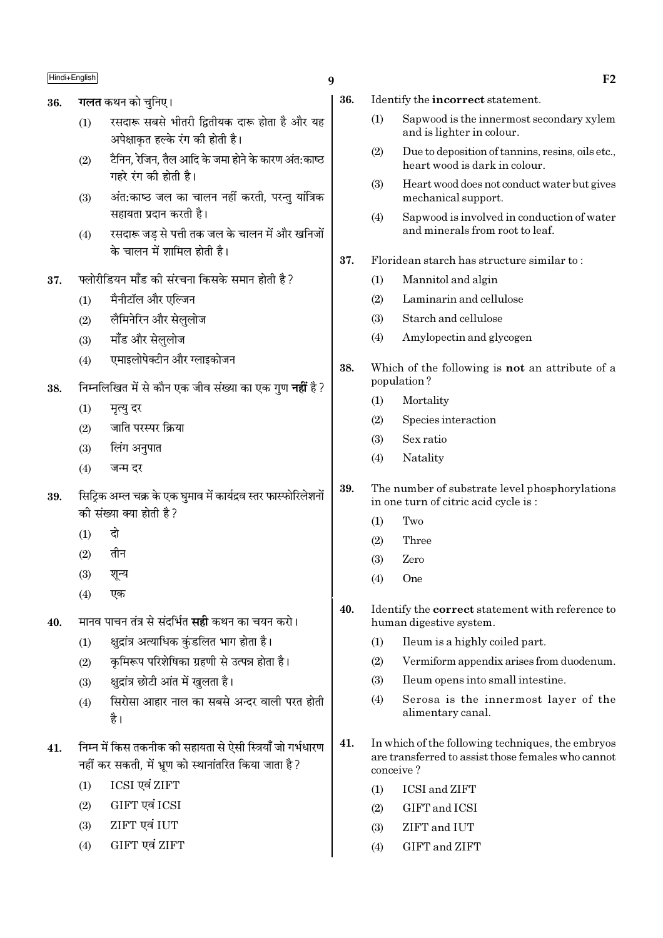# Hindi+English  $_{\rm H}$  F2

- 36. **गलत** कथन को चनिए।
	- $(1)$  / रसदारू सबसे भीतरी द्वितीयक दारू होता है और यह अपेक्षाकृत हल्के रंग की होती है।
	- $(2)$  हैनिन, रेजिन, तैल आदि के जमा होने के कारण अंत:काष्ठ  $\overline{v}$ गहरे रंग की होती है।
	- (3) अंत:काष्ठ जल का चालन नहीं करती, परन्तु यांत्रिक सहायता प्रदान करती है।
	- (4) रसदारू जड से पत्ती तक जल के चालन में और खनिजों के चालन में शामिल होती है।
- $37.$  फ्लोरीडियन मॉॅंड की संरचना किसके समान होती है ?
	- $(1)$  मैनीटॉल और एल्जिन
	- (2) लैमिनेरिन और सेललोज
	- (3) मॉॅंड और सेलुलोज
	- (4) एमाइलोपेक्टीन और ग्लाइकोजन
- 38. निम्नलिखित में से कौन एक जीव संख्या का एक गण **नहीं** है ?
	- $(1)$  मृत्यु दर
	- $(2)$  जाति परस्पर क्रिया
	- $(3)$  लिंग अनुपात
	- $(4)$  जन्म दर
- 39. सिटिक अम्ल चक्र के एक घमाव में कार्यद्रव स्तर फास्फोरिलेशनों की संख्या क्या होती है?
	- $(1)$  दो
	- $(2)$  तीन
	- $(3)$  शून्य
	- (4) ∞∑§
- 40. मानव पाचन तंत्र से संदर्भित **सद्दी** कथन का चयन करो।
	- $(1)$  क्षुद्रांत्र अत्याधिक कुंडलित भाग होता है।
	- (2) कृमिरूप परिशेषिका ग्रहणी से उत्पन्न होता है।
	- (3) क्षुद्रांत्र छोटी आंत में खुलता है।
	- (4) farvel भाहार नाल का सबसे अन्दर वाली परत होती है।
- 41. निम्न में किस तकनीक की सहायता से ऐसी स्त्रियाँ जो गर्भधारण नहीं कर सकती, में भ्रूण को स्थानांतरित किया जाता है ?
	- (1) ICSI ∞fl¥ ZIFT
	- (2) GIFT एवं ICSI
	- $(3)$  ZIFT एवं IUT
	- (4) GIFT एवं ZIFT
- 36. Identify the incorrect statement.
	- (1) Sapwood is the innermost secondary xylem and is lighter in colour.
	- (2) Due to deposition of tannins, resins, oils etc., heart wood is dark in colour.
	- (3) Heart wood does not conduct water but gives mechanical support.
	- (4) Sapwood is involved in conduction of water and minerals from root to leaf.
- 37. Floridean starch has structure similar to :
	- (1) Mannitol and algin
	- (2) Laminarin and cellulose
	- (3) Starch and cellulose
	- (4) Amylopectin and glycogen
- 38. Which of the following is not an attribute of a population ?
	- (1) Mortality
	- (2) Species interaction
	- (3) Sex ratio
	- (4) Natality
- 39. The number of substrate level phosphorylations in one turn of citric acid cycle is :
	- (1) Two
	- (2) Three
	- (3) Zero
	- (4) One
- 40. Identify the correct statement with reference to human digestive system.
	- (1) Ileum is a highly coiled part.
	- (2) Vermiform appendix arises from duodenum.
	- (3) Ileum opens into small intestine.
	- (4) Serosa is the innermost layer of the alimentary canal.
- 41. In which of the following techniques, the embryos are transferred to assist those females who cannot conceive ?
	- (1) ICSI and ZIFT
	- (2) GIFT and ICSI
	- (3) ZIFT and IUT
	- (4) GIFT and ZIFT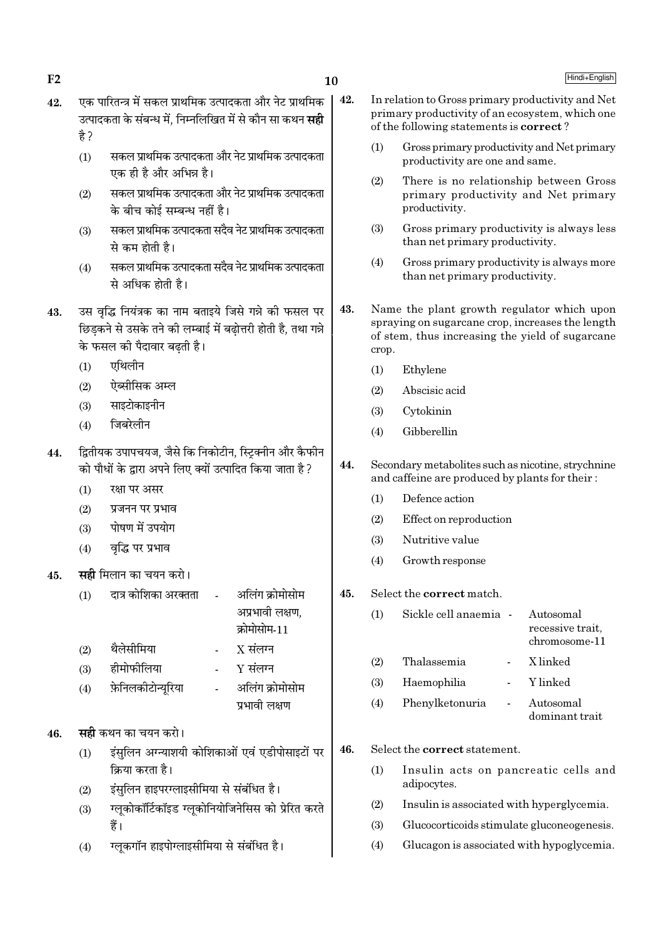$\Gamma$ 2 Hindi+English and  $\Gamma$ 

- $42.$  एक पारितन्त्र में सकल प्राथमिक उत्पादकता और नेट प्राथमिक .<br>उत्पादकता के संबन्ध में, निम्नलिखित में से कौन सा कथन **सद्दी** है ?
	- (1) सकल प्राथमिक उत्पादकता और नेट प्राथमिक उत्पादकता एक ही है और अभिन्न है।
	- (2) सकल प्राथमिक उत्पादकता और नेट प्राथमिक उत्पादकता के बीच कोई सम्बन्ध नहीं है।
	- (3) ─ सकल प्राथमिक उत्पादकता सदैव नेट प्राथमिक उत्पादकता से कम होती है।
	- (4) सकल प्राथमिक उत्पादकता सदैव नेट प्राथमिक उत्पादकता से अधिक होती है।
- 43. ठस वद्धि नियंत्रक का नाम बताइये जिसे गन्ने की फसल पर छिडकने से उसके तने की लम्बाई में बढोत्तरी होती है, तथा गन्ने के फसल की पैदावार बढती है।
	- $(1)$  एथिलीन
	- $(2)$  एेब्सीसिक अम्ल
	- $(3)$  साइटोकाइनीन
	- $(4)$  जिबरेलीन
- 44. द्वितीयक उपापचयज, जैसे कि निकोटीन, स्टिक्नीन और कैफीन को पौधों के द्वारा अपने लिए क्यों उत्पादित किया जाता है ?
	- $(1)$   $\sqrt{3}$   $\sqrt{4}$   $\sqrt{4}$   $\sqrt{4}$   $\sqrt{4}$
	- $(2)$  प्रजनन पर प्रभाव
	- $(3)$  पोषण में उपयोग
	- $(4)$  वद्धि पर प्रभाव
- 45. **सही** मिलान का चयन करो।
	- $(1)$  दात्र कोशिका अरक्तता अलिंग क्रोमोसोम अप्रभावी लक्षण. क्रोमोसोम-11
	- (2) थैलेसीमिया X संलग्न
	- $(3)$  हीमोफीलिया Y संलग्न
	- (4) फ़ेनिलकीटोन्युरिया अलिंग क्रोमोसोम प्रभावी लक्षण

# 46. **सही** कथन का चयन करो।

- (1) इंसुलिन अग्न्याशयी कोशिकाओं एवं एडीपोसाइटों पर <u>क्रिया करता है।</u>
- (2) इंसुलिन हाइपरग्लाइसीमिया से संबंधित है।
- (3) ग्लूकोकॉर्टिकॉइड ग्लूकोनियोजिनेसिस को प्रेरित करते हैं।
- (4) रलकगॉन हाइपोग्लाइसीमिया से संबंधित है।
- 42. In relation to Gross primary productivity and Net primary productivity of an ecosystem, which one of the following statements is correct ?
	- (1) Gross primary productivity and Net primary productivity are one and same.
	- (2) There is no relationship between Gross primary productivity and Net primary productivity.
	- (3) Gross primary productivity is always less than net primary productivity.
	- (4) Gross primary productivity is always more than net primary productivity.
- 43. Name the plant growth regulator which upon spraying on sugarcane crop, increases the length of stem, thus increasing the yield of sugarcane crop.
	- (1) Ethylene
	- (2) Abscisic acid
	- (3) Cytokinin
	- (4) Gibberellin
- 44. Secondary metabolites such as nicotine, strychnine and caffeine are produced by plants for their :
	- (1) Defence action
	- (2) Effect on reproduction
	- (3) Nutritive value
	- (4) Growth response
- 45. Select the correct match.

| $\left(1\right)$ | Sickle cell anaemia - | Autosomal<br>recessive trait,<br>chromosome-11 |
|------------------|-----------------------|------------------------------------------------|
| (2)              | Thalassemia           | X linked                                       |
| (3)              | Haemophilia           | Y linked                                       |
| (4)              | Phenylketonuria       | Autosomal<br>dominant trait                    |

46. Select the correct statement.

- (1) Insulin acts on pancreatic cells and adipocytes.
- (2) Insulin is associated with hyperglycemia.
- (3) Glucocorticoids stimulate gluconeogenesis.
- (4) Glucagon is associated with hypoglycemia.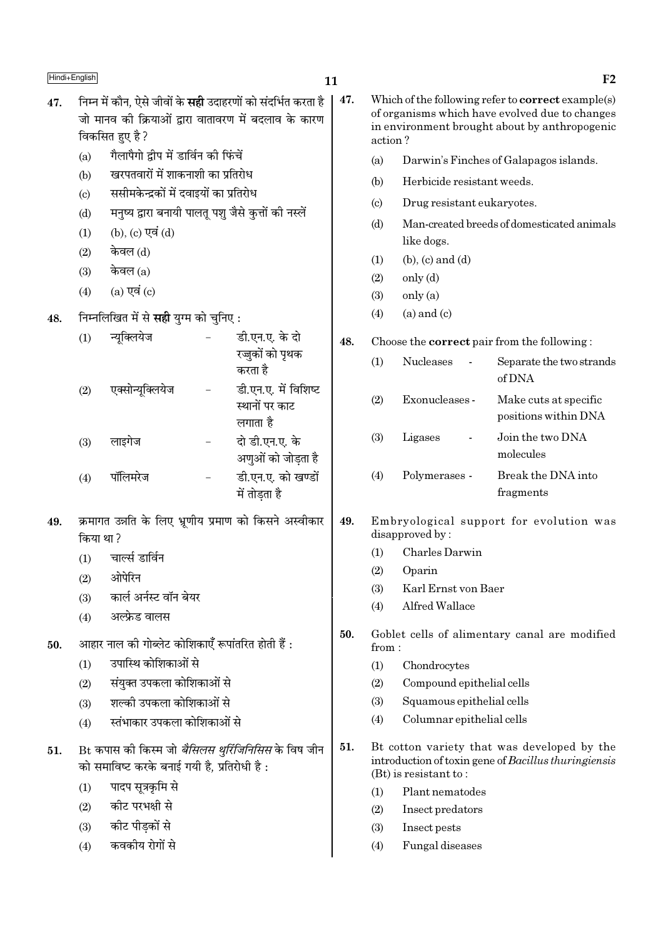47.

 $11$ 

47.

जो मानव की क्रियाओं द्वारा वातावरण में बदलाव के कारण विकसित हुए है ? गैलापैगो द्वीप में डार्विन की फिंचें  $(a)$ खरपतवारों में शाकनाशी का प्रतिरोध  $(b)$ ससीमकेन्द्रकों में दवाइयों का प्रतिरोध  $(c)$ मनुष्य द्वारा बनायी पालतू पशु जैसे कुत्तों की नस्लें  $(d)$ (b), (c) एवं (d)  $(1)$ केवल (d)  $(2)$ केवल $(a)$  $(3)$  $(a)$  एवं  $(c)$  $(4)$ निम्नलिखित में से सही युग्म को चुनिए: 48. डी.एन.ए. के दो न्यक्लियेज  $(1)$ 48. रज्जुकों को पृथक करता है डी.एन.ए. में विशिष्ट एक्सोन्यूक्लियेज  $(2)$ स्थानों पर काट लगाता है दो डी.एन.ए. के लाइगेज  $(3)$ अणुओं को जोडता है पॉलिमरेज डी.एन.ए. को खण्डों  $(4)$ में तोडता है क्रमागत उन्नति के लिए भ्रणीय प्रमाण को किसने अस्वीकार 49. 49. किया था? चार्ल्स डार्विन  $\left( 1\right)$  $(1)$  $(2)$ ओपेरिन  $(2)$  $(3)$  $(3)$ कार्ल अर्नस्ट वॉन बेयर  $(4)$ अल्फ्रेड वालस  $(4)$ 50. आहार नाल की गोब्लेट कोशिकाएँ रूपांतरित होती हैं : 50. from: उपास्थि कोशिकाओं से  $(1)$  $(1)$ संयक्त उपकला कोशिकाओं से  $(2)$  $(2)$ शल्की उपकला कोशिकाओं से  $(3)$  $(3)$  $(4)$ स्तंभाकार उपकला कोशिकाओं से  $(4)$ Bt कपास की किस्म जो *बैसिलस थूरिंजिनिसिस* के विष जीन 51. 51. को समाविष्ट करके बनाई गयी है, प्रतिरोधी है: पादप सत्रकमि से  $(1)$  $(1)$ कीट परभक्षी से  $(2)$  $(2)$ कीट पीडकों से  $(3)$  $(3)$ कवकीय रोगों से  $(4)$  $(4)$ 

निम्न में कौन, ऐसे जीवों के **सही** उदाहरणों को संदर्भित करता है

| Which of the following refer to $correct$ example $(s)$<br>of organisms which have evolved due to changes<br>in environment brought about by anthropogenic<br>action? |                                                          |                                                    |  |  |  |  |
|-----------------------------------------------------------------------------------------------------------------------------------------------------------------------|----------------------------------------------------------|----------------------------------------------------|--|--|--|--|
| (a)                                                                                                                                                                   |                                                          | Darwin's Finches of Galapagos islands.             |  |  |  |  |
| (b)                                                                                                                                                                   | Herbicide resistant weeds.                               |                                                    |  |  |  |  |
| $\left( \mathrm{c} \right)$                                                                                                                                           | Drug resistant eukaryotes.                               |                                                    |  |  |  |  |
| (d)                                                                                                                                                                   | Man-created breeds of domesticated animals<br>like dogs. |                                                    |  |  |  |  |
| (1)                                                                                                                                                                   | $(b)$ , $(c)$ and $(d)$                                  |                                                    |  |  |  |  |
| (2)                                                                                                                                                                   | only (d)                                                 |                                                    |  |  |  |  |
| (3)                                                                                                                                                                   | only (a)                                                 |                                                    |  |  |  |  |
| (4)                                                                                                                                                                   | $(a)$ and $(c)$                                          |                                                    |  |  |  |  |
|                                                                                                                                                                       |                                                          | Choose the <b>correct</b> pair from the following: |  |  |  |  |
| (1)                                                                                                                                                                   | Nucleases                                                | Separate the two strands<br>of DNA                 |  |  |  |  |
| (2)                                                                                                                                                                   | Exonucleases -                                           | Make cuts at specific<br>positions within DNA      |  |  |  |  |
| (3)                                                                                                                                                                   | Ligases                                                  | Join the two DNA<br>molecules                      |  |  |  |  |
| (4)                                                                                                                                                                   | Polymerases -                                            | Break the DNA into<br>fragments                    |  |  |  |  |
| Embryological support for evolution was<br>disapproved by:                                                                                                            |                                                          |                                                    |  |  |  |  |
| (1)                                                                                                                                                                   | Charles Darwin                                           |                                                    |  |  |  |  |

- Oparin
- Karl Ernst von Baer
- Alfred Wallace
- Goblet cells of alimentary canal are modified
	- Chondrocytes
	- Compound epithelial cells
	- Squamous epithelial cells
	- Columnar epithelial cells
- Bt cotton variety that was developed by the introduction of toxin gene of Bacillus thuringiensis  $(Bt)$  is resistant to:
	- Plant nematodes
	- Insect predators
	- Insect pests
	- Fungal diseases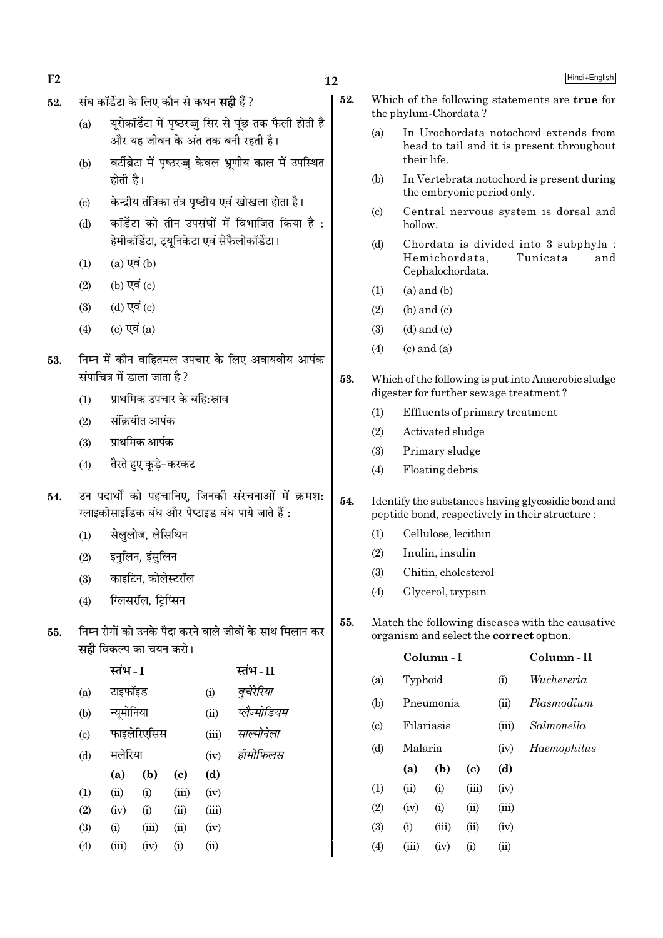- $F<sub>2</sub>$
- संघ कॉर्डेटा के लिए कौन से कथन **सही** हैं ? 52.
	- यरोकॉर्डेटा में पष्ठरज्ज सिर से पंछ तक फैली होती है  $(a)$ और यह जीवन के अंत तक बनी रहती है।
	- वर्टीब्रेटा में पष्ठरज्ज केवल भ्रणीय काल में उपस्थित  $(h)$ होती है।
	- केन्द्रीय तंत्रिका तंत्र पष्ठीय एवं खोखला होता है।  $(c)$
	- कॉर्डेटा को तीन उपसंघों में विभाजित किया है:  $(d)$ हेमीकॉर्डेटा. टयनिकेटा एवं सेफैलोकॉर्डेटा।
	- $(a)$  एवं  $(b)$  $(1)$
	- $(b)$  एवं  $(c)$  $(2)$
	- (d) एवं (c)  $(3)$
	- $(c)$  एवं  $(a)$  $(4)$
- निम्न में कौन वाहितमल उपचार के लिए अवायवीय आपंक 53. संपाचित्र में डाला जाता है?
	- प्राथमिक उपचार के बहि:स्राव  $(1)$
	- संक्रियीत आपंक  $(2)$
	- प्राथमिक आपंक  $(3)$
	- तैरते हुए कुडे-करकट  $(4)$
- उन पदार्थों को पहचानिए, जिनकी संरचनाओं में क्रमश: 54. ग्लाइकोसाइडिक बंध और पेप्टाइड बंध पाये जाते हैं :
	- सेललोज. लेसिथिन  $(1)$
	- इनलिन, इंसुलिन  $(2)$
	- काइटिन, कोलेस्टरॉल  $(3)$
	- ग्लिसरॉल, टिप्सिन  $(4)$
- निम्न रोगों को उनके पैदा करने वाले जीवों के साथ मिलान कर 55. सही विकल्प का चयन करो।

|                           | स्तभ - I   |             |                            |       | स्तभ - II    |
|---------------------------|------------|-------------|----------------------------|-------|--------------|
| (a)                       | टाइफॉइड    |             |                            | (i)   | वुचेरेरिया   |
| $\left(\mathrm{b}\right)$ | न्यूमोनिया |             |                            | (ii)  | प्लैज्मोडियम |
| $\left( c\right)$         |            | फाइलेरिएसिस |                            | (iii) | साल्मोनेला   |
| (d)                       | मलेरिया    |             |                            | (iv)  | हीमोफिलस     |
|                           | (a)        | (b)         | $\left( \mathrm{e}\right)$ | (d)   |              |
| $\left(1\right)$          | (ii)       | (i)         | (iii)                      | (iv)  |              |
| $\left( 2\right)$         | (iv)       | (i)         | (ii)                       | (iii) |              |
| (3)                       | (i)        | (iii)       | (ii)                       | (iv)  |              |
| $\left( 4\right)$         | (iii)      | (iv)        | (i)                        | (ii)  |              |
|                           |            |             |                            |       |              |

- $12$ 
	- 52. Which of the following statements are true for the phylum-Chordata?
		- In Urochordata notochord extends from  $(a)$ head to tail and it is present throughout their life.
		- In Vertebrata notochord is present during  $(b)$ the embryonic period only.
		- Central nervous system is dorsal and  $(c)$ hollow.
		- $(d)$ Chordata is divided into 3 subphyla: Hemichordata. Tunicata and Cephalochordata.
		- $(a)$  and  $(b)$  $(1)$
		- $(b)$  and  $(c)$  $(2)$
		- $(3)$  $(d)$  and  $(c)$
		- $(c)$  and  $(a)$  $(4)$
	- 53. Which of the following is put into Anaerobic sludge digester for further sewage treatment?
		- Effluents of primary treatment  $(1)$
		- $(2)$ Activated sludge
		- $(3)$ Primary sludge
		- Floating debris  $(4)$
	- 54. Identify the substances having glycosidic bond and peptide bond, respectively in their structure:
		- Cellulose, lecithin  $(1)$
		- $(2)$ Inulin, insulin
		- $(3)$ Chitin, cholesterol
		- Glycerol, trypsin  $(4)$

 $C<sub>olumn</sub>$  - I

Match the following diseases with the causative 55. organism and select the **correct** option.

Column-II

| (a)                        | Typhoid |            |       | (i)   | Wuchereria  |
|----------------------------|---------|------------|-------|-------|-------------|
| (b)                        |         | Pneumonia  |       | (ii)  | Plasmodium  |
| $\left( \mathrm{c}\right)$ |         | Filariasis |       | (iii) | Salmonella  |
| (d)                        | Malaria |            |       | (iv)  | Haemophilus |
|                            | (a)     | (b)        | (c)   | (d)   |             |
| (1)                        | (ii)    | (i)        | (iii) | (iv)  |             |
| (2)                        | (iv)    | (i)        | (ii)  | (iii) |             |
| (3)                        | (i)     | (iii)      | (ii)  | (iv)  |             |
| (4)                        | (iii)   | (iv)       | (i)   | (ii)  |             |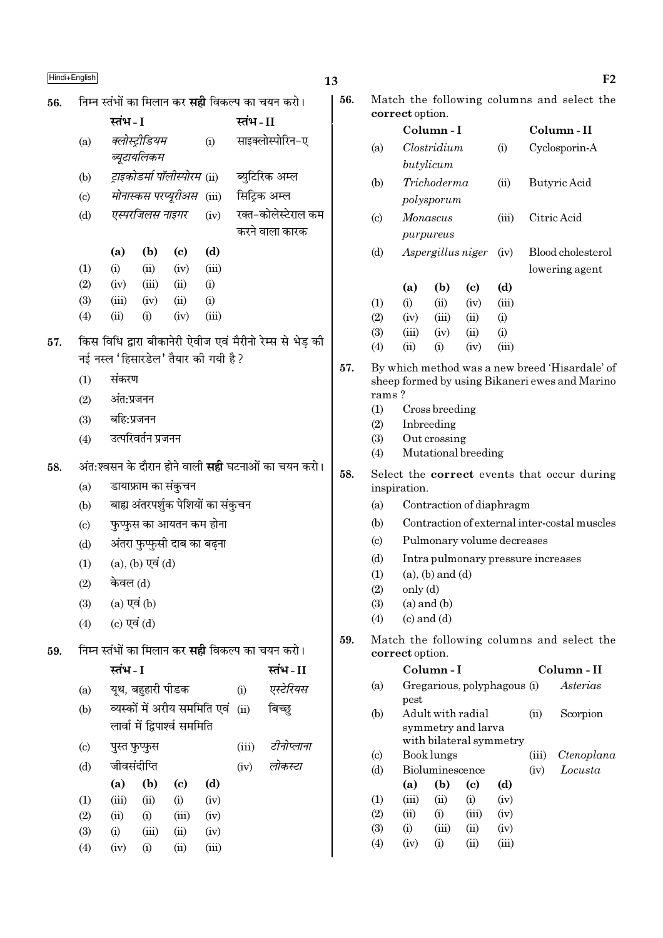|     | Hindi+English               |                  |                         |                                     |       |          |                                                            | 13 |
|-----|-----------------------------|------------------|-------------------------|-------------------------------------|-------|----------|------------------------------------------------------------|----|
| 56. |                             |                  |                         |                                     |       |          | निम्न स्तंभों का मिलान कर <b>सही</b> विकल्प का चयन करो।    |    |
|     |                             | स्तंभ - I        |                         |                                     |       | स्तंभ-II |                                                            |    |
|     | (a)                         |                  | क्लोस्ट्रीडियम          |                                     | (i)   |          | साइक्लोस्पोरिन-ए                                           |    |
|     |                             |                  | ब्यूटायलिकम             |                                     |       |          |                                                            |    |
|     | (b)                         |                  |                         | ट्राइकोडर्मा पॉलीस्पोरम (ii)        |       |          | ब्युटिरिक अम्ल                                             |    |
|     | $\left( \mathrm{c}\right)$  |                  |                         | मोनास्कस परप्यूरीअस                 | (iii) |          | सिट्रिक अम्ल                                               |    |
|     | (d)                         |                  | एस्परजिलस नाइगर         |                                     | (iv)  |          | रक्त-कोलेस्टेराल कम                                        |    |
|     |                             |                  |                         |                                     |       |          | करने वाला कारक                                             |    |
|     |                             | (a)              | (b)                     | (c)                                 | (d)   |          |                                                            |    |
|     | (1)                         | (i)              | (ii)                    | (iv)                                | (iii) |          |                                                            |    |
|     | (2)                         | (iv)             | (iii)                   | (ii)                                | (i)   |          |                                                            |    |
|     | (3)                         | (iii)            | (iv)                    | (ii)                                | (i)   |          |                                                            |    |
|     | (4)                         | (ii)             | (i)                     | (iv)                                | (iii) |          |                                                            |    |
| 57. |                             |                  |                         |                                     |       |          | किस विधि द्वारा बीकानेरी ऐवीज एवं मैरीनो रेम्स से भेड़ की  |    |
|     |                             |                  |                         | नई नस्ल 'हिसारडेल' तैयार की गयी है? |       |          |                                                            |    |
|     | (1)                         | संकरण            |                         |                                     |       |          |                                                            |    |
|     | (2)                         | अंत:प्रजनन       |                         |                                     |       |          |                                                            |    |
|     |                             | $(3)$ बहि:प्रजनन |                         |                                     |       |          |                                                            |    |
|     | (4)                         |                  | उत्परिवर्तन प्रजनन      |                                     |       |          |                                                            |    |
| 58. |                             |                  |                         |                                     |       |          | अंत:श्वसन के दौरान होने वाली <b>सही</b> घटनाओं का चयन करो। |    |
|     | (a)                         |                  | डायाफ्राम का संकुचन     |                                     |       |          |                                                            |    |
|     | (b)                         |                  |                         | बाह्य अंतरपर्शुक पेशियों का संकुचन  |       |          |                                                            |    |
|     | (c)                         |                  |                         | फुप्फुस का आयतन कम होना             |       |          |                                                            |    |
|     | (d)                         |                  |                         | अंतरा फुप्फुसी दाब का बढ़ना         |       |          |                                                            |    |
|     | (1)                         |                  | $(a)$ , $(b)$ एवं $(d)$ |                                     |       |          |                                                            |    |
|     | (2)                         | केवल (d)         |                         |                                     |       |          |                                                            |    |
|     | (3)                         | $(a)$ एवं $(b)$  |                         |                                     |       |          |                                                            |    |
|     | (4)                         | (c) एवं $(d)$    |                         |                                     |       |          |                                                            |    |
| 59. |                             |                  |                         |                                     |       |          | निम्न स्तंभों का मिलान कर <b>सही</b> विकल्प का चयन करो।    |    |
|     |                             | स्तंभ - I        |                         |                                     |       |          | स्तंभ-II                                                   |    |
|     | (a)                         |                  | यूथ, बहुहारी पीडक       |                                     |       | (i)      | एस्टेरियस                                                  |    |
|     | (b)                         |                  |                         | व्यस्कों में अरीय सममिति एवं        |       | (ii)     | बिच्छ्                                                     |    |
|     |                             |                  |                         | लार्वा में द्विपार्श्व सममिति       |       |          |                                                            |    |
|     | $\left( \mathrm{c} \right)$ |                  | पुस्त फुप्फुस           |                                     |       | (iii)    | टीनोप्लाना                                                 |    |
|     | (d)                         |                  | जीवसंदीप्ति             |                                     |       | (iv)     | लोकस्टा                                                    |    |
|     |                             | (a)              | (b)                     | (c)                                 | (d)   |          |                                                            |    |
|     | (1)                         | (iii)            | (ii)                    | (i)                                 | (iv)  |          |                                                            |    |
|     | (2)                         | (ii)             | (i)                     | (iii)                               | (iv)  |          |                                                            |    |
|     | (3)                         | (i)              | (iii)                   | (ii)                                | (iv)  |          |                                                            |    |

 $(ii)$ 

 $(4)$ 

 $(iv)$ 

 $\rm (i)$ 

 $(iii)$ 

| 56. | Match the following columns and select the<br>correct option. |                 |                         |                                               |       |       |                                                                                                  |  |  |  |
|-----|---------------------------------------------------------------|-----------------|-------------------------|-----------------------------------------------|-------|-------|--------------------------------------------------------------------------------------------------|--|--|--|
|     |                                                               |                 | Column - I              |                                               |       |       | Column - II                                                                                      |  |  |  |
|     | (a)                                                           |                 | Clostridium             |                                               | (i)   |       | Cyclosporin-A                                                                                    |  |  |  |
|     |                                                               |                 | butylicum               |                                               |       |       |                                                                                                  |  |  |  |
|     | (b)                                                           |                 | Trichoderma             |                                               | (ii)  |       | Butyric Acid                                                                                     |  |  |  |
|     |                                                               |                 | polysporum              |                                               |       |       |                                                                                                  |  |  |  |
|     | $\left( \mathrm{c} \right)$                                   |                 | Monascus                |                                               | (iii) |       | Citric Acid                                                                                      |  |  |  |
|     |                                                               |                 | purpureus               |                                               |       |       |                                                                                                  |  |  |  |
|     | (d)                                                           |                 | Aspergillus niger       |                                               | (iv)  |       | Blood cholesterol                                                                                |  |  |  |
|     |                                                               |                 |                         |                                               |       |       | lowering agent                                                                                   |  |  |  |
|     |                                                               | (a)             | (b)                     | (c)                                           | (d)   |       |                                                                                                  |  |  |  |
|     | (1)                                                           | (i)             | (ii)                    | (iv)                                          | (iii) |       |                                                                                                  |  |  |  |
|     | (2)                                                           | (iv)            | (iii)                   | (ii)                                          | (i)   |       |                                                                                                  |  |  |  |
|     | (3)                                                           | (iii)           | (iv)                    | (ii)                                          | (i)   |       |                                                                                                  |  |  |  |
|     | (4)                                                           | (ii)            | (i)                     | (iv)                                          | (iii) |       |                                                                                                  |  |  |  |
| 57. | rams ?                                                        |                 |                         |                                               |       |       | By which method was a new breed 'Hisardale' of<br>sheep formed by using Bikaneri ewes and Marino |  |  |  |
|     | (1)                                                           | Cross breeding  |                         |                                               |       |       |                                                                                                  |  |  |  |
|     | (2)                                                           |                 | Inbreeding              |                                               |       |       |                                                                                                  |  |  |  |
|     | (3)                                                           |                 | Out crossing            |                                               |       |       |                                                                                                  |  |  |  |
|     | (4)                                                           |                 |                         | Mutational breeding                           |       |       |                                                                                                  |  |  |  |
| 58. |                                                               | inspiration.    |                         |                                               |       |       | Select the <b>correct</b> events that occur during                                               |  |  |  |
|     | (a)                                                           |                 |                         | Contraction of diaphragm                      |       |       |                                                                                                  |  |  |  |
|     | (b)                                                           |                 |                         |                                               |       |       | Contraction of external inter-costal muscles                                                     |  |  |  |
|     | $\left( \mathrm{c} \right)$                                   |                 |                         | Pulmonary volume decreases                    |       |       |                                                                                                  |  |  |  |
|     | (d)                                                           |                 |                         | Intra pulmonary pressure increases            |       |       |                                                                                                  |  |  |  |
|     | (1)                                                           |                 | $(a)$ , $(b)$ and $(d)$ |                                               |       |       |                                                                                                  |  |  |  |
|     | (2)                                                           | only (d)        |                         |                                               |       |       |                                                                                                  |  |  |  |
|     | (3)                                                           |                 | $(a)$ and $(b)$         |                                               |       |       |                                                                                                  |  |  |  |
|     | (4)                                                           |                 | $(c)$ and $(d)$         |                                               |       |       |                                                                                                  |  |  |  |
| 59. |                                                               | correct option. |                         |                                               |       |       | Match the following columns and select the                                                       |  |  |  |
|     |                                                               |                 | Column - I              |                                               |       |       | Column - II                                                                                      |  |  |  |
|     | (a)                                                           |                 |                         | Gregarious, polyphagous (i)                   |       |       | Asterias                                                                                         |  |  |  |
|     |                                                               | pest            |                         |                                               |       |       |                                                                                                  |  |  |  |
|     | (b)                                                           |                 | Adult with radial       |                                               |       | (ii)  | Scorpion                                                                                         |  |  |  |
|     |                                                               |                 |                         | symmetry and larva<br>with bilateral symmetry |       |       |                                                                                                  |  |  |  |
|     | $\left( \mathrm{c} \right)$                                   |                 | Book lungs              |                                               |       | (iii) | Ctenoplana                                                                                       |  |  |  |
|     | (d)                                                           |                 | Bioluminescence         |                                               |       | (iv)  | Locusta                                                                                          |  |  |  |
|     |                                                               | (a)             | (b)                     | (c)                                           | (d)   |       |                                                                                                  |  |  |  |
|     | (1)                                                           | (iii)           | (ii)                    | (i)                                           | (iv)  |       |                                                                                                  |  |  |  |
|     | (2)                                                           | (ii)            | (i)                     | (iii)                                         | (iv)  |       |                                                                                                  |  |  |  |
|     | (3)                                                           | (i)             | (iii)                   | (ii)                                          | (iv)  |       |                                                                                                  |  |  |  |
|     | (4)                                                           | (iv)            | (i)                     | (ii)                                          | (iii) |       |                                                                                                  |  |  |  |

 $F2$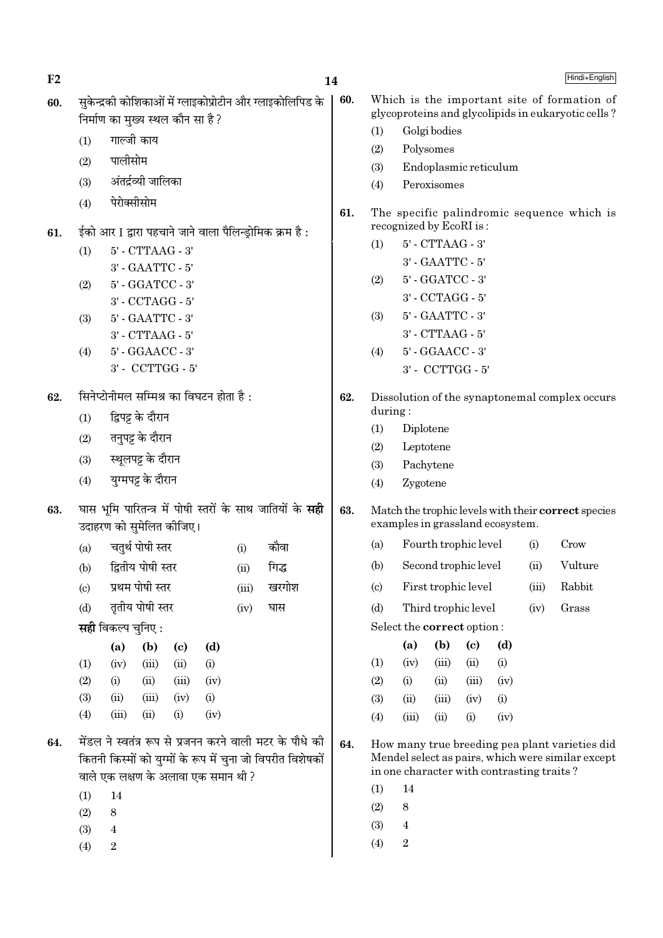| F2  |                        |                                   |                                      |                            |                                          |       |                                                                                                                         | 14  |                                                                                         |                                           |                  |                            |      |       | Hindi+English                                                                                       |
|-----|------------------------|-----------------------------------|--------------------------------------|----------------------------|------------------------------------------|-------|-------------------------------------------------------------------------------------------------------------------------|-----|-----------------------------------------------------------------------------------------|-------------------------------------------|------------------|----------------------------|------|-------|-----------------------------------------------------------------------------------------------------|
| 60. |                        | निर्माण का मुख्य स्थल कौन सा है ? |                                      |                            |                                          |       | सुकेन्द्रकी कोशिकाओं में ग्लाइकोप्रोटीन और ग्लाइकोलिपिड के                                                              | 60. |                                                                                         |                                           |                  |                            |      |       | Which is the important site of formation of<br>glycoproteins and glycolipids in eukaryotic cells?   |
|     | (1)                    |                                   | गाल्जी काय                           |                            |                                          |       |                                                                                                                         |     | (1)                                                                                     |                                           | Golgi bodies     |                            |      |       |                                                                                                     |
|     |                        |                                   |                                      |                            |                                          |       |                                                                                                                         |     | (2)                                                                                     |                                           | Polysomes        |                            |      |       |                                                                                                     |
|     | (2)                    | पालीसोम                           |                                      |                            |                                          |       |                                                                                                                         |     | (3)                                                                                     |                                           |                  | Endoplasmic reticulum      |      |       |                                                                                                     |
|     | (3)                    |                                   | अंतर्द्रव्यी जालिका                  |                            |                                          |       |                                                                                                                         |     | (4)                                                                                     |                                           | Peroxisomes      |                            |      |       |                                                                                                     |
|     | (4)                    | पेरोक्सीसोम                       |                                      |                            |                                          |       |                                                                                                                         | 61. | The specific palindromic sequence which is<br>recognized by EcoRI is:                   |                                           |                  |                            |      |       |                                                                                                     |
| 61. |                        |                                   |                                      |                            |                                          |       | ईको आर I द्वारा पहचाने जाने वाला पैलिन्ड्रोमिक क्रम है :                                                                |     | 5' - CTTAAG - 3'<br>(1)                                                                 |                                           |                  |                            |      |       |                                                                                                     |
|     | (1)                    |                                   | 5' - CTTAAG - 3'<br>3' - GAATTC - 5' |                            |                                          |       |                                                                                                                         |     | 3' - GAATTC - 5'                                                                        |                                           |                  |                            |      |       |                                                                                                     |
|     | (2)                    |                                   | 5' - GGATCC - 3'                     |                            |                                          |       |                                                                                                                         |     | (2)                                                                                     |                                           | 5' - GGATCC - 3' |                            |      |       |                                                                                                     |
|     |                        |                                   | 3' - CCTAGG - 5'                     |                            |                                          |       |                                                                                                                         |     |                                                                                         |                                           | 3' - CCTAGG - 5' |                            |      |       |                                                                                                     |
|     | (3)                    |                                   | 5' - GAATTC - 3'                     |                            |                                          |       |                                                                                                                         |     | (3)                                                                                     |                                           | 5' - GAATTC - 3' |                            |      |       |                                                                                                     |
|     |                        |                                   | $3'$ - CTTAAG - $5'$                 |                            |                                          |       |                                                                                                                         |     |                                                                                         |                                           | 3' - CTTAAG - 5' |                            |      |       |                                                                                                     |
|     | (4)                    |                                   | 5' - GGAACC - 3'                     |                            |                                          |       |                                                                                                                         |     | (4)                                                                                     |                                           | 5' - GGAACC - 3' |                            |      |       |                                                                                                     |
|     |                        |                                   |                                      | 3' - CCTTGG - 5'           |                                          |       |                                                                                                                         |     |                                                                                         |                                           |                  | 3' - CCTTGG - 5'           |      |       |                                                                                                     |
| 62. |                        |                                   |                                      |                            | सिनेप्टोनीमल सम्मिश्र का विघटन होता है : |       |                                                                                                                         | 62. | Dissolution of the synaptonemal complex occurs<br>during:                               |                                           |                  |                            |      |       |                                                                                                     |
|     | (1)                    |                                   | द्विपट्ट के दौरान                    |                            |                                          |       |                                                                                                                         |     | (1)                                                                                     | Diplotene                                 |                  |                            |      |       |                                                                                                     |
|     | (2)                    |                                   | तनुपट्ट के दौरान                     |                            |                                          |       |                                                                                                                         |     | (2)                                                                                     |                                           | Leptotene        |                            |      |       |                                                                                                     |
|     | (3)                    |                                   | स्थूलपट्ट के दौरान                   |                            |                                          |       |                                                                                                                         |     | (3)                                                                                     |                                           | Pachytene        |                            |      |       |                                                                                                     |
|     | (4)                    |                                   | युग्मपट्ट के दौरान                   |                            |                                          |       |                                                                                                                         |     | (4)                                                                                     | Zygotene                                  |                  |                            |      |       |                                                                                                     |
| 63. |                        | उदाहरण को सुमेलित कोजिए।          |                                      |                            |                                          |       | घास भूमि पारितन्त्र में पोषी स्तरों के साथ जातियों के सही                                                               | 63. | Match the trophic levels with their correct species<br>examples in grassland ecosystem. |                                           |                  |                            |      |       |                                                                                                     |
|     | (a)                    |                                   | चतुर्थ पोषी स्तर                     |                            |                                          | (i)   | कौवा                                                                                                                    |     | (a)                                                                                     |                                           |                  | Fourth trophic level       |      | (i)   | Crow                                                                                                |
|     | (b)                    |                                   | द्वितीय पोषी स्तर                    |                            |                                          | (ii)  | गिद्ध                                                                                                                   |     | (b)                                                                                     |                                           |                  | Second trophic level       |      | (ii)  | Vulture                                                                                             |
|     | $\left( \circ \right)$ |                                   | प्रथम पोषी स्तर                      |                            |                                          | (iii) | खरगोश                                                                                                                   |     | $\left( \mathrm{c} \right)$                                                             |                                           |                  | First trophic level        |      | (iii) | Rabbit                                                                                              |
|     | (d)                    |                                   | तृतीय पोषी स्तर                      |                            |                                          | (iv)  | घास                                                                                                                     |     | (d)                                                                                     |                                           |                  | Third trophic level        |      | (iv)  | Grass                                                                                               |
|     |                        | <b>सही</b> विकल्प चुनिए :         |                                      |                            |                                          |       |                                                                                                                         |     |                                                                                         | Select the correct option:                |                  |                            |      |       |                                                                                                     |
|     |                        | (a)                               | (b)                                  | $\left( \mathrm{c}\right)$ | (d)                                      |       |                                                                                                                         |     |                                                                                         | (a)                                       | (b)              | $\left( \mathrm{c}\right)$ | (d)  |       |                                                                                                     |
|     | (1)                    | (iv)                              | (iii)                                | (ii)                       | (i)                                      |       |                                                                                                                         |     | (1)                                                                                     | (iv)                                      | (iii)            | (ii)                       | (i)  |       |                                                                                                     |
|     | (2)                    | (i)                               | (ii)                                 | (iii)                      | (iv)                                     |       |                                                                                                                         |     | (2)                                                                                     | (i)                                       | (ii)             | (iii)                      | (iv) |       |                                                                                                     |
|     | (3)                    | (ii)                              | (iii)                                | (iv)                       | (i)                                      |       |                                                                                                                         |     | (3)                                                                                     | (ii)                                      | (iii)            | (iv)                       | (i)  |       |                                                                                                     |
|     | (4)                    | (iii)                             | (ii)                                 | (i)                        | (iv)                                     |       |                                                                                                                         |     | (4)                                                                                     | (iii)                                     | (ii)             | (i)                        | (iv) |       |                                                                                                     |
| 64. |                        |                                   |                                      |                            | वाले एक लक्षण के अलावा एक समान थी ?      |       | मेंडल ने स्वतंत्र रूप से प्रजनन करने वाली मटर के पौधे की<br>कितनी किस्मों को युग्मों के रूप में चुना जो विपरीत विशेषकों | 64. |                                                                                         | in one character with contrasting traits? |                  |                            |      |       | How many true breeding pea plant varieties did<br>Mendel select as pairs, which were similar except |
|     | (1)                    | 14                                |                                      |                            |                                          |       |                                                                                                                         |     | (1)                                                                                     | 14                                        |                  |                            |      |       |                                                                                                     |
|     | (2)                    | $\,8\,$                           |                                      |                            |                                          |       |                                                                                                                         |     | (2)                                                                                     | 8                                         |                  |                            |      |       |                                                                                                     |
|     | (3)                    | $\overline{4}$                    |                                      |                            |                                          |       |                                                                                                                         |     | (3)                                                                                     | $\overline{4}$                            |                  |                            |      |       |                                                                                                     |
|     | (4)                    | $\boldsymbol{2}$                  |                                      |                            |                                          |       |                                                                                                                         |     | (4)                                                                                     | $\,2$                                     |                  |                            |      |       |                                                                                                     |
|     |                        |                                   |                                      |                            |                                          |       |                                                                                                                         |     |                                                                                         |                                           |                  |                            |      |       |                                                                                                     |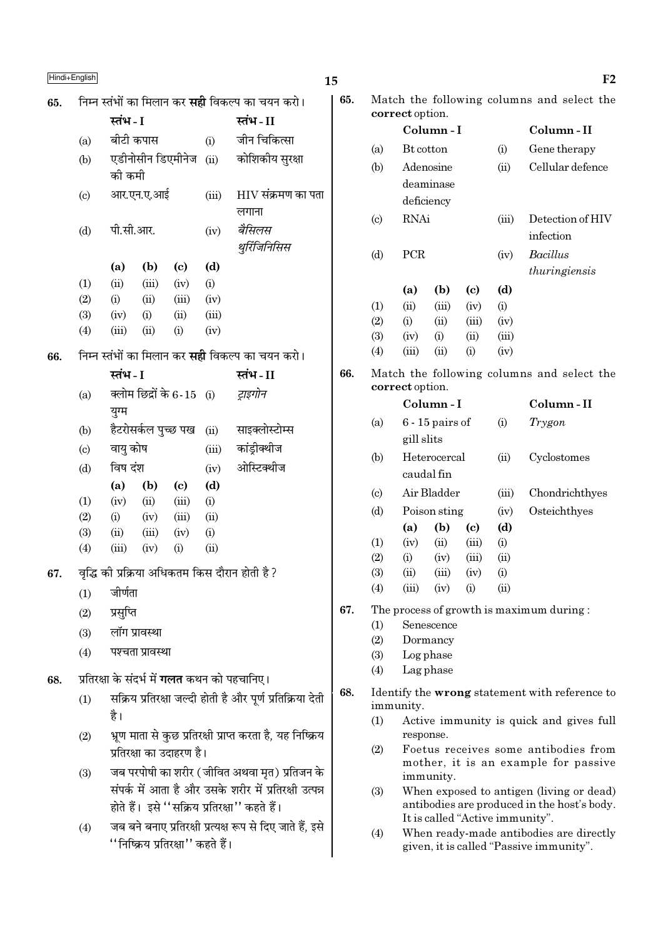|     | Hindi+English              |                                                         |       |                                                            | 15  |                            |                 |                        |                            |       | F <sub>2</sub>                                                                 |
|-----|----------------------------|---------------------------------------------------------|-------|------------------------------------------------------------|-----|----------------------------|-----------------|------------------------|----------------------------|-------|--------------------------------------------------------------------------------|
| 65. |                            | निम्न स्तंभों का मिलान कर <b>सही</b> विकल्प का चयन करो। |       |                                                            | 65. |                            |                 |                        |                            |       | Match the following columns and select the                                     |
|     |                            | स्तंभ - I                                               |       | स्तंभ-II                                                   |     |                            | correct option. |                        |                            |       | Column-II                                                                      |
|     | (a)                        | बीटी कपास                                               | (i)   | जीन चिकित्सा                                               |     |                            | Bt cotton       | Column-I               |                            |       |                                                                                |
|     | (b)                        | एडीनोसीन डिएमीनेज                                       | (ii)  | कोशिकीय सुरक्षा                                            |     | (a)                        |                 |                        |                            | (i)   | Gene therapy<br>Cellular defence                                               |
|     |                            | को कमी                                                  |       |                                                            |     | (b)                        |                 | Adenosine<br>deaminase |                            | (ii)  |                                                                                |
|     | $\left( \mathrm{c}\right)$ | आर.एन.ए.आई                                              | (iii) | $HIV$ संक्रमण का पता                                       |     |                            |                 | deficiency             |                            |       |                                                                                |
|     |                            |                                                         |       | लगाना                                                      |     | $\left( \mathrm{c}\right)$ | <b>RNAi</b>     |                        |                            | (iii) | Detection of HIV                                                               |
|     | (d)                        | पी.सी.आर.                                               | (iv)  | बैसिलस                                                     |     |                            |                 |                        |                            |       | infection                                                                      |
|     |                            |                                                         |       | थुरिंजिनिसिस                                               |     | (d)                        | PCR             |                        |                            | (iv)  | <b>Bacillus</b>                                                                |
|     |                            | (b)<br>(a)<br>$\left( \mathrm{c}\right)$                | (d)   |                                                            |     |                            |                 |                        |                            |       | thuringiensis                                                                  |
|     | (1)                        | (ii)<br>(iii)<br>(iv)                                   | (i)   |                                                            |     |                            | (a)             | (b)                    | $\left( \mathrm{c}\right)$ | (d)   |                                                                                |
|     | (2)                        | (i)<br>(ii)<br>(iii)                                    | (iv)  |                                                            |     | (1)                        | (ii)            | (iii)                  | (iv)                       | (i)   |                                                                                |
|     | (3)                        | (iv)<br>(i)<br>(ii)                                     | (iii) |                                                            |     | (2)                        | (i)             | (ii)                   | (iii)                      | (iv)  |                                                                                |
|     | (4)                        | (iii)<br>(ii)<br>(i)                                    | (iv)  |                                                            |     | (3)                        | (iv)            | (i)                    | (ii)                       | (iii) |                                                                                |
| 66. |                            | निम्न स्तंभों का मिलान कर <b>सही</b> विकल्प का चयन करो। |       |                                                            |     | (4)                        | (iii)           | (ii)                   | (i)                        | (iv)  |                                                                                |
|     |                            | स्तंभ - I                                               |       | स्तंभ-II                                                   | 66. |                            |                 |                        |                            |       | Match the following columns and select the                                     |
|     | (a)                        | क्लोम छिद्रों के 6-15 (i)                               |       | ट्राइगोन                                                   |     |                            | correct option. | Column-I               |                            |       | Column-II                                                                      |
|     |                            | युग्म                                                   |       |                                                            |     |                            |                 |                        |                            |       |                                                                                |
|     | (b)                        | हैटरोसर्कल पुच्छ पख                                     | (ii)  | साइक्लोस्टोम्स                                             |     | (a)                        | gill slits      | $6 - 15$ pairs of      |                            | (i)   | Trygon                                                                         |
|     | $\left( \mathrm{c}\right)$ | वायु कोष                                                | (iii) | कांड़ीक्थीज                                                |     | (b)                        |                 | Heterocercal           |                            | (ii)  | Cyclostomes                                                                    |
|     | (d)                        | विष दंश                                                 | (iv)  | ओस्टिक्थीज                                                 |     |                            |                 | caudal fin             |                            |       |                                                                                |
|     |                            | (a)<br>(b)<br>$\left( \mathrm{c}\right)$                | (d)   |                                                            |     | $\left( \mathrm{c}\right)$ |                 | Air Bladder            |                            | (iii) | Chondrichthyes                                                                 |
|     | (1)                        | (ii)<br>(iii)<br>(iv)                                   | (i)   |                                                            |     | (d)                        |                 | Poison sting           |                            | (iv)  | Osteichthyes                                                                   |
|     | (2)                        | (i)<br>(iii)<br>(iv)                                    | (ii)  |                                                            |     |                            | (a)             | (b)                    | $\left( \mathrm{c}\right)$ | (d)   |                                                                                |
|     | (3)                        | (ii)<br>(iii)<br>(iv)                                   | (i)   |                                                            |     | (1)                        | (iv)            | (ii)                   | (iii)                      | (i)   |                                                                                |
|     | (4)                        | (iii)<br>(iv)<br>(i)                                    | (ii)  |                                                            |     | (2)                        | (i)             | (iv)                   | (iii)                      | (ii)  |                                                                                |
| 67. |                            | वृद्धि की प्रक्रिया अधिकतम किस दौरान होती है?           |       |                                                            |     | (3)                        | (ii)            | (iii)                  | (iv)                       | (i)   |                                                                                |
|     | (1)                        | जीर्णता                                                 |       |                                                            |     | (4)                        | (iii)           | (iv)                   | (i)                        | (ii)  |                                                                                |
|     | (2)                        | प्रसुप्ति                                               |       |                                                            | 67. |                            |                 |                        |                            |       | The process of growth is maximum during:                                       |
|     | (3)                        | लॉग प्रावस्था                                           |       |                                                            |     | (1)                        |                 | Senescence             |                            |       |                                                                                |
|     | (4)                        | पश्चता प्रावस्था                                        |       |                                                            |     | (2)<br>(3)                 |                 | Dormancy<br>Log phase  |                            |       |                                                                                |
|     |                            |                                                         |       |                                                            |     | (4)                        |                 | Lag phase              |                            |       |                                                                                |
| 68. |                            | प्रतिरक्षा के संदर्भ में <b>गलत</b> कथन को पहचानिए।     |       |                                                            | 68. |                            |                 |                        |                            |       | Identify the wrong statement with reference to                                 |
|     | (1)                        |                                                         |       | सक्रिय प्रतिरक्षा जल्दी होती है और पूर्ण प्रतिक्रिया देती  |     |                            | immunity.       |                        |                            |       |                                                                                |
|     |                            | है।                                                     |       |                                                            |     | (1)                        |                 |                        |                            |       | Active immunity is quick and gives full                                        |
|     | (2)                        |                                                         |       | भ्रूण माता से कुछ प्रतिरक्षी प्राप्त करता है, यह निष्क्रिय |     |                            | response.       |                        |                            |       |                                                                                |
|     |                            | प्रतिरक्षा का उदाहरण है।                                |       |                                                            |     | (2)                        |                 |                        |                            |       | Foetus receives some antibodies from<br>mother, it is an example for passive   |
|     | (3)                        |                                                         |       | जब परपोषी का शरीर (जीवित अथवा मृत) प्रतिजन के              |     |                            |                 | immunity.              |                            |       |                                                                                |
|     |                            |                                                         |       | संपर्क में आता है और उसके शरीर में प्रतिरक्षी उत्पन्न      |     | (3)                        |                 |                        |                            |       | When exposed to antigen (living or dead)                                       |
|     |                            | होते हैं।  इसे ''सक्रिय प्रतिरक्षा'' कहते हैं।          |       |                                                            |     |                            |                 |                        |                            |       | antibodies are produced in the host's body.<br>It is called "Active immunity". |
|     | (4)                        |                                                         |       | जब बने बनाए प्रतिरक्षी प्रत्यक्ष रूप से दिए जाते हैं, इसे  |     | (4)                        |                 |                        |                            |       | When ready-made antibodies are directly                                        |
|     |                            | ''निष्क्रिय प्रतिरक्षा'' कहते हैं।                      |       |                                                            |     |                            |                 |                        |                            |       | given, it is called "Passive immunity".                                        |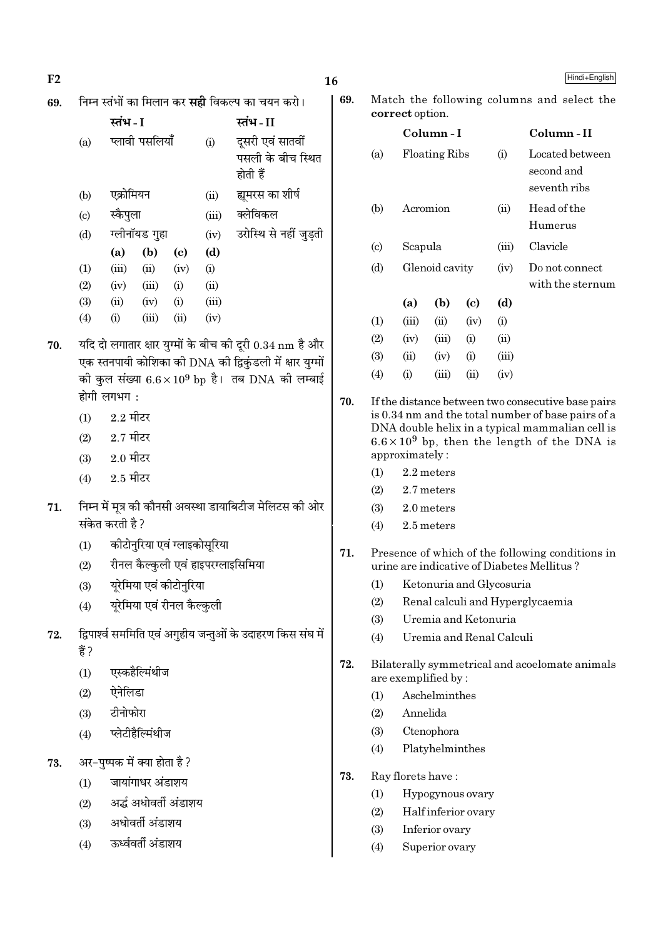| F <sub>2</sub> |       |                                                                   |             |                                                        | 16  |                                                    |                                                    |                          |      |                | Hindi+English                                                                                          |
|----------------|-------|-------------------------------------------------------------------|-------------|--------------------------------------------------------|-----|----------------------------------------------------|----------------------------------------------------|--------------------------|------|----------------|--------------------------------------------------------------------------------------------------------|
| 69.            |       | निम्न स्तंभों का मिलान कर <b>सही</b> विकल्प का चयन करो।           |             |                                                        | 69. |                                                    |                                                    |                          |      |                | Match the following columns and select the                                                             |
|                |       | स्तंभ - I                                                         |             | स्तंभ-II                                               |     |                                                    | correct option.                                    |                          |      |                |                                                                                                        |
|                | (a)   | प्लावी पसलियाँ                                                    | (i)         | दूसरी एवं सातवीं                                       |     |                                                    |                                                    | Column-I                 |      |                | Column-II                                                                                              |
|                |       |                                                                   |             | पसली के बीच स्थित                                      |     | (a)                                                |                                                    | <b>Floating Ribs</b>     |      | (i)            | Located between<br>second and                                                                          |
|                |       |                                                                   | होती हैं    |                                                        |     |                                                    |                                                    |                          |      |                | seventh ribs                                                                                           |
|                | (b)   | एक्रोमियन                                                         | (ii)        | ह्यूमरस का शीर्ष                                       |     | (b)                                                |                                                    |                          |      | (ii)           | Head of the                                                                                            |
|                | (c)   | स्कैपुला                                                          | (iii)       | क्लेविकल                                               |     |                                                    | Acromion                                           |                          |      |                | Humerus                                                                                                |
|                | (d)   | ग्लीनॉयड गुहा                                                     | (iv)<br>(d) | उरोस्थि से नहीं जुड़ती                                 |     | $\left( \mathrm{c} \right)$                        | Scapula                                            |                          |      | (iii)          | Clavicle                                                                                               |
|                | (1)   | (b)<br>(a)<br>$\left( \mathrm{c}\right)$<br>(iii)<br>(ii)<br>(iv) |             |                                                        | (d) |                                                    | Glenoid cavity                                     |                          | (iv) | Do not connect |                                                                                                        |
|                | (2)   | (iv)<br>(iii)<br>(i)                                              | (i)<br>(ii) |                                                        |     |                                                    |                                                    |                          |      |                | with the sternum                                                                                       |
|                | (3)   | (i)<br>(ii)<br>(iv)                                               | (iii)       |                                                        |     |                                                    | (a)                                                | (b)                      | (c)  | (d)            |                                                                                                        |
|                | (4)   | (iii)<br>(i)<br>(ii)                                              | (iv)        |                                                        |     | (1)                                                | (iii)                                              | (ii)                     | (iv) | (i)            |                                                                                                        |
| 70.            |       | यदि दो लगातार क्षार युग्मों के बीच की दूरी 0.34 nm है और          |             |                                                        |     | (2)                                                | (iv)                                               | (iii)                    | (i)  | (ii)           |                                                                                                        |
|                |       | एक स्तनपायी कोशिका की DNA की द्विकुंडली में क्षार युग्मों         |             |                                                        |     | (3)                                                | (ii)                                               | (iv)                     | (i)  | (iii)          |                                                                                                        |
|                |       | को कुल संख्या $6.6 \times 10^9$ bp है। तब DNA को लम्बाई           |             |                                                        |     | (4)                                                | (i)                                                | (iii)                    | (ii) | (iv)           |                                                                                                        |
|                |       | होगी लगभग:                                                        |             |                                                        | 70. | If the distance between two consecutive base pairs |                                                    |                          |      |                |                                                                                                        |
|                | (1)   | $2.2 \overline{\text{H}}$ टर                                      |             |                                                        |     |                                                    | is 0.34 nm and the total number of base pairs of a |                          |      |                |                                                                                                        |
|                | (2)   | $2.7$ मीटर                                                        |             |                                                        |     |                                                    |                                                    |                          |      |                | DNA double helix in a typical mammalian cell is<br>$6.6 \times 10^9$ bp, then the length of the DNA is |
|                | (3)   | $2.0$ मीटर                                                        |             |                                                        |     |                                                    | approximately:                                     |                          |      |                |                                                                                                        |
|                | (4)   | $2.5$ मीटर                                                        |             |                                                        |     | (1)                                                |                                                    | 2.2 meters               |      |                |                                                                                                        |
|                |       |                                                                   |             | निम्न में मूत्र की कौनसी अवस्था डायाबिटीज मेलिटस की ओर |     | (2)<br>(3)                                         |                                                    | 2.7 meters               |      |                |                                                                                                        |
| 71.            |       | संकेत करती है ?                                                   |             |                                                        |     | 2.0 meters<br>(4)<br>2.5 meters                    |                                                    |                          |      |                |                                                                                                        |
|                | (1)   | कीटोनुरिया एवं ग्लाइकोसूरिया                                      |             |                                                        |     |                                                    |                                                    |                          |      |                |                                                                                                        |
|                | (2)   | रीनल कैल्कुली एवं हाइपरग्लाइसिमिया                                |             |                                                        | 71. |                                                    |                                                    |                          |      |                | Presence of which of the following conditions in<br>urine are indicative of Diabetes Mellitus?         |
|                | (3)   | यूरेमिया एवं कीटोनुरिया                                           |             |                                                        |     | (1)                                                |                                                    | Ketonuria and Glycosuria |      |                |                                                                                                        |
|                | (4)   | यूरेमिया एवं रीनल कैल्कुली                                        |             |                                                        |     | (2)                                                |                                                    |                          |      |                | Renal calculi and Hyperglycaemia                                                                       |
|                |       |                                                                   |             |                                                        |     | (3)                                                |                                                    | Uremia and Ketonuria     |      |                |                                                                                                        |
| 72.            |       | द्विपार्श्व सममिति एवं अगुहीय जन्तुओं के उदाहरण किस संघ में       |             |                                                        |     | (4)                                                |                                                    | Uremia and Renal Calculi |      |                |                                                                                                        |
|                | हैं ? |                                                                   |             |                                                        | 72. |                                                    |                                                    |                          |      |                | Bilaterally symmetrical and acoelomate animals                                                         |
|                | (1)   | एस्कहैल्मिंथीज                                                    |             |                                                        |     |                                                    |                                                    | are exemplified by:      |      |                |                                                                                                        |
|                | (2)   | ऐनेलिडा                                                           |             |                                                        |     | (1)                                                |                                                    | Aschelminthes            |      |                |                                                                                                        |
|                | (3)   | टीनोफोरा                                                          |             |                                                        |     | (2)                                                | Annelida                                           |                          |      |                |                                                                                                        |
|                | (4)   | प्लेटीहैल्मिंथीज                                                  |             |                                                        |     | (3)                                                |                                                    | Ctenophora               |      |                |                                                                                                        |
| 73.            |       | अर-पुष्पक में क्या होता है ?                                      |             |                                                        |     | (4)                                                |                                                    | Platyhelminthes          |      |                |                                                                                                        |
|                | (1)   | जायांगाधर अंडाशय                                                  |             |                                                        | 73. |                                                    |                                                    | Ray florets have:        |      |                |                                                                                                        |
|                | (2)   | अर्द्ध अधोवर्ती अंडाशय                                            |             |                                                        |     | Hypogynous ovary<br>(1)                            |                                                    |                          |      |                |                                                                                                        |
|                | (3)   | अधोवर्ती अंडाशय                                                   |             |                                                        |     | Half inferior ovary<br>(2)                         |                                                    |                          |      |                |                                                                                                        |
|                |       | ऊर्ध्ववर्ती अंडाशय                                                |             |                                                        |     | Inferior ovary<br>(3)<br>Superior ovary            |                                                    |                          |      |                |                                                                                                        |
|                | (4)   |                                                                   |             |                                                        |     | (4)                                                |                                                    |                          |      |                |                                                                                                        |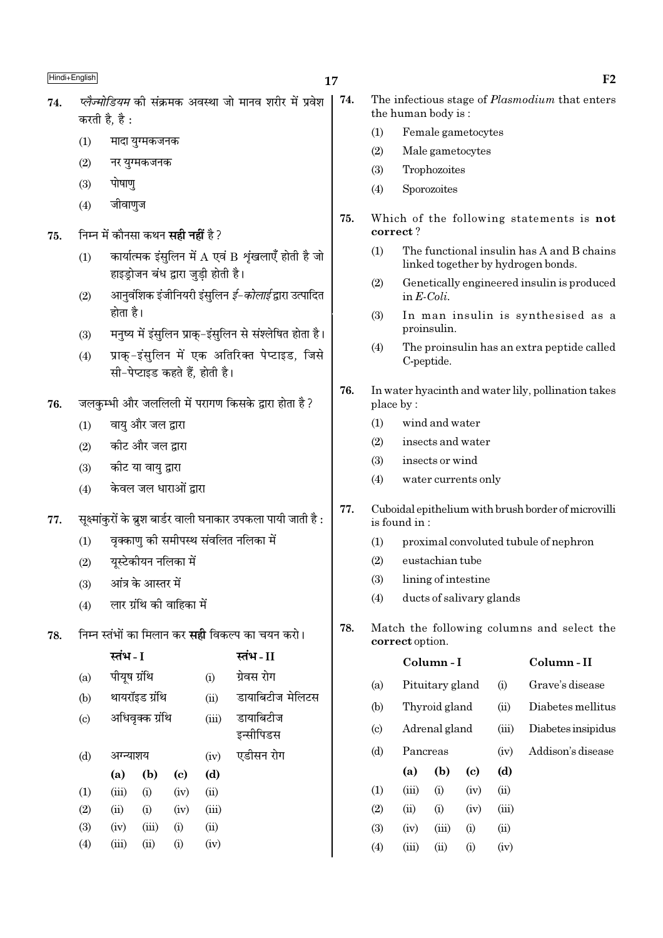| 74. | <i>प्लेज्मोडियम</i> की संक्रमक अवस्था जो मानव शरीर में प्रवेश   74. |  |  |  |
|-----|---------------------------------------------------------------------|--|--|--|
|     | करती है, है :                                                       |  |  |  |

- $(1)$ मादा युग्मकजनक
- $(2)$ नर यग्मकजनक
- पोषाण  $(3)$
- $(4)$ जीवाणज
- निम्न में कौनसा कथन **सही नहीं** है ? 75.
	- कार्यात्मक इंसुलिन में  $A$  एवं B शृंखलाएँ होती है जो  $(1)$ हाइड्रोजन बंध द्वारा जुड़ी होती है।
	- आनवंशिक इंजीनियरी इंसुलिन *ई–कोलाई* द्वारा उत्पादित  $(2)$ होता है।
	- मनष्य में इंसलिन प्राक-इंसलिन से संश्लेषित होता है।  $(3)$
	- प्राक्-इंसुलिन में एक अतिरिक्त पेप्टाइड, जिसे  $(4)$ सी-पेप्टाइड कहते हैं. होती है।
- जलकम्भी और जललिली में परागण किसके द्वारा होता है? 76.
	- वाय और जल द्वारा  $(1)$
	- कीट और जल द्वारा  $(2)$
	- कीट या वायु द्वारा  $(3)$
	- केवल जल धाराओं द्रारा  $(4)$
- सूक्ष्मांकुरों के ब्रुश बार्डर वाली घनाकार उपकला पायी जाती है : 77.
	- वृक्काणु को समीपस्थ संवलित नलिका में  $(1)$
	- यस्टेकीयन नलिका में  $(2)$
	- आंत्र के आस्तर में  $(3)$
	- लार ग्रंथि की वाहिका में  $(4)$
- निम्न स्तंभों का मिलान कर **सद्दी** विकल्प का चयन करो। 78.

|                           | स्तंभ - I    |                 |      |       | स्तंभ - II       |
|---------------------------|--------------|-----------------|------|-------|------------------|
| (a)                       | पीयूष ग्रंथि |                 |      | (i)   | ग्रेवस रोग       |
| (b)                       |              | थायरॉइड ग्रंथि  |      | (ii)  | डायाबिटीज मेलिटस |
| $\left( \text{c} \right)$ |              | अधिवृक्क ग्रंथि |      | (iii) | डायाबिटीज        |
|                           |              |                 |      |       | इन्सीपिडस        |
| (d)                       | अग्न्याशय    |                 |      | (iv)  | एडीसन रोग        |
|                           | (a)          | (b)             | (c)  | (d)   |                  |
| (1)                       | (iii)        | (i)             | (iv) | (ii)  |                  |
| (2)                       | (ii)         | (i)             | (iv) | (iii) |                  |
| (3)                       | (iv)         | (iii)           | (i)  | (ii)  |                  |
| (4)                       | (iii)        | (ii)            | (i)  | (iv)  |                  |
|                           |              |                 |      |       |                  |

- The infectious stage of *Plasmodium* that enters the human body is:
- $(1)$ Female gametocytes
- $(2)$ Male gametocytes
- $(3)$ Trophozoites
- $(4)$ Sporozoites
- 75. Which of the following statements is not correct?
	- $(1)$ The functional insulin has A and B chains linked together by hydrogen bonds.
	- $(2)$ Genetically engineered insulin is produced in  $E\text{-}Coli$ .
	- In man insulin is synthesised as a  $(3)$ proinsulin.
	- The proinsulin has an extra peptide called  $(4)$ C-peptide.
- 76. In water hyacinth and water lily, pollination takes place by:
	- wind and water  $(1)$
	- $(2)$ insects and water
	- insects or wind  $(3)$
	- $(4)$ water currents only
- 77. Cuboidal epithelium with brush border of microvilli is found in:
	- proximal convoluted tubule of nephron  $(1)$
	- $(2)$ eustachian tube
	- $(3)$ lining of intestine
	- ducts of salivary glands  $(4)$
- 78. Match the following columns and select the correct option.

|                             |          | Column-I        |      | Column - II |                    |
|-----------------------------|----------|-----------------|------|-------------|--------------------|
| (a)                         |          | Pituitary gland |      | (i)         | Grave's disease    |
| (b)                         |          | Thyroid gland   |      | (ii)        | Diabetes mellitus  |
| $\left( \mathrm{c} \right)$ |          | Adrenal gland   |      | (iii)       | Diabetes insipidus |
| (d)                         | Pancreas |                 |      | (iv)        | Addison's disease  |
|                             | (a)      | (b)             | (c)  | (d)         |                    |
| (1)                         | (iii)    | (i)             | (iv) | (ii)        |                    |
| (2)                         | (ii)     | (i)             | (iv) | (iii)       |                    |
| (3)                         | (iv)     | (iii)           | (i)  | (ii)        |                    |
| (4)                         | (iii)    | $\rm (ii)$      | (i)  | (iv)        |                    |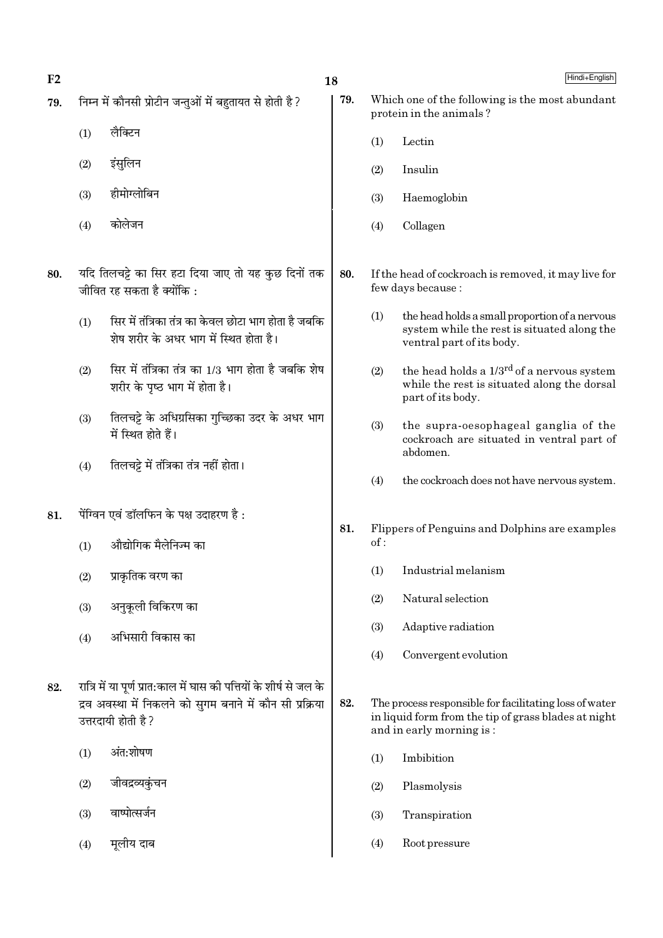$F<sub>2</sub>$ 

- निम्न में कौनसी प्रोटीन जन्तओं में बहतायत से होती है ? 79.
	- लैक्टिन  $(1)$
	- $(2)$ इंसुलिन
	- हीमोग्लोबिन  $(3)$
	- कोलेजन  $(4)$
- यदि तिलचट्टे का सिर हटा दिया जाए तो यह कुछ दिनों तक 80. जीवित रह सकता है क्योंकि :
	- सिर में तंत्रिका तंत्र का केवल छोटा भाग होता है जबकि  $(1)$ .<br>शेष शरीर के अधर भाग में स्थित होता है।
	- सिर में तंत्रिका तंत्र का 1/3 भाग होता है जबकि शेष  $(2)$ शरीर के पष्ठ भाग में होता है।
	- तिलचट्टे के अधिग्रसिका गुच्छिका उदर के अधर भाग  $(3)$ में स्थित होते हैं।
	- तिलचट्टे में तंत्रिका तंत्र नहीं होता।  $(4)$
- पेंग्विन एवं डॉलफिन के पक्ष उदाहरण है: 81.
	- औद्योगिक मैलेनिज्म का  $(1)$
	- प्राकृतिक वरण का  $(2)$
	- अनुकूली विकिरण का  $(3)$
	- अभिसारी विकास का  $(4)$
- रात्रि में या पर्ण प्रात:काल में घास की पत्तियों के शीर्ष से जल के 82. द्रव अवस्था में निकलने को सगम बनाने में कौन सी प्रक्रिया उत्तरदायी होती है ?
	- अंत:शोषण  $(1)$
	- जीवद्रव्यकुंचन  $(2)$
	- वाष्पोत्सर्जन  $(3)$
	- मुलीय दाब  $(4)$

18

79.

80.

81.

82.

Which one of the following is the most abundant protein in the animals? Lectin  $(1)$ Insulin  $(2)$  $(3)$ Haemoglobin  $(4)$ Collagen If the head of cockroach is removed, it may live for few days because:  $(1)$ the head holds a small proportion of a nervous system while the rest is situated along the ventral part of its body.  $(2)$ the head holds a 1/3<sup>rd</sup> of a nervous system while the rest is situated along the dorsal part of its body.  $(3)$ the supra-oesophageal ganglia of the cockroach are situated in ventral part of abdomen.  $(4)$ the cockroach does not have nervous system. Flippers of Penguins and Dolphins are examples  $of:$  $(1)$ Industrial melanism Natural selection  $(2)$  $(3)$ Adaptive radiation  $(4)$ Convergent evolution The process responsible for facilitating loss of water in liquid form from the tip of grass blades at night and in early morning is:  $(1)$ Imbibition  $(2)$ Plasmolysis  $(3)$ Transpiration  $(4)$ Root pressure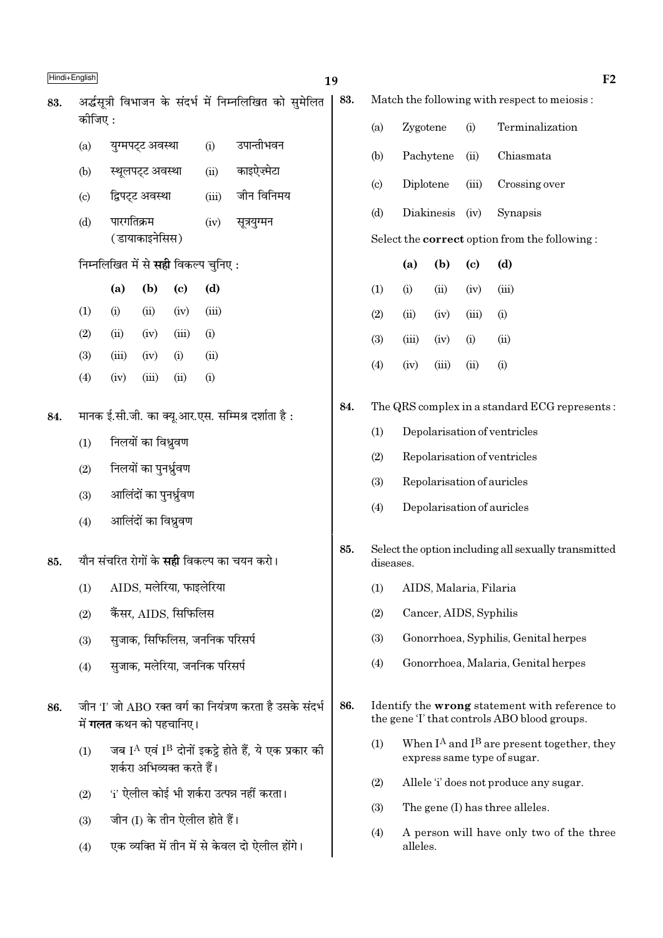|     | Hindi+English              |                                                                         |                        |                             |                               |                                                                             | 19  |           |                                                      |                        |                            | F <sub>2</sub>                                                                                 |  |
|-----|----------------------------|-------------------------------------------------------------------------|------------------------|-----------------------------|-------------------------------|-----------------------------------------------------------------------------|-----|-----------|------------------------------------------------------|------------------------|----------------------------|------------------------------------------------------------------------------------------------|--|
| 83. |                            |                                                                         |                        |                             |                               | अर्द्धसूत्री विभाजन के संदर्भ में निम्नलिखित को सुमेलित                     | 83. |           |                                                      |                        |                            | Match the following with respect to meiosis:                                                   |  |
|     | कीजिए :                    |                                                                         |                        |                             |                               |                                                                             |     | (a)       | Zygotene                                             |                        | (i)                        | Terminalization                                                                                |  |
|     | (a)                        |                                                                         | युग्मपट्ट अवस्था       |                             | (i)                           | उपान्तीभवन                                                                  |     | (b)       |                                                      | Pachytene              | (ii)                       | Chiasmata                                                                                      |  |
|     | (b)                        |                                                                         | स्थूलपट्ट अवस्था       |                             | (ii)                          | काइऐज़्मेटा                                                                 |     | (c)       | Diplotene                                            |                        | (iii)                      | Crossing over                                                                                  |  |
|     | $\left( \mathrm{c}\right)$ |                                                                         | द्विपट्ट अवस्था        |                             | (iii)                         | जीन विनिमय                                                                  |     | (d)       |                                                      | Diakinesis             | (iv)                       | Synapsis                                                                                       |  |
|     | (d)                        | पारगतिक्रम                                                              | (डायाकाइनेसिस)         |                             | (iv)                          | सूत्रयुग्मन                                                                 |     |           |                                                      |                        |                            | Select the correct option from the following:                                                  |  |
|     |                            | निम्नलिखित में से सही विकल्प चुनिए:                                     |                        |                             |                               |                                                                             |     |           | (a)                                                  | (b)                    | $\left( \mathrm{e}\right)$ | (d)                                                                                            |  |
|     |                            | (a)                                                                     | (b)                    | $\left( \mathbf{c} \right)$ | (d)                           |                                                                             |     | (1)       | (i)                                                  | (ii)                   | (iv)                       | (iii)                                                                                          |  |
|     | (1)                        | (i)                                                                     | (ii)                   | (iv)                        | (iii)                         |                                                                             |     | (2)       | (ii)                                                 | (iv)                   | (iii)                      | (i)                                                                                            |  |
|     | (2)                        | (ii)                                                                    | (iv)                   | (iii)                       | (i)                           |                                                                             |     | (3)       | (iii)                                                | (iv)                   | (i)                        | (ii)                                                                                           |  |
|     | (3)<br>(4)                 | (iii)<br>(iv)                                                           | (iv)<br>(iii)          | (i)<br>(ii)                 | (ii)<br>(i)                   |                                                                             |     | (4)       | (iv)                                                 | (iii)                  | (ii)                       | (i)                                                                                            |  |
|     |                            |                                                                         |                        |                             |                               |                                                                             | 84. |           |                                                      |                        |                            | The QRS complex in a standard ECG represents:                                                  |  |
| 84. |                            | मानक ई.सी.जी. का क्यू.आर.एस. सम्मिश्र दर्शाता है:<br>निलयों का विध्रुवण |                        |                             |                               |                                                                             |     | (1)       |                                                      |                        |                            | Depolarisation of ventricles                                                                   |  |
|     | (1)                        |                                                                         |                        |                             |                               |                                                                             |     | (2)       |                                                      |                        |                            | Repolarisation of ventricles                                                                   |  |
|     | (2)                        |                                                                         | निलयों का पुनर्ध्रुवण  |                             |                               |                                                                             |     | (3)       |                                                      |                        |                            | Repolarisation of auricles                                                                     |  |
|     | (3)                        |                                                                         | आलिंदों का पुनर्ध्रुवण |                             |                               |                                                                             |     | (4)       | Depolarisation of auricles                           |                        |                            |                                                                                                |  |
|     | (4)                        |                                                                         | आलिंदों का विध्रुवण    |                             |                               |                                                                             |     |           |                                                      |                        |                            |                                                                                                |  |
| 85. |                            |                                                                         |                        |                             |                               | यौन संचरित रोगों के <b>सही</b> विकल्प का चयन करो।                           | 85. | diseases. |                                                      |                        |                            | Select the option including all sexually transmitted                                           |  |
|     | (1)                        |                                                                         |                        | AIDS, मलेरिया, फाइलेरिया    |                               |                                                                             |     | (1)       |                                                      | AIDS, Malaria, Filaria |                            |                                                                                                |  |
|     | (2)                        |                                                                         |                        | कैंसर, AIDS, सिफिलिस        |                               |                                                                             |     | (2)       |                                                      | Cancer, AIDS, Syphilis |                            |                                                                                                |  |
|     | (3)                        |                                                                         |                        |                             | सुजाक, सिफिलिस, जननिक परिसर्प |                                                                             |     | (3)       |                                                      |                        |                            | Gonorrhoea, Syphilis, Genital herpes                                                           |  |
|     | (4)                        |                                                                         |                        |                             | सुजाक, मलेरिया, जननिक परिसर्प |                                                                             |     | (4)       |                                                      |                        |                            | Gonorrhoea, Malaria, Genital herpes                                                            |  |
| 86. |                            | में <b>गलत</b> कथन को पहचानिए।                                          |                        |                             |                               | जीन 'I' जो ABO रक्त वर्ग का नियंत्रण करता है उसके संदर्भ                    | 86. |           |                                                      |                        |                            | Identify the wrong statement with reference to<br>the gene 'I' that controls ABO blood groups. |  |
|     | (1)                        |                                                                         |                        | शर्करा अभिव्यक्त करते हैं।  |                               | जब I <sup>A</sup> एवं I <sup>B</sup> दोनों इकट्ठे होते हैं, ये एक प्रकार की |     | (1)       |                                                      |                        |                            | When $I^A$ and $I^B$ are present together, they<br>express same type of sugar.                 |  |
|     | (2)                        |                                                                         |                        |                             |                               | 'i' ऐलील कोई भी शर्करा उत्पन्न नहीं करता।                                   |     | (2)       | Allele 'i' does not produce any sugar.               |                        |                            |                                                                                                |  |
|     | (3)                        |                                                                         |                        |                             | जीन (I) के तीन ऐलील होते हैं। |                                                                             |     | (3)       | The gene (I) has three alleles.                      |                        |                            |                                                                                                |  |
|     | (4)                        |                                                                         |                        |                             |                               | एक व्यक्ति में तीन में से केवल दो ऐलील होंगे।                               |     | (4)       | A person will have only two of the three<br>alleles. |                        |                            |                                                                                                |  |
|     |                            |                                                                         |                        |                             |                               |                                                                             |     |           |                                                      |                        |                            |                                                                                                |  |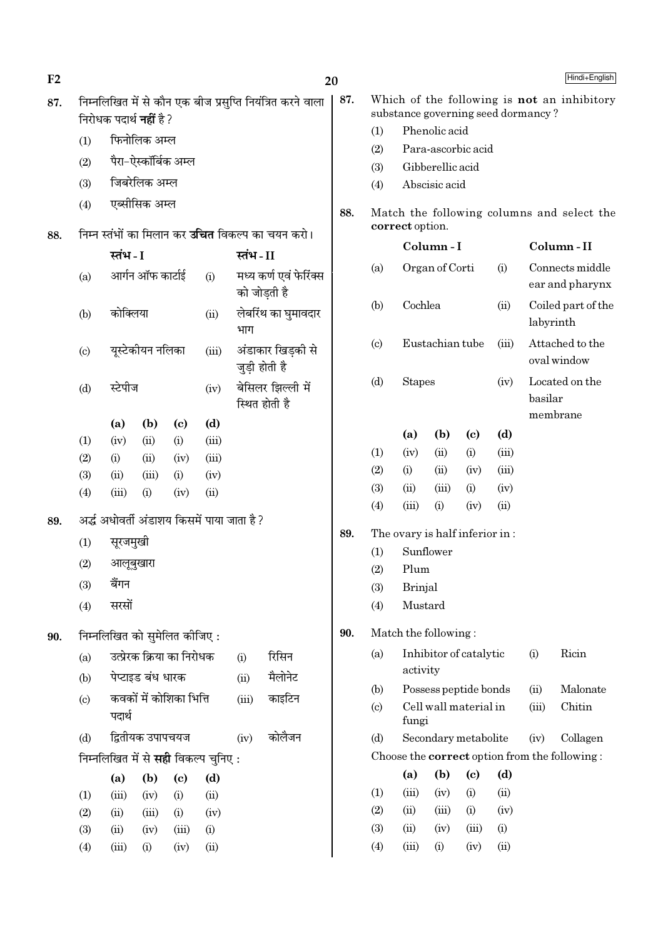| F2  |            |                                |                      |                            |                                              |          |                                                            | 20  |            |                                    |                        |                            |       |           | Hindi+English                                        |
|-----|------------|--------------------------------|----------------------|----------------------------|----------------------------------------------|----------|------------------------------------------------------------|-----|------------|------------------------------------|------------------------|----------------------------|-------|-----------|------------------------------------------------------|
| 87. |            | निरोधक पदार्थ <b>नहीं</b> है ? |                      |                            |                                              |          | निम्नलिखित में से कौन एक बीज प्रसुप्ति नियंत्रित करने वाला | 87. |            | substance governing seed dormancy? |                        |                            |       |           | Which of the following is not an inhibitory          |
|     | (1)        |                                | फिनोलिक अम्ल         |                            |                                              |          |                                                            |     | (1)        |                                    | Phenolic acid          |                            |       |           |                                                      |
|     |            |                                | पैरा-ऐस्कॉर्बिक अम्ल |                            |                                              |          |                                                            |     | (2)        |                                    | Para-ascorbic acid     |                            |       |           |                                                      |
|     | (2)        |                                |                      |                            |                                              |          |                                                            |     | (3)        |                                    | Gibberellic acid       |                            |       |           |                                                      |
|     | (3)        |                                | जिबरेलिक अम्ल        |                            |                                              |          |                                                            |     | (4)        |                                    | Abscisic acid          |                            |       |           |                                                      |
|     | (4)        |                                | एब्सीसिक अम्ल        |                            |                                              |          |                                                            | 88. |            | correct option.                    |                        |                            |       |           | Match the following columns and select the           |
| 88. |            |                                |                      |                            |                                              |          | निम्न स्तंभों का मिलान कर <b>उचित</b> विकल्प का चयन करो।   |     |            |                                    | Column-I               |                            |       |           | Column-II                                            |
|     |            | स्तंभ - I                      |                      |                            |                                              | स्तंभ-II |                                                            |     | (a)        |                                    | Organ of Corti         |                            | (i)   |           | Connects middle                                      |
|     | (a)        |                                | आर्गन ऑफ कार्टाई     |                            | (i)                                          |          | मध्य कर्ण एवं फेरिंक्स<br>को जोडती है                      |     |            |                                    |                        |                            |       |           | ear and pharynx                                      |
|     | (b)        | कोक्लिया                       |                      |                            | (ii)                                         | भाग      | लेबरिंथ का घुमावदार                                        |     | (b)        | Cochlea                            |                        |                            | (ii)  | labyrinth | Coiled part of the                                   |
|     | (c)        |                                | यूस्टेकीयन नलिका     |                            | (iii)                                        |          | अंडाकार खिड़की से<br>जुड़ी होती है                         |     | (c)        |                                    | Eustachian tube        |                            | (iii) |           | Attached to the<br>oval window                       |
|     | (d)        | स्टेपीज                        |                      |                            | (iv)                                         |          | बेसिलर झिल्ली में<br>स्थित होती है                         |     | (d)        | <b>Stapes</b>                      |                        |                            | (iv)  | basilar   | Located on the<br>membrane                           |
|     |            | (a)                            | (b)                  | $\left( \mathrm{c}\right)$ | (d)                                          |          |                                                            |     |            | (a)                                | (b)                    | (c)                        | (d)   |           |                                                      |
|     | (1)        | (iv)                           | (ii)                 | (i)                        | (iii)                                        |          |                                                            |     | (1)        | (iv)                               | (ii)                   | (i)                        | (iii) |           |                                                      |
|     | (2)        | (i)                            | (ii)                 | (iv)                       | (iii)                                        |          |                                                            |     | (2)        | (i)                                | (ii)                   | (iv)                       | (iii) |           |                                                      |
|     | (3)<br>(4) | (ii)<br>(iii)                  | (iii)<br>(i)         | (i)<br>(iv)                | (iv)<br>(ii)                                 |          |                                                            |     | (3)        | (ii)                               | (iii)                  | (i)                        | (iv)  |           |                                                      |
|     |            |                                |                      |                            |                                              |          |                                                            |     | (4)        | (iii)                              | (i)                    | (iv)                       | (ii)  |           |                                                      |
| 89. |            |                                |                      |                            | अर्द्ध अधोवर्ती अंडाशय किसमें पाया जाता है ? |          |                                                            |     |            |                                    |                        |                            |       |           |                                                      |
|     | (1)        | सूरजमुखी                       |                      |                            |                                              |          |                                                            | 89. |            | The ovary is half inferior in:     |                        |                            |       |           |                                                      |
|     | (2)        |                                | आलूबुखारा            |                            |                                              |          |                                                            |     | (1)        | Plum                               | Sunflower              |                            |       |           |                                                      |
|     | (3)        | बैंगन                          |                      |                            |                                              |          |                                                            |     | (2)<br>(3) | <b>Brinjal</b>                     |                        |                            |       |           |                                                      |
|     | (4)        | सरसों                          |                      |                            |                                              |          |                                                            |     | (4)        | Mustard                            |                        |                            |       |           |                                                      |
| 90. |            | निम्नलिखित को सुमेलित कीजिए:   |                      |                            |                                              |          |                                                            | 90. |            | Match the following:               |                        |                            |       |           |                                                      |
|     | (a)        |                                |                      | उत्प्रेरक क्रिया का निरोधक |                                              | (i)      | रिसिन                                                      |     | (a)        |                                    | Inhibitor of catalytic |                            |       | (i)       | Ricin                                                |
|     | (b)        |                                | पेप्टाइड बंध धारक    |                            |                                              | (ii)     | मैलोनेट                                                    |     |            | activity                           |                        |                            |       |           |                                                      |
|     |            |                                |                      |                            |                                              |          |                                                            |     | (b)        |                                    | Possess peptide bonds  |                            |       | (ii)      | Malonate                                             |
|     | (c)        | पदार्थ                         |                      | कवकों में कोशिका भित्ति    |                                              | (iii)    | काइटिन                                                     |     | (c)        | fungi                              | Cell wall material in  |                            |       | (iii)     | Chitin                                               |
|     | (d)        |                                | द्वितीयक उपापचयज     |                            |                                              | (iv)     | कोलैजन                                                     |     | (d)        |                                    | Secondary metabolite   |                            |       | (iv)      | Collagen                                             |
|     |            |                                |                      |                            | निम्नलिखित में से <b>सही</b> विकल्प चुनिए :  |          |                                                            |     |            |                                    |                        |                            |       |           | Choose the <b>correct</b> option from the following: |
|     |            | (a)                            | (b)                  | $\left( \mathrm{c}\right)$ | (d)                                          |          |                                                            |     |            | (a)                                | (b)                    | $\left( \mathrm{e}\right)$ | (d)   |           |                                                      |
|     | (1)        | (iii)                          | (iv)                 | (i)                        | (ii)                                         |          |                                                            |     | (1)        | (iii)                              | (iv)                   | (i)                        | (ii)  |           |                                                      |
|     | (2)        | (ii)                           | (iii)                | (i)                        | (iv)                                         |          |                                                            |     | (2)        | (ii)                               | (iii)                  | (i)                        | (iv)  |           |                                                      |
|     | (3)        | (ii)                           | (iv)                 | (iii)                      | (i)                                          |          |                                                            |     | (3)        | (ii)                               | (iv)                   | (iii)                      | (i)   |           |                                                      |
|     | (4)        | (iii)                          | (i)                  | (iv)                       | (ii)                                         |          |                                                            |     | (4)        | (iii)                              | (i)                    | (iv)                       | (ii)  |           |                                                      |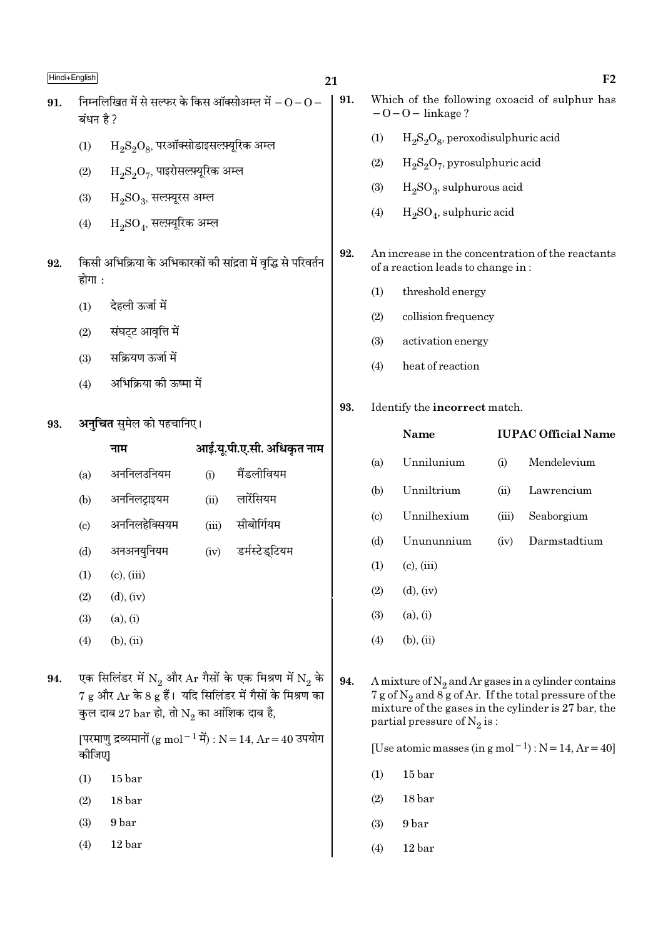- निम्नलिखित में से सल्फर के किस ऑक्सोअम्ल में  $-0$   $0$  91. 91. ਕਂधन है ?
	- $H_2S_2O_8$ , परऑक्सोडाइसल्फ़्यूरिक अम्ल  $(1)$
	- $\rm H_2S_2O_7$ , पाइरोसल्फ़्यूरिक अम्ल  $(2)$
	- $(3)$  $H_2SO_3$ , सलम्यूरस अम्ल
	- $H_2SO_4$ , सल्फ़्यूरिक अम्ल  $(4)$
- किसी अभिक्रिया के अभिकारकों की सांद्रता में वृद्धि से परिवर्तन 92. होगा :
	- देहली ऊर्जा में  $(1)$
	- संघट्ट आवृत्ति में  $(2)$
	- सक्रियण ऊर्जा में  $(3)$
	- अभिक्रिया की ऊष्मा में  $(4)$
- अनचित समेल को पहचानिए। 93.

|                           | नाम                                                     |       | आई.यू.पी.ए.सी. अधिकृत नाम                                    |
|---------------------------|---------------------------------------------------------|-------|--------------------------------------------------------------|
| (a)                       | अननिलउनियम                                              | (i)   | मैंडलीवियम                                                   |
| (b)                       | अननिलट्राइयम                                            | (ii)  | लारेंसियम                                                    |
| $\left( \text{c} \right)$ | अननिलहेक्सियम                                           | (iii) | सीबोर्गियम                                                   |
| (d)                       | अनअनयुनियम                                              | (iv)  | डर्मस्टेड्टियम                                               |
| (1)                       | $(c)$ , $(iii)$                                         |       |                                                              |
| (2)                       | $(d)$ , $(iv)$                                          |       |                                                              |
| (3)                       | (a), (i)                                                |       |                                                              |
| (4)                       | $(b)$ , $(ii)$                                          |       |                                                              |
|                           |                                                         |       |                                                              |
|                           |                                                         |       | एक सिलिंडर में $N_2$ और $Ar$ गैसों के एक मिश्रण में $N_2$ के |
|                           |                                                         |       | 7 g और Ar के 8 g हैं।  यदि सिलिंडर में गैसों के मिश्रण का    |
|                           | कुल दाब 27 $bar$ हो, तो $\mathrm{N}_2$ का आंशिक दाब है, |       |                                                              |
|                           |                                                         |       |                                                              |

[परमाण द्रव्यमानों (g mol - 1 में) : N = 14, Ar = 40 उपयोग कीजिए।

 $(1)$  $15<sub>bar</sub>$ 

94.

- $(2)$  $18<sub>bar</sub>$
- $(3)$ 9 bar
- $(4)$  $12<sub>bar</sub>$
- Which of the following oxoacid of sulphur has  $-0-0$  – linkage?
	- $(1)$  $H_2S_2O_8$ , peroxodisulphuric acid
	- $(2)$  $H_2S_2O_7$ , pyrosulphuric acid
	- $(3)$  $H<sub>2</sub>SO<sub>3</sub>$ , sulphurous acid
	- $H_2SO_4$ , sulphuric acid  $(4)$
- 92. An increase in the concentration of the reactants of a reaction leads to change in:
	- $(1)$ threshold energy
	- $(2)$ collision frequency
	- $(3)$ activation energy
	- $(4)$ heat of reaction
- 93. Identify the incorrect match.

#### Name **IUPAC Official Name** Unnilunium Mendelevium  $(a)$  $(i)$ Unniltrium  $(b)$  $(ii)$ Lawrencium  $(c)$ Unnilhexium  $(iii)$ Seaborgium  $(d)$ Unununnium  $(iv)$ Darmstadtium  $(1)$  $(c)$ ,  $(iii)$  $(d), (iv)$  $(2)$  $(3)$  $(a), (i)$  $(b), (ii)$  $(4)$

94. A mixture of  $N_2$  and Ar gases in a cylinder contains 7 g of  $N_2$  and  $8g$  of Ar. If the total pressure of the mixture of the gases in the cylinder is 27 bar, the partial pressure of  $N_2$  is:

[Use atomic masses (in  $g$  mol<sup>-1</sup>):  $N = 14$ ,  $Ar = 40$ ]

- $(1)$  $15<sub>bar</sub>$
- $(2)$  $18<sub>bar</sub>$
- $(3)$ 9 bar
- $(4)$  $12<sub>bar</sub>$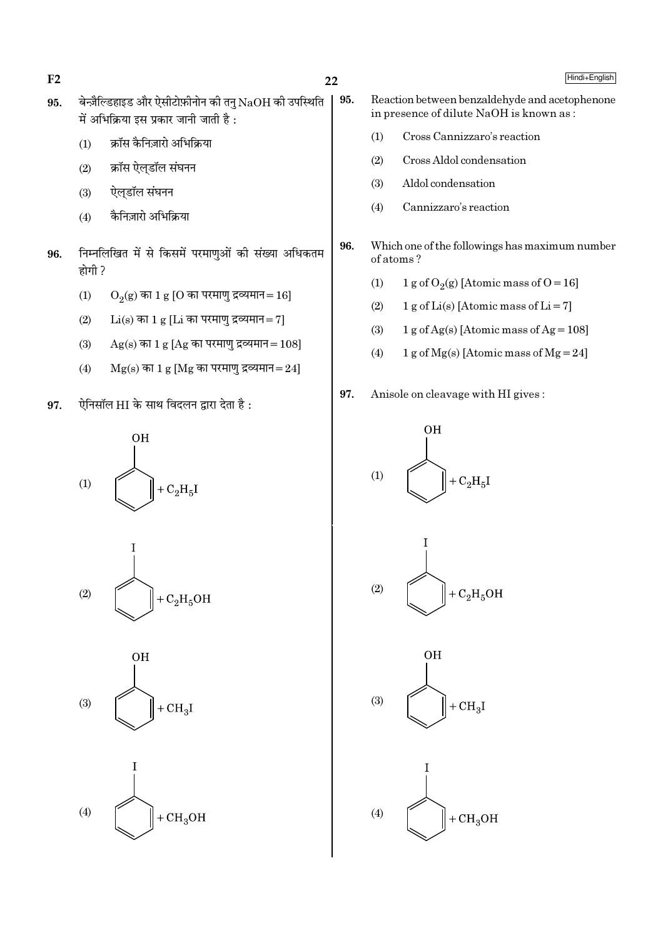$F<sub>2</sub>$ 

- बेन्ज़ैल्डिहाइड और ऐसीटोफ़ीनोन की तनु $\rm NaOH$  की उपस्थिति 95. 95. में अभिक्रिया इस प्रकार जानी जाती है :
	- क्रॉस कैनिज़ारो अभिक्रिया  $(1)$
	- क्रॉस ऐलडॉल संघनन  $(2)$
	- ऐलडॉल संघनन  $(3)$
	- कैनिज़ारो अभिक्रिया  $(4)$
- निम्नलिखित में से किसमें परमाणुओं की संख्या अधिकतम 96. होगी ?
	- $(1)$  $O_2(g)$  का 1 g [O का परमाणु द्रव्यमान=16]
	- $Li(s)$  का 1 g [ $Li$  का परमाणु द्रव्यमान= 7]  $(2)$
	- $(3)$  $Ag(s)$  का 1 g [Ag का परमाणु द्रव्यमान = 108]
	- $Mg(s)$  का 1 g [Mg का परमाणु द्रव्यमान=24]  $(4)$
- ऐनिसॉल HI के साथ विदलन द्वारा देता है: 97.









- Reaction between benzaldehyde and acetophenone in presence of dilute NaOH is known as:
	- Cross Cannizzaro's reaction  $(1)$
	- $(2)$ Cross Aldol condensation
	- Aldol condensation  $(3)$
	- $(4)$ Cannizzaro's reaction
- 96. Which one of the followings has maximum number of atoms?
	- 1 g of O<sub>2</sub>(g) [Atomic mass of O = 16]  $(1)$
	- $(2)$ 1 g of Li(s) [Atomic mass of Li = 7]
	- $1 g$  of Ag(s) [Atomic mass of Ag = 108]  $(3)$
	- 1 g of Mg(s) [Atomic mass of Mg = 24]  $(4)$
- 97. Anisole on cleavage with HI gives:







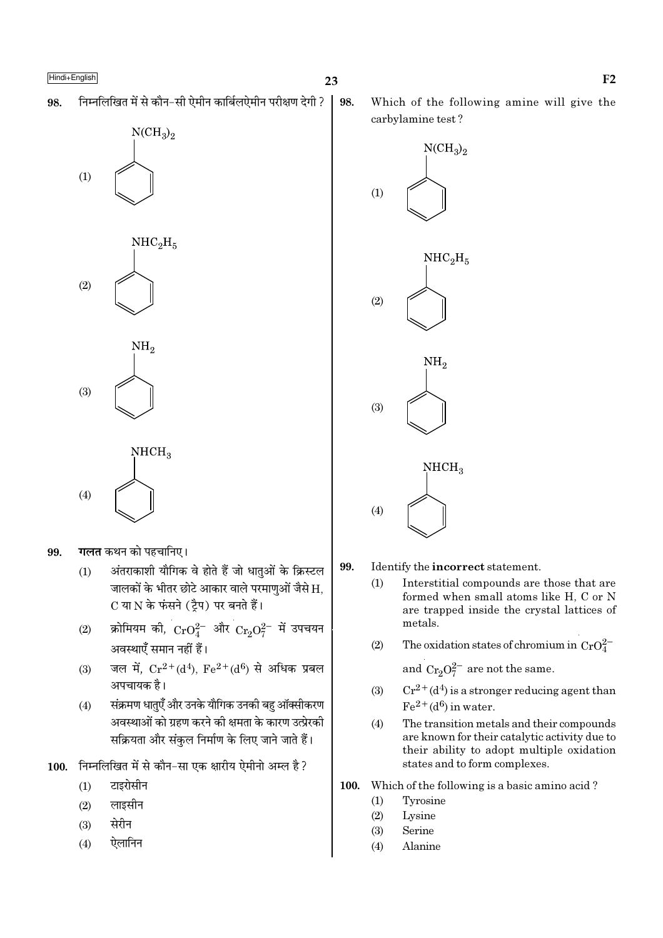निम्नलिखित में से कौन-सी ऐमीन कार्बिलऐमीन परीक्षण देगी ? 98.

 $NCH<sub>3</sub>$ <sub>2</sub>



गलत कथन को पहचानिए। 99.

- अंतराकाशी यौगिक वे होते हैं जो धातुओं के क्रिस्टल  $(1)$ जालकों के भीतर छोटे आकार वाले परमाणुओं जैसे H. C या N के फंसने (ट्रैप) पर बनते हैं।
- क्रोमियम की,  $CrO_4^{2-}$  और  $Cr_2O_7^{2-}$  में उपचयन  $(2)$ अवस्थाएँ समान नहीं हैं।
- जल में,  $Cr^{2+}(d^4)$ ,  $Fe^{2+}(d^6)$  से अधिक प्रबल  $(3)$ अपचायक है।
- संक्रमण धातएँ और उनके यौगिक उनकी बह ऑक्सीकरण  $(4)$ अवस्थाओं को ग्रहण करने की क्षमता के कारण उत्प्रेरकी सक्रियता और संकुल निर्माण के लिए जाने जाते हैं।
- 100. निम्नलिखित में से कौन-सा एक क्षारीय ऐमीनो अम्ल है ?
	- $(1)$ टाइरोसीन
	- लाइसीन  $(2)$
	- सेरीन  $(3)$
	- ऐलानिन  $(4)$

98.

Which of the following amine will give the carbylamine test?



99.

#### Identify the incorrect statement.

- Interstitial compounds are those that are  $(1)$ formed when small atoms like H, C or N are trapped inside the crystal lattices of metals.
- The oxidation states of chromium in  $CrO_4^{2-}$  $(2)$

and  $Cr_2O_7^{2-}$  are not the same.

- $Cr^{2+}(d^4)$  is a stronger reducing agent than  $(3)$  $Fe<sup>2+</sup>(d<sup>6</sup>)$  in water.
- $(4)$ The transition metals and their compounds are known for their catalytic activity due to their ability to adopt multiple oxidation states and to form complexes.
- 100. Which of the following is a basic amino acid?
	- Tyrosine  $(1)$
	- $(2)$ Lysine
	- $(3)$ Serine
	- $(4)$ Alanine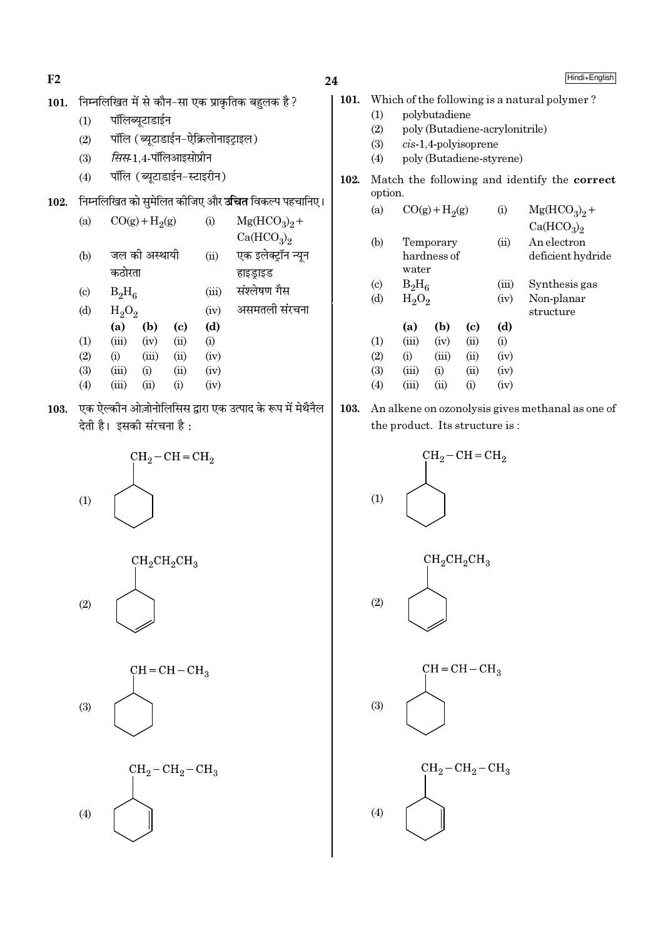$F2$ 

## 24

- निम्नलिखित में से कौन-सा एक प्राकृतिक बहुलक है ? 101.
	- पॉलिब्युटाडाईन  $(1)$
	- पॉलि (ब्यूटाडाईन-ऐक्रिलोनाइट्राइल)  $(2)$
	- सिस-1.4-पॉलिआइसोप्रीन  $(3)$
	- पॉलि (ब्युटाडाईन-स्टाइरीन)  $(4)$
- 102. निम्नलिखित को सुमेलित कीजिए और **उचित** विकल्प पहचानिए।

| (a)                       |          | $CO(g) + H2(g)$ |      | (i)   | $Mg(HCO3)2 +$                      |
|---------------------------|----------|-----------------|------|-------|------------------------------------|
|                           |          |                 |      |       | Ca(HCO <sub>3</sub> ) <sub>2</sub> |
| (b)                       |          | जल की अस्थायी   |      | (ii)  | एक इलेक्ट्रॉन न्यून                |
|                           | कठोरता   |                 |      |       | हाइड्राइड                          |
| $\left( \text{c} \right)$ | $B_2H_6$ |                 |      | (iii) | संश्लेषण गैस                       |
| (d)                       | $H_2O_2$ |                 |      | (iv)  | असमतली संरचना                      |
|                           | (a)      | (b)             | (c)  | (d)   |                                    |
| (1)                       | (iii)    | (iv)            | (ii) | (i)   |                                    |
| (2)                       | (i)      | (iii)           | (ii) | (iv)  |                                    |
| (3)                       | (iii)    | (i)             | (ii) | (iv)  |                                    |
| (4)                       | (iii)    | (ii)            | (i)  | (iv)  |                                    |

103. एक ऐल्कीन ओज़ोनोलिसिस द्वारा एक उत्पाद के रूप में मेथैनैल देती है। इसकी संरचना है:









| Hindi+English |
|---------------|
|---------------|

- 101. Which of the following is a natural polymer?  $(1)$ polybutadiene
	- $(2)$ poly (Butadiene-acrylonitrile)
	- $(3)$  $cis-1,4$ -polyisoprene
	- $(4)$ poly (Butadiene-styrene)
- 102. Match the following and identify the correct option.

| (a)                         | $CO(g) + H2(g)$ |                        |          | $\rm(i)$ | $Mg(HCO3)2 +$                      |
|-----------------------------|-----------------|------------------------|----------|----------|------------------------------------|
|                             |                 |                        |          |          | Ca(HCO <sub>3</sub> ) <sub>2</sub> |
| (b)                         | Temporary       |                        |          | (ii)     | An electron                        |
|                             |                 | hardness of            |          |          | deficient hydride                  |
|                             | water           |                        |          |          |                                    |
| $\left( \mathrm{c} \right)$ | $B_2H_6$        |                        |          | (iii)    | Synthesis gas                      |
| (d)                         | $H_2O_2$        |                        |          | (iv)     | Non-planar                         |
|                             |                 |                        |          |          | structure                          |
|                             | (a)             | (b)                    | (c)      | (d)      |                                    |
| (1)                         | (iii)           | (iv)                   | (ii)     | (i)      |                                    |
| (2)                         | $\rm (i)$       | (iii)                  | (ii)     | (iv)     |                                    |
| (3)                         | (iii)           | $\rm \scriptstyle (i)$ | (ii)     | (iv)     |                                    |
| $\left( 4\right)$           | (iii)           | (ii)                   | $\rm(i)$ | (iv)     |                                    |

103. An alkene on ozonolysis gives methanal as one of the product. Its structure is:

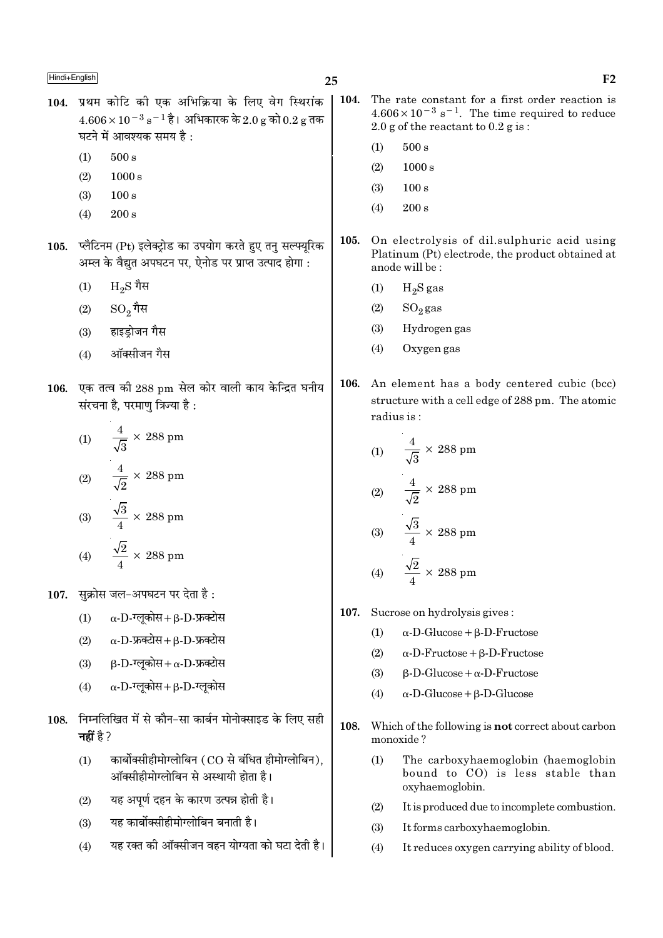- 104. प्रथम कोटि की एक अभिक्रिया के लिए वेग स्थिरांक  $4.606 \times 10^{-3}$  s  $^{-1}$  है। अभिकारक के 2.0 g को 0.2 g तक घटने में आवश्यक समय है:
	- $500 s$  $(1)$
	- $1000 s$  $(2)$
	- $(3)$  $100 s$
	- $200 s$  $(4)$
- 105. प्लैटिनम (Pt) इलेक्ट्रोड का उपयोग करते हुए तनु सल्फ्युरिक अम्ल के वैद्यत अपघटन पर. ऐनोड पर प्राप्त उत्पाद होगा :
	- $\rm{}H_2S$  गैस  $(1)$
	- $SO_2$ गैस  $(2)$
	- हाइडोजन गैस  $(3)$
	- ऑक्सीजन गैस  $(4)$
- 106. एक तत्व की 288 pm सेल कोर वाली काय केन्द्रित घनीय संरचना है, परमाण त्रिज्या है :

(1) 
$$
\frac{4}{\sqrt{3}} \times 288 \text{ pm}
$$
  
\n(2) 
$$
\frac{4}{\sqrt{2}} \times 288 \text{ pm}
$$
  
\n(3) 
$$
\frac{\sqrt{3}}{4} \times 288 \text{ pm}
$$
  
\n(4) 
$$
\frac{\sqrt{2}}{4} \times 288 \text{ pm}
$$

- 107. सुक्रोस जल-अपघटन पर देता है:
	- $\alpha$ -D-ग्लकोस+ B-D-फ्रक्टोस  $(1)$
	- $\alpha$ -D-फ्रक्टोस + B-D-फ्रक्टोस  $(2)$
	- $\beta$ -D-ग्लूकोस+  $\alpha$ -D-फ्रक्टोस  $(3)$
	- $\alpha$ -D-ग्लूकोस+ $\beta$ -D-ग्लूकोस  $(4)$
- 108. निम्नलिखित में से कौन-सा कार्बन मोनोक्साइड के लिए सही नहीं है ?
	- कार्बोक्सीहीमोग्लोबिन (CO से बंधित हीमोग्लोबिन),  $(1)$ ऑक्सीहीमोग्लोबिन से अस्थायी होता है।
	- यह अपूर्ण दहन के कारण उत्पन्न होती है।  $(2)$
	- यह कार्बोक्सीहीमोग्लोबिन बनाती है।  $(3)$
	- यह रक्त की ऑक्सीजन वहन योग्यता को घटा देती है।  $(4)$
- $\vert$  104. The rate constant for a first order reaction is  $4.606 \times 10^{-3}$  s<sup>-1</sup>. The time required to reduce 2.0 g of the reactant to  $0.2$  g is:
	- $500 s$  $(1)$
	- $(2)$  $1000 s$
	- $(3)$  $100 s$
	- $(4)$  $200 s$
	- 105. On electrolysis of dil.sulphuric acid using Platinum (Pt) electrode, the product obtained at anode will be:
		- $(1)$  $H<sub>2</sub>S$  gas
		- $(2)$  $SO_2$  gas

 $\overline{a}$ 

- Hydrogen gas  $(3)$
- Oxygen gas  $(4)$
- 106. An element has a body centered cubic (bcc) structure with a cell edge of 288 pm. The atomic radius is:

(1) 
$$
\frac{4}{\sqrt{3}} \times 288 \text{ pm}
$$
  
(2) 
$$
\frac{4}{\sqrt{2}} \times 288 \text{ pm}
$$
  
(3) 
$$
\frac{\sqrt{3}}{4} \times 288 \text{ pm}
$$
  
(4) 
$$
\frac{\sqrt{2}}{4} \times 288 \text{ pm}
$$

- 107. Sucrose on hydrolysis gives:
	- $\alpha$ -D-Glucose +  $\beta$ -D-Fructose  $(1)$
	- $(2)$  $\alpha$ -D-Fructose +  $\beta$ -D-Fructose
	- $(3)$  $\beta$ -D-Glucose +  $\alpha$ -D-Fructose
	- $\alpha$ -D-Glucose +  $\beta$ -D-Glucose  $(4)$
- 108. Which of the following is **not** correct about carbon monoxide?
	- $(1)$ The carboxyhaemoglobin (haemoglobin bound to CO) is less stable than oxyhaemoglobin.
	- It is produced due to incomplete combustion.  $(2)$
	- $(3)$ It forms carboxyhaemoglobin.
	- $(4)$ It reduces oxygen carrying ability of blood.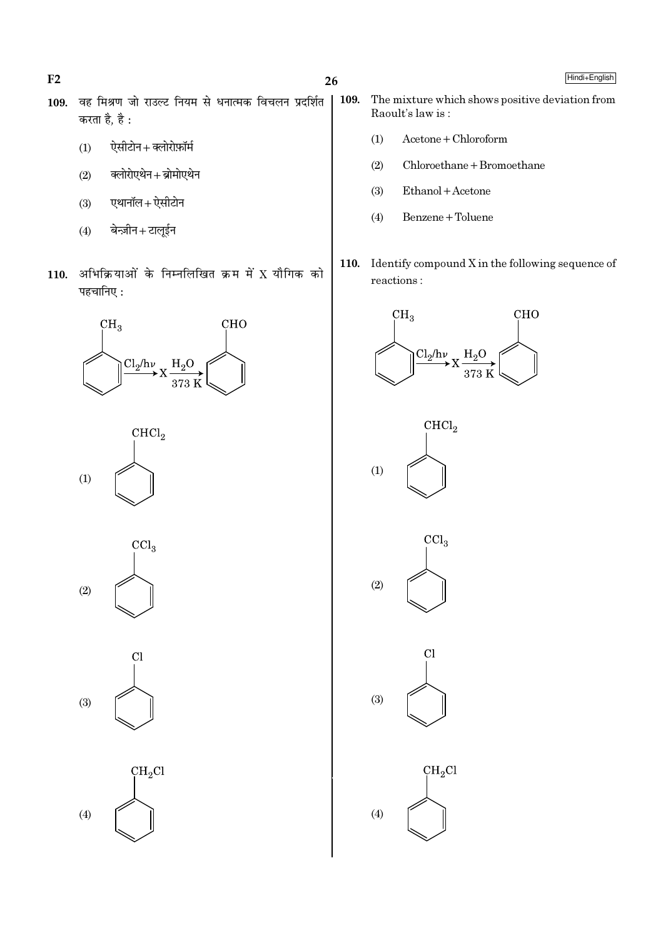$26$ 

- 109. वह मिश्रण जो राउल्ट नियम से धनात्मक विचलन प्रदर्शित करता है. है :
	- ऐसीटोन+क्लोरोफ़ॉर्म  $(1)$
	- क्लोरोएथेन+ब्रोमोएथेन  $(2)$
	- एथानॉल+ ऐसीटोन  $(3)$
	- बेन्ज़ीन+टालूईन  $(4)$
- 110. अभिक्रियाओं के निम्नलिखित क्रम में X यौगिक को पहचानिए:











- The mixture which shows positive deviation from 109. Raoult's law is:
	- $Acetone + Chloroform$  $(1)$
	- $Chloroethane + Bromoethane$  $(2)$
	- $(3)$ Ethanol + Acetone
	- Benzene + Toluene  $(4)$
- 110. Identify compound  $X$  in the following sequence of  $\rm reactions$  :











 $F2$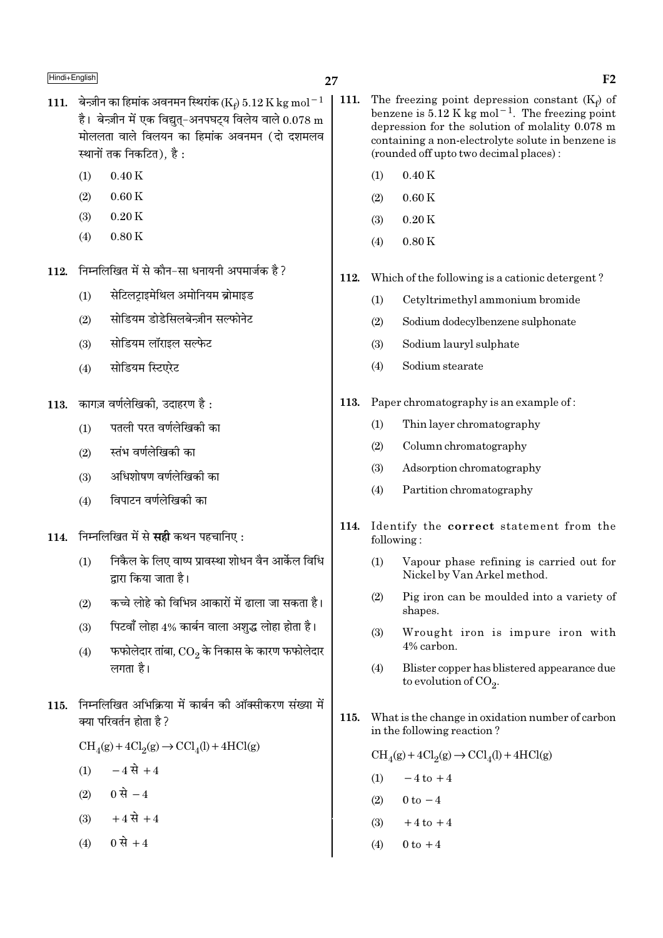- 111. बेन्ज़ीन का हिमांक अवनमन स्थिरांक (Ke) 5.12 K kg mol<sup>-1</sup> है। बेन्ज़ीन में एक विद्यत-अनपघटय विलेय वाले  $0.078 \text{ m}$ मोललता वाले विलयन का हिमांक अवनमन (दो दशमलव स्थानों तक निकटित). है:
	- $(1)$  $0.40K$
	- $0.60K$  $(2)$
	- $0.20K$  $(3)$
	- $0.80K$  $(4)$
- निम्नलिखित में से कौन-सा धनायनी अपमार्जक है ? 112.
	- सेटिलट्राइमेथिल अमोनियम ब्रोमाइड  $(1)$
	- सोडियम डोडेसिलबेन्ज़ीन सल्फोनेट  $(2)$
	- सोडियम लॉराइल सल्फेट  $(3)$
	- सोडियम स्टिएरेट  $(4)$
- 113. कागज़ वर्णलेखिकी, उदाहरण है:
	- पतली परत वर्णलेखिकी का  $(1)$
	- स्तंभ वर्णलेखिकी का  $(2)$
	- अधिशोषण वर्णलेखिकी का  $(3)$
	- विपाटन वर्णलेखिकी का  $(4)$
- 114. निम्नलिखित में से सही कथन पहचानिए:
	- निकैल के लिए वाष्प प्रावस्था शोधन वैन आर्केल विधि  $(1)$ द्रारा किया जाता है।
	- कच्चे लोहे को विभिन्न आकारों में ढाला जा सकता है।  $(2)$
	- पिटवाँ लोहा 4% कार्बन वाला अशुद्ध लोहा होता है।  $(3)$
	- फफोलेदार तांबा,  $\rm CO_{2}$  के निकास के कारण फफोलेदार  $(4)$ लगता है।
- 115. निम्नलिखित अभिक्रिया में कार्बन की ऑक्सीकरण संख्या में क्या परिवर्तन होता है ?

 $CH<sub>4</sub>(g) + 4Cl<sub>2</sub>(g) \rightarrow CCl<sub>4</sub>(l) + 4HCl(g)$ 

- $-4 \vec{R}$  + 4  $(1)$
- (2) 0 से  $-4$
- $+4 \vec{R} + 4$  $(3)$
- 0 से +4  $(4)$
- $\vert$  111. The freezing point depression constant  $(K_f)$  of benzene is  $5.12$  K kg mol<sup>-1</sup>. The freezing point depression for the solution of molality 0.078 m containing a non-electrolyte solute in benzene is (rounded off up to two decimal places):
	- $(1)$  $0.40K$
	- $0.60K$  $(2)$
	- $(3)$  $0.20K$
	- $0.80K$  $(4)$
	- Which of the following is a cationic detergent? 112.
		- $(1)$ Cetyltrimethyl ammonium bromide
		- $(2)$ Sodium dodecylbenzene sulphonate
		- Sodium lauryl sulphate  $(3)$
		- $(4)$ Sodium stearate
	- 113. Paper chromatography is an example of:
		- Thin laver chromatography  $(1)$
		- $(2)$ Column chromatography
		- $(3)$ Adsorption chromatography
		- Partition chromatography  $(4)$
	- 114. Identify the correct statement from the following:
		- $(1)$ Vapour phase refining is carried out for Nickel by Van Arkel method.
		- $(2)$ Pig iron can be moulded into a variety of shapes.
		- Wrought iron is impure iron with  $(3)$ 4% carbon.
		- $(4)$ Blister copper has blistered appearance due to evolution of  $CO<sub>2</sub>$ .
	- 115. What is the change in oxidation number of carbon in the following reaction?

 $\text{CH}_4(g) + 4\text{Cl}_2(g) \rightarrow \text{CCl}_4(l) + 4\text{HCl}(g)$ 

- $-4$  to  $+4$  $(1)$
- $0 \text{ to } -4$  $(2)$
- $+4$  to  $+4$  $(3)$
- $0$  to  $+4$  $(4)$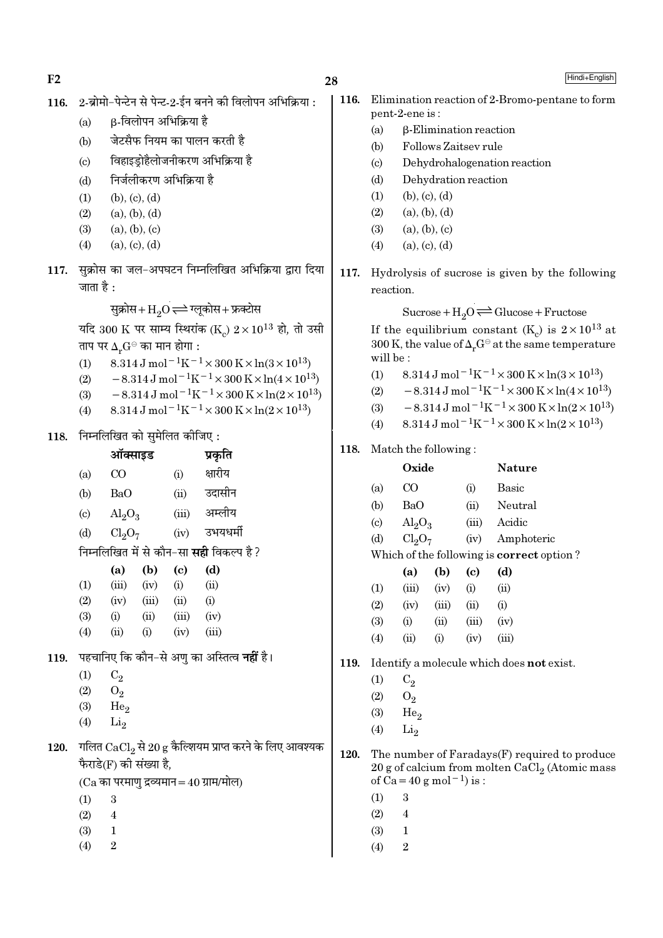$F<sub>2</sub>$ 

Hindi+English

116. 2-ब्रोमो-पेन्टेन से पेन्ट-2-ईन बनने की विलोपन अभिक्रिया: β-विलोपन अभिक्रिया है  $(a)$ जेटसैफ नियम का पालन करती है  $(b)$ विहाइड़ोहैलोजनीकरण अभिक्रिया है  $(c)$ निर्जलीकरण अभिक्रिया है  $(d)$  $(b), (c), (d)$  $(1)$  $(2)$  $(a), (b), (d)$  $(a), (b), (c)$  $(3)$  $(4)$  $(a), (c), (d)$ 117. सुक्रोस का जल-अपघटन निम्नलिखित अभिक्रिया द्वारा दि जाता है : सुक्रोस+ $\mathrm{H}_2\mathrm{O}$   $\rightleftarrows$  ग्लूकोस+ फ्रक्टोस यदि 300 K पर साम्य स्थिरांक (K)  $2 \times 10^{13}$  हो, तो उर ताप पर  $\Delta_r G^{\ominus}$  का मान होगा : 8.314 J mol<sup>-1</sup>K<sup>-1</sup> × 300 K × ln(3 × 10<sup>13</sup>)  $(1)$  $-8.314 \,\mathrm{J}$  mol<sup>-1</sup>K<sup>-1</sup>×300 K×ln(4×10<sup>13</sup>  $(2)$  $-8.314 \,\mathrm{J}$  mol<sup>-1</sup>K<sup>-1</sup>×300 K×ln(2×10<sup>13</sup>  $(3)$  $(4)$  $8.314 \text{ J} \text{ mol}^{-1} \text{K}^{-1} \times 300 \text{ K} \times \ln(2 \times 10^{13})$ 118. निम्नलिखित को सुमेलित कीजिए: ऑक्साइड प्रकृति क्षारीय  $\rm CO$  $(a)$  $(i)$  $(b)$ BaO  $(ii)$ उदासीन (iii) अम्लीय  $(c)$  $\text{Al}_2\text{O}_3$ उभयधर्मी  $Cl<sub>2</sub>O<sub>7</sub>$  $(iv)$  $(d)$ निम्नलिखित में से कौन–सा **सही** विकल्प है ?  $(b)$  $\left( \mathrm{e}\right)$  $(d)$  $(a)$  $(1)$  $(iii)$  $(ii)$  $(iv)$  $(i)$  $(2)$  $(iv)$  $(iii)$  $(ii)$  $(i)$  $(3)$  $(iv)$  $(i)$  $(ii)$  $(iii)$  $(4)$  $(ii)$  $(i)$  $(iv)$  $(iii)$ 119. पहचानिए कि कौन-से अणु का अस्तित्व **नहीं** है।  $(1)$  $C_2$  $(2)$  $O_2$  $(3)$ He<sub>2</sub>  $(4)$  $Li<sub>2</sub>$ 120. गलित  $\mathrm{CaCl}_2$  से 20 g कैल्शियम प्राप्त करने के लिए आवश्य फैराडे(F) की संख्या है.  $(Ca$  का परमाणु द्रव्यमान = 40 ग्राम/मोल)  $(1)$  $\overline{3}$  $(2)$  $\overline{4}$  $(3)$  $\mathbf{1}$  $(4)$  $\overline{2}$ 

|                                                                                                                                  | 116. | Elimination reaction of 2-Bromo-pentane to form |                                                 |                                       |       |                                                                                                                    |  |  |  |  |
|----------------------------------------------------------------------------------------------------------------------------------|------|-------------------------------------------------|-------------------------------------------------|---------------------------------------|-------|--------------------------------------------------------------------------------------------------------------------|--|--|--|--|
|                                                                                                                                  |      | pent-2-ene is:                                  |                                                 |                                       |       |                                                                                                                    |  |  |  |  |
|                                                                                                                                  |      | $\beta$ -Elimination reaction<br>(a)            |                                                 |                                       |       |                                                                                                                    |  |  |  |  |
|                                                                                                                                  |      | (b)                                             | Follows Zaitsey rule                            |                                       |       |                                                                                                                    |  |  |  |  |
|                                                                                                                                  |      | (c)                                             |                                                 |                                       |       | Dehydrohalogenation reaction                                                                                       |  |  |  |  |
|                                                                                                                                  |      | (d)                                             |                                                 |                                       |       |                                                                                                                    |  |  |  |  |
|                                                                                                                                  |      |                                                 | Dehydration reaction<br>$(1)$ (b), (c), (d)     |                                       |       |                                                                                                                    |  |  |  |  |
|                                                                                                                                  |      |                                                 |                                                 |                                       |       |                                                                                                                    |  |  |  |  |
|                                                                                                                                  |      |                                                 | $(2)$ (a), (b), (d)                             |                                       |       |                                                                                                                    |  |  |  |  |
|                                                                                                                                  |      |                                                 | $(3)$ $(a), (b), (c)$<br>$(4)$ (a), (c), (d)    |                                       |       |                                                                                                                    |  |  |  |  |
|                                                                                                                                  |      |                                                 |                                                 |                                       |       |                                                                                                                    |  |  |  |  |
| या                                                                                                                               | 117. |                                                 | Hydrolysis of sucrose is given by the following |                                       |       |                                                                                                                    |  |  |  |  |
|                                                                                                                                  |      | reaction.                                       |                                                 |                                       |       |                                                                                                                    |  |  |  |  |
|                                                                                                                                  |      |                                                 |                                                 |                                       |       | Sucrose + $H_2O \rightleftharpoons Glucose + Fructose$                                                             |  |  |  |  |
| प्ती                                                                                                                             |      |                                                 |                                                 |                                       |       |                                                                                                                    |  |  |  |  |
| If the equilibrium constant $(K_c)$ is $2 \times 10^{13}$ at<br>300 K, the value of $\Delta_r G^\ominus$ at the same temperature |      |                                                 |                                                 |                                       |       |                                                                                                                    |  |  |  |  |
|                                                                                                                                  |      | will be:                                        |                                                 |                                       |       |                                                                                                                    |  |  |  |  |
|                                                                                                                                  |      | (1)                                             |                                                 |                                       |       | 8.314 J mol <sup>-1</sup> K <sup>-1</sup> × 300 K × ln(3 × 10 <sup>13</sup> )                                      |  |  |  |  |
| 3)                                                                                                                               |      |                                                 |                                                 |                                       |       | (2) $-8.314 \,\mathrm{J} \,\mathrm{mol}^{-1} \mathrm{K}^{-1} \times 300 \,\mathrm{K} \times \ln(4 \times 10^{13})$ |  |  |  |  |
|                                                                                                                                  |      |                                                 |                                                 |                                       |       | (3) $-8.314 \,\mathrm{J} \,\mathrm{mol}^{-1} \mathrm{K}^{-1} \times 300 \,\mathrm{K} \times \ln(2 \times 10^{13})$ |  |  |  |  |
|                                                                                                                                  |      |                                                 |                                                 |                                       |       | (4) $8.314 \text{ J mol}^{-1}\text{K}^{-1} \times 300 \text{ K} \times \ln(2 \times 10^{13})$                      |  |  |  |  |
|                                                                                                                                  | 118. |                                                 | Match the following:                            |                                       |       |                                                                                                                    |  |  |  |  |
|                                                                                                                                  |      |                                                 |                                                 |                                       |       |                                                                                                                    |  |  |  |  |
|                                                                                                                                  |      |                                                 | Oxide                                           |                                       |       | <b>Nature</b>                                                                                                      |  |  |  |  |
|                                                                                                                                  |      | (a)                                             | $\rm CO$                                        |                                       | (i)   | <b>Basic</b>                                                                                                       |  |  |  |  |
|                                                                                                                                  |      | (b)                                             | BaO                                             |                                       |       | (ii) Neutral                                                                                                       |  |  |  |  |
|                                                                                                                                  |      |                                                 | (c) $\text{Al}_2\text{O}_3$                     |                                       |       | (iii) Acidic                                                                                                       |  |  |  |  |
|                                                                                                                                  |      |                                                 | (d) $Cl_2O_7$                                   |                                       |       |                                                                                                                    |  |  |  |  |
|                                                                                                                                  |      |                                                 |                                                 |                                       |       | (iv) Amphoteric                                                                                                    |  |  |  |  |
|                                                                                                                                  |      |                                                 |                                                 |                                       |       | Which of the following is correct option?                                                                          |  |  |  |  |
|                                                                                                                                  |      |                                                 | (a)                                             | $(b)$ (c)                             |       | (d)                                                                                                                |  |  |  |  |
|                                                                                                                                  |      | (1)                                             |                                                 | $(iii)$ $(iv)$ $(i)$ $(ii)$           |       |                                                                                                                    |  |  |  |  |
|                                                                                                                                  |      | (2)                                             | (iv)                                            | (iii)                                 | (ii)  | (i)                                                                                                                |  |  |  |  |
|                                                                                                                                  |      | (3)                                             | (i)                                             | (ii)                                  | (iii) | (iv)                                                                                                               |  |  |  |  |
|                                                                                                                                  |      | (4)                                             | (ii)                                            | (i)                                   | (iv)  | (iii)                                                                                                              |  |  |  |  |
|                                                                                                                                  |      |                                                 |                                                 |                                       |       |                                                                                                                    |  |  |  |  |
|                                                                                                                                  | 119. |                                                 |                                                 |                                       |       | Identify a molecule which does not exist.                                                                          |  |  |  |  |
|                                                                                                                                  |      | (1)                                             | $C_2$                                           |                                       |       |                                                                                                                    |  |  |  |  |
|                                                                                                                                  |      | (2)                                             | $O_2$                                           |                                       |       |                                                                                                                    |  |  |  |  |
|                                                                                                                                  |      | (3)                                             | He <sub>2</sub>                                 |                                       |       |                                                                                                                    |  |  |  |  |
|                                                                                                                                  |      | (4)                                             | Li <sub>2</sub>                                 |                                       |       |                                                                                                                    |  |  |  |  |
| क                                                                                                                                | 120. |                                                 |                                                 |                                       |       | The number of Faradays(F) required to produce                                                                      |  |  |  |  |
|                                                                                                                                  |      |                                                 |                                                 |                                       |       | 20 g of calcium from molten $CaCl2$ (Atomic mass                                                                   |  |  |  |  |
|                                                                                                                                  |      |                                                 |                                                 | of Ca = 40 g mol <sup>-1</sup> ) is : |       |                                                                                                                    |  |  |  |  |
|                                                                                                                                  |      | (1)                                             | 3                                               |                                       |       |                                                                                                                    |  |  |  |  |
|                                                                                                                                  |      | (2)                                             | $\overline{\mathbf{4}}$                         |                                       |       |                                                                                                                    |  |  |  |  |
|                                                                                                                                  |      | (3)<br>(4)                                      | 1<br>$\boldsymbol{2}$                           |                                       |       |                                                                                                                    |  |  |  |  |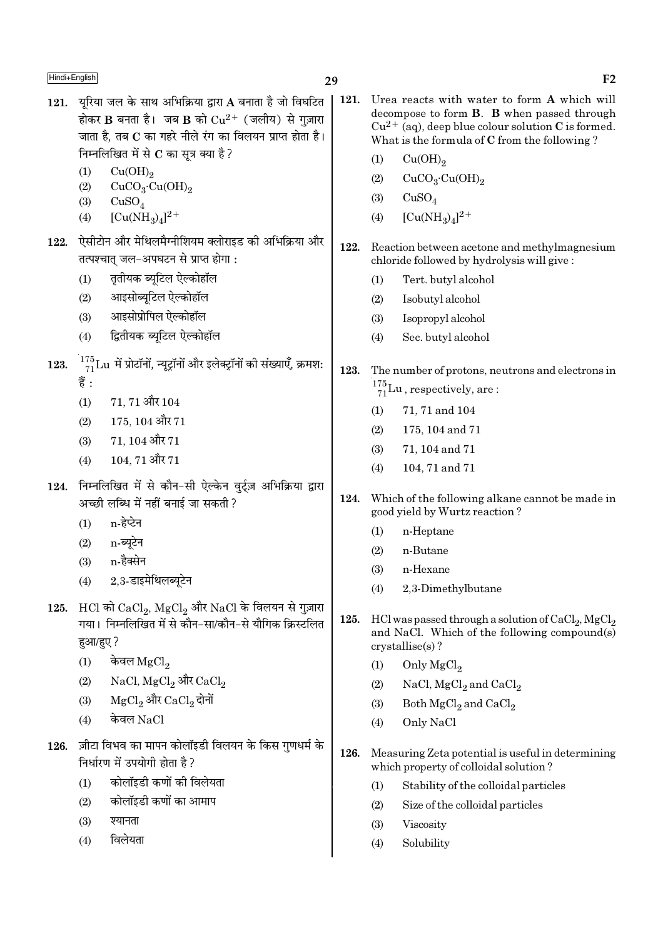- 29
- 121. यूरिया जल के साथ अभिक्रिया द्वारा A बनाता है जो विघटित होकर B बनता है। जब B को  $Cu^{2+}$  (जलीय) से गज़ारा जाता है, तब C का गहरे नीले रंग का विलयन प्राप्त होता है। निम्नलिखित में से C का सूत्र क्या है?
	- $(1)$  $Cu(OH)<sub>2</sub>$
	- $(2)$  $CuCO<sub>3</sub>·Cu(OH)<sub>2</sub>$
	- $(3)$  $CuSO<sub>4</sub>$
	- $[Cu(NH_3)_4]^2$ <sup>+</sup>  $(4)$
- ऐसीटोन और मेथिलमैग्नीशियम क्लोराइड की अभिक्रिया और 122. तत्पश्चात् जल-अपघटन से प्राप्त होगा:
	- तृतीयक ब्यूटिल ऐल्कोहॉल  $(1)$
	- आइसोब्यूटिल ऐल्कोहॉल  $(2)$
	- आइसोप्रोपिल ऐल्कोहॉल  $(3)$
	- द्वितीयक ब्यटिल ऐल्कोहॉल  $(4)$
- $\frac{175}{71}$ Lu में प्रोटॉनों, न्यूट्रॉनों और इलेक्ट्रॉनों की संख्याएँ, क्रमश: 123. हैं :
	- $71.71$  और  $104$  $(1)$
	- $175.104$  और  $71$  $(2)$
	- $71.104$  और  $71$  $(3)$
	- 104, 71 और 71  $(4)$
- 124. निम्नलिखित में से कौन-सी ऐल्केन वर्टज़ अभिक्रिया द्वारा अच्छी लब्धि में नहीं बनाई जा सकती ?
	- $n \overrightarrow{6}$ र्पेन  $(1)$
	- $(2)$ n-ब्यटेन
	- n-हैक्सेन  $(3)$
	- 2,3-डाइमेथिलब्यूटेन  $(4)$
- 125. HCl को CaCl, MgCl, और NaCl के विलयन से गुज़ारा गया। निम्नलिखित में से कौन-सा/कौन-से यौगिक क्रिस्टलित हआ/हए?
	- केवल  $MgCl<sub>2</sub>$  $(1)$
	- NaCl, MgCl<sub>2</sub> और CaCl<sub>2</sub>  $(2)$
	- MgCl, और CaCl, दोनों  $(3)$
	- केवल NaCl  $(4)$
- ज़ीटा विभव का मापन कोलॉइडी विलयन के किस गुणधर्म के 126. निर्धारण में उपयोगी होता है ?
	- कोलॉइडी कणों की विलेयता  $(1)$
	- कोलॉइडी कणों का आमाप  $(2)$
	- श्यानता  $(3)$
	- विलेयता  $(4)$
- 121. Urea reacts with water to form A which will decompose to form **B**. **B** when passed through  $Cu^{2+}$  (aq), deep blue colour solution C is formed. What is the formula of C from the following?
	- $(1)$  $Cu(OH)_{2}$
	- $CuCO<sub>3</sub>·Cu(OH)<sub>2</sub>$  $(2)$
	- $(3)$  $CuSO<sub>4</sub>$
	- $[Cu(NH_3)_4]^2$ +  $(4)$
- 122. Reaction between acetone and methylmagnesium chloride followed by hydrolysis will give:
	- Tert. butyl alcohol  $(1)$
	- $(2)$ Isobutyl alcohol
	- $(3)$ Isopropyl alcohol
	- $(4)$ Sec. butyl alcohol
- 123. The number of protons, neutrons and electrons in  $\frac{175}{71}$ Lu, respectively, are:
	- $(1)$ 71, 71 and 104
	- $(2)$ 175, 104 and 71
	- $(3)$ 71, 104 and 71
	- $(4)$ 104, 71 and 71
- 124. Which of the following alkane cannot be made in good yield by Wurtz reaction?
	- n-Heptane  $(1)$
	- n-Butane  $(2)$
	- $(3)$ n-Hexane
	- 2,3-Dimethylbutane  $(4)$
- 125. HCl was passed through a solution of CaCl<sub>2</sub>, MgCl<sub>2</sub> and NaCl. Which of the following compound(s) crystallise(s)?
	- Only MgCl<sub>2</sub>  $(1)$
	- $(2)$ NaCl, MgCl<sub>2</sub> and CaCl<sub>2</sub>
	- $(3)$ Both MgCl<sub>2</sub> and CaCl<sub>2</sub>
	- Only NaCl  $(4)$
- 126. Measuring Zeta potential is useful in determining which property of colloidal solution?
	- $(1)$ Stability of the colloidal particles
	- $(2)$ Size of the colloidal particles
	- $(3)$ Viscosity
	- $(4)$ Solubility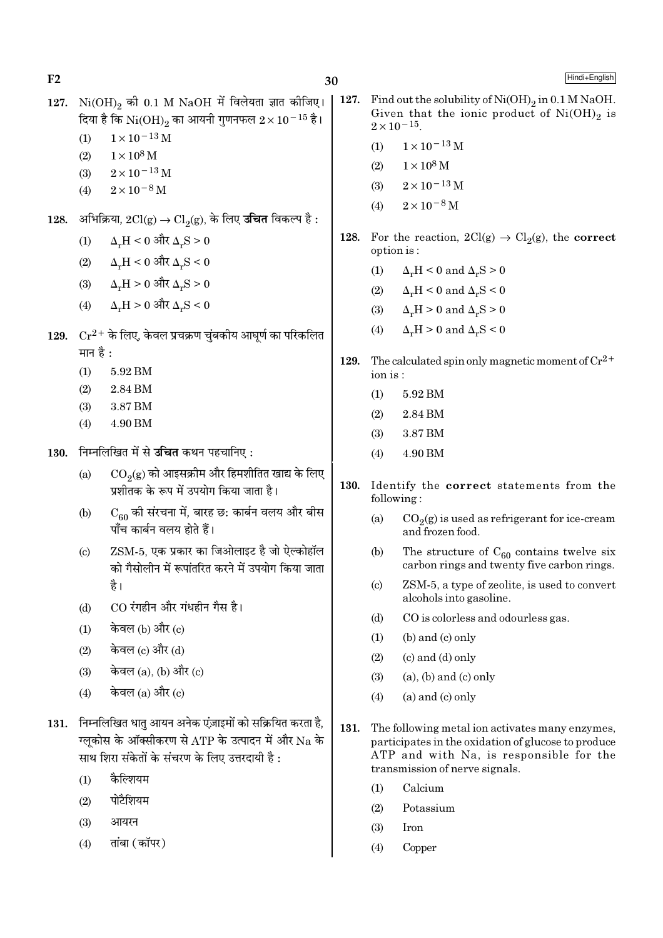30

- 127.  $Ni(OH)_{2}$  की 0.1 M NaOH में विलेयता ज्ञात कीजिए। दिया है कि  $\rm Ni(OH)_2$  का आयनी गुणनफल  $2 \times 10^{-15}$  है।
	- $1 \times 10^{-13}$  M  $(1)$
	- $(2)$  $1 \times 10^8$  M
	- $2 \times 10^{-13}$  M  $(3)$
	- $2 \times 10^{-8}$  M  $(4)$
- अभिक्रिया,  $2Cl(g)$  →  $Cl_2(g)$ , के लिए **उचित** विकल्प है : 128.
	- $\Delta$ .H < 0 और  $\Delta$ .S > 0  $(1)$
	- $\Delta_{\tt w} H < 0$  और  $\Delta_{\tt w} S < 0$  $(2)$
	- $\Delta_r H > 0$  और  $\Delta_r S > 0$  $(3)$
	- $\Delta_{\text{r}}H$  >  $0$  और  $\Delta_{\text{r}}S$  <  $0$  $(4)$
- 129.  $Cr^{2+}$  के लिए, केवल प्रचक्रण चुंबकीय आघूर्ण का परिकलित मान है :
	- $(1)$ 5.92 BM
	- 2.84 BM  $(2)$
	- 3.87 BM  $(3)$
	- 4.90 BM  $(4)$
- 130. निम्नलिखित में से उचित कथन पहचानिए:
	- $CO<sub>2</sub>(g)$  को आइसक्रीम और हिमशीतित खाद्य के लिए  $(a)$ प्रशीतक के रूप में उपयोग किया जाता है।
	- $C_{60}$  की संरचना में, बारह छ: कार्बन वलय और बीस  $(b)$ पाँच कार्बन वलय होते हैं।
	- ZSM-5. एक प्रकार का जिओलाइट है जो ऐल्कोहॉल  $(c)$ को गैसोलीन में रूपांतरित करने में उपयोग किया जाता है।
	- CO रंगहीन और गंधहीन गैस है।  $(d)$
	- केवल (b) और (c)  $(1)$
	- केवल (c) और (d)  $(2)$
	- केवल (a), (b) और (c)  $(3)$
	- केवल  $(a)$  और  $(c)$  $(4)$
- 131. निम्नलिखित धातु आयन अनेक एंज़ाइमों को सक्रियित करता है, ग्लकोस के ऑक्सीकरण से ATP के उत्पादन में और Na के साथ शिरा संकेतों के संचरण के लिए उत्तरदायी है:
	- कैल्शियम  $(1)$
	- पोटैशियम  $(2)$
	- $(3)$ आयरन
	- तांबा (कॉपर)  $(4)$
- 127. Find out the solubility of Ni(OH)<sub>9</sub> in 0.1 M NaOH. Given that the ionic product of  $Ni(OH)_2$  is  $2 \times 10^{-15}$ .
	- $1\times10^{-13}\,\mathrm{M}$  $(1)$
	- $1 \times 10^8$  M  $(2)$
	- $2 \times 10^{-13}$  M  $(3)$
	- $2 \times 10^{-8}$  M  $(4)$
- 128. For the reaction,  $2Cl(g) \rightarrow Cl_2(g)$ , the **correct** option is:
	- $\Delta_{\nu}H < 0$  and  $\Delta_{\nu}S > 0$  $(1)$
	- $\Delta H < 0$  and  $\Delta S < 0$  $(2)$
	- $\Delta_r H > 0$  and  $\Delta_r S > 0$  $(3)$
	- $\Delta_{\nu}H > 0$  and  $\Delta_{\nu}S < 0$  $(4)$
- The calculated spin only magnetic moment of  $Cr^{2+}$ 129. ion is:
	- $(1)$ 5.92 BM
	- $(2)$ 2.84 BM
	- $(3)$ 3.87 BM
	- 4.90 BM  $(4)$
- **130.** Identify the correct statements from the following:
	- $(a)$  $CO<sub>2</sub>(g)$  is used as refrigerant for ice-cream and frozen food.
	- $(b)$ The structure of  $C_{60}$  contains twelve six carbon rings and twenty five carbon rings.
	- ZSM-5, a type of zeolite, is used to convert  $(c)$ alcohols into gasoline.
	- $(d)$ CO is colorless and odourless gas.
	- $(1)$  $(b)$  and  $(c)$  only
	- $(c)$  and  $(d)$  only  $(2)$
	- $(a)$ ,  $(b)$  and  $(c)$  only  $(3)$
	- $(4)$  $(a)$  and  $(c)$  only
- 131. The following metal ion activates many enzymes, participates in the oxidation of glucose to produce ATP and with Na, is responsible for the transmission of nerve signals.
	- Calcium  $(1)$
	- $(2)$ Potassium
	- $(3)$ Iron
	- $(4)$ Copper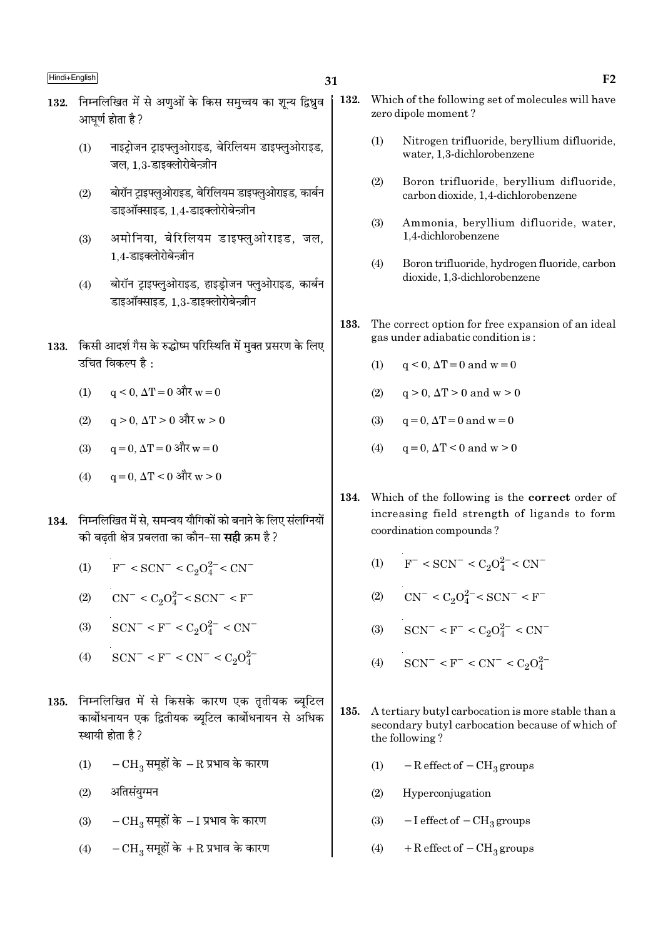- 132. निम्नलिखित में से अणओं के किस समच्चय का शन्य द्विध्रव आघर्ण होता है ?
	- नाइटोजन टाइफ्लुओराइड, बेरिलियम डाइफ्लुओराइड,  $(1)$ जल, 1.3-डाइक्लोरोबेन्ज़ीन
	- बोरॉन टाइफ्लओराइड, बेरिलियम डाइफ्लओराइड, कार्बन  $(2)$ डाइऑक्साइड. 1.4-डाइक्लोरोबेन्ज़ीन
	- अमोनिया. बेरिलियम डाइफ्लओराइड. जल.  $(3)$ 1.4-डाइक्लोरोबेन्ज़ीन
	- बोरॉन ट्राइफ्लुओराइड, हाइड़ोजन फ्लुओराइड, कार्बन  $(4)$ डाइऑक्साइड. 1.3-डाइक्लोरोबेन्ज़ीन
- 133. किसी आदर्श गैस के रुद्धोष्म परिस्थिति में मुक्त प्रसरण के लिए रुचित विकल्प है $\cdot$ 
	- $q \le 0$ ,  $\Delta T = 0$  और  $w = 0$  $(1)$
	- $q > 0$ ,  $\Delta T > 0$  और  $w > 0$  $(2)$
	- $a = 0$ .  $\Delta T = 0$  और  $w = 0$  $(3)$
	- $a = 0$ .  $\Delta T < 0$  और w > 0  $(4)$
- 134. निम्नलिखित में से. समन्वय यौगिकों को बनाने के लिए संलग्नियों की बढती क्षेत्र प्रबलता का कौन–सा **सही** क्रम है ?
	- $F^-$  < SCN<sup>-</sup> < C<sub>2</sub>O<sup>2-</sup> < CN<sup>-</sup>  $(1)$
	- $CN^- < C_2O_4^{2-} < SCN^- < F^ (2)$
	- $SCN^{-} < F^{-} < C_2O_4^{2-} < CN^{-}$  $(3)$
	- $SCN^- < F^- < CN^- < C_2O_4^{2-}$  $(4)$
- 135. निम्नलिखित में से किसके कारण एक तृतीयक ब्यूटिल कार्बोधनायन एक द्वितीयक ब्यटिल कार्बोधनायन से अधिक स्थायी होता है?
	- $-{\rm CH}_2$  समहों के  $-{\rm R}$  प्रभाव के कारण  $(1)$
	- अतिसंयुग्मन  $(2)$
	- $-CH_3$  समूहों के  $-I$  प्रभाव के कारण  $(3)$
	- $-CH<sub>3</sub>$  समूहों के  $+R$  प्रभाव के कारण  $(4)$
- 132. Which of the following set of molecules will have zero dipole moment?
	- $(1)$ Nitrogen trifluoride, beryllium difluoride, water, 1.3-dichlorobenzene
	- $(2)$ Boron trifluoride, beryllium difluoride, carbon dioxide, 1.4-dichlorobenzene
	- Ammonia, beryllium difluoride, water,  $(3)$ 1,4-dichlorobenzene
	- $(4)$ Boron trifluoride, hydrogen fluoride, carbon dioxide, 1.3-dichlorobenzene
- 133. The correct option for free expansion of an ideal gas under adiabatic condition is:
	- $q < 0$ ,  $\Delta T = 0$  and  $w = 0$  $(1)$
	- $(2)$  $q > 0$ ,  $\Delta T > 0$  and  $w > 0$
	- $q = 0$ ,  $\Delta T = 0$  and  $w = 0$  $(3)$
	- $q = 0$ ,  $\Delta T < 0$  and  $w > 0$  $(4)$
- 134. Which of the following is the correct order of increasing field strength of ligands to form coordination compounds?
	- $F^-$  < SCN<sup>-</sup> < C<sub>2</sub>O<sub>4</sub><sup>2</sup><sup>-</sup>< CN<sup>-</sup>  $(1)$
	- $CN^{-} < C_2O_4^{2-} < SCN^{-} < F^{-}$  $(2)$
	- (3)  $SCN^{-} < F^{-} < C_2O_4^{2-} < CN^{-}$
	- $SCN^- < F^- < CN^- < C_2O_4^{2-}$  $(4)$
- 135. A tertiary butyl carbocation is more stable than a secondary butyl carbocation because of which of the following?
	- $-R$  effect of  $-CH<sub>3</sub>$  groups  $(1)$
	- $(2)$ Hyperconjugation
	- $-I$  effect of  $-CH<sub>3</sub>$  groups  $(3)$
	- $(4)$  $+$  R effect of  $-$  CH<sub>3</sub> groups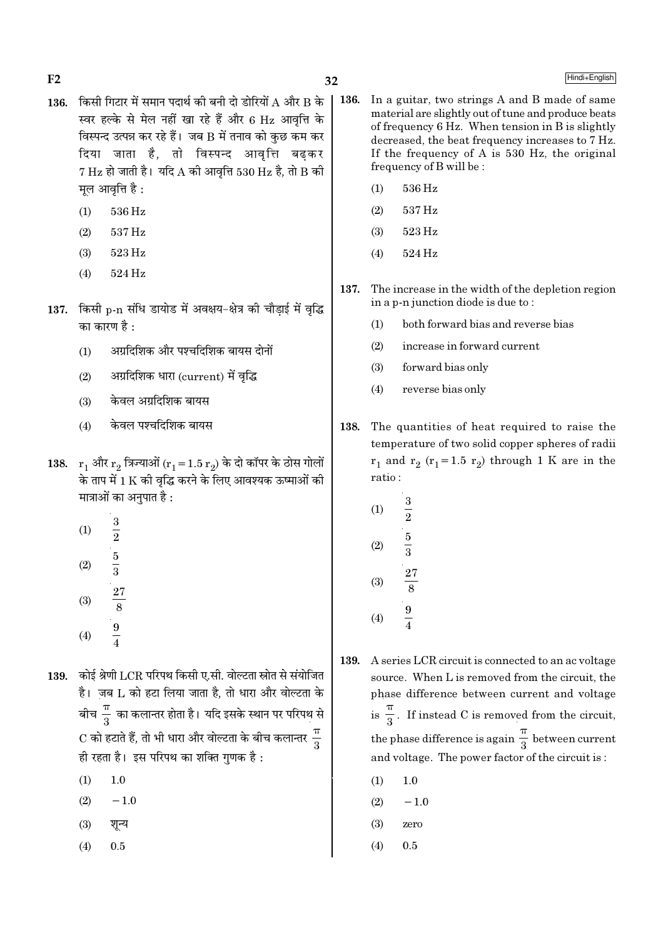- 136. किसी गिटार में समान पदार्थ की बनी दो डोरियों A और B के स्वर हल्के से मेल नहीं खा रहे हैं और 6 Hz आवत्ति के विस्पन्द उत्पन्न कर रहे हैं। जब B में तनाव को कुछ कम कर दिया जाता है, तो विस्पन्द आवृत्ति बढकर  $7$  Hz हो जाती है। यदि A की आवृत्ति 530 Hz है, तो B की मूल आवृत्ति है:
	- $(1)$ 536 Hz

 $F<sub>2</sub>$ 

- $(2)$ 537 Hz
- $(3)$ 523 Hz
- 524 Hz  $(4)$
- 137. किसी p-n संधि डायोड में अवक्षय-क्षेत्र की चौड़ाई में वृद्धि का कारण है  $\cdot$ 
	- अग्रदिशिक और पश्चदिशिक बायस दोनों  $(1)$
	- अग्रदिशिक धारा (current) में वृद्धि  $(2)$
	- केवल अग्रदिशिक बायस  $(3)$
	- केवल पश्चदिशिक बायस  $(4)$
- 138.  $r_1$  और  $r_2$  त्रिज्याओं ( $r_1 = 1.5 r_2$ ) के दो कॉपर के ठोस गोलों के ताप में 1 K की वृद्धि करने के लिए आवश्यक ऊष्माओं की मात्राओं का अनुपात है :
	- $\frac{3}{2}$   $\frac{5}{3}$   $\frac{27}{8}$   $\frac{9}{4}$  $(1)$  $(2)$  $(3)$
	- $(4)$
- 139. कोई श्रेणी LCR परिपथ किसी ए.सी. वोल्टता स्रोत से संयोजित है। जब L को हटा लिया जाता है. तो धारा और वोल्टता के बीच $\frac{\pi}{3}$  का कलान्तर होता है। यदि इसके स्थान पर परिपथ से  $\mathrm{C}$  को हटाते हैं, तो भी धारा और वोल्टता के बीच कलान्तर  $\frac{\pi}{2}$ ही रहता है। इस परिपथ का शक्ति गुणक है :
	- $(1)$  $1.0$
	- $(2)$  $-1.0$
	- $(3)$ शून्य
	- $(4)$  $0.5$
- 136. In a guitar, two strings A and B made of same material are slightly out of tune and produce beats of frequency 6 Hz. When tension in B is slightly decreased, the beat frequency increases to 7 Hz. If the frequency of A is  $530$  Hz, the original frequency of B will be:
	- 536 Hz  $(1)$
	- 537 Hz  $(2)$
	- 523 Hz  $(3)$
	- 524 Hz  $(4)$
- 137. The increase in the width of the depletion region in a p-n junction diode is due to:
	- $(1)$ both forward bias and reverse bias
	- $(2)$ increase in forward current
	- $(3)$ forward bias only
	- reverse bias only  $(4)$
- 138. The quantities of heat required to raise the temperature of two solid copper spheres of radii  $r_1$  and  $r_2$  ( $r_1$ =1.5  $r_2$ ) through 1 K are in the ratio:
	- $(1)$  $\overline{\overline{2}}$  $\frac{5}{3}$  $(2)$  $(3)$  $(4)$
- 139. A series LCR circuit is connected to an ac voltage source. When L is removed from the circuit, the phase difference between current and voltage is  $\frac{\pi}{2}$ . If instead C is removed from the circuit, the phase difference is again  $\frac{\pi}{2}$  between current and voltage. The power factor of the circuit is:
	- $(1)$  $1.0$
	- $-1.0$  $(2)$
	- $(3)$ zero
	- $(4)$  $0.5$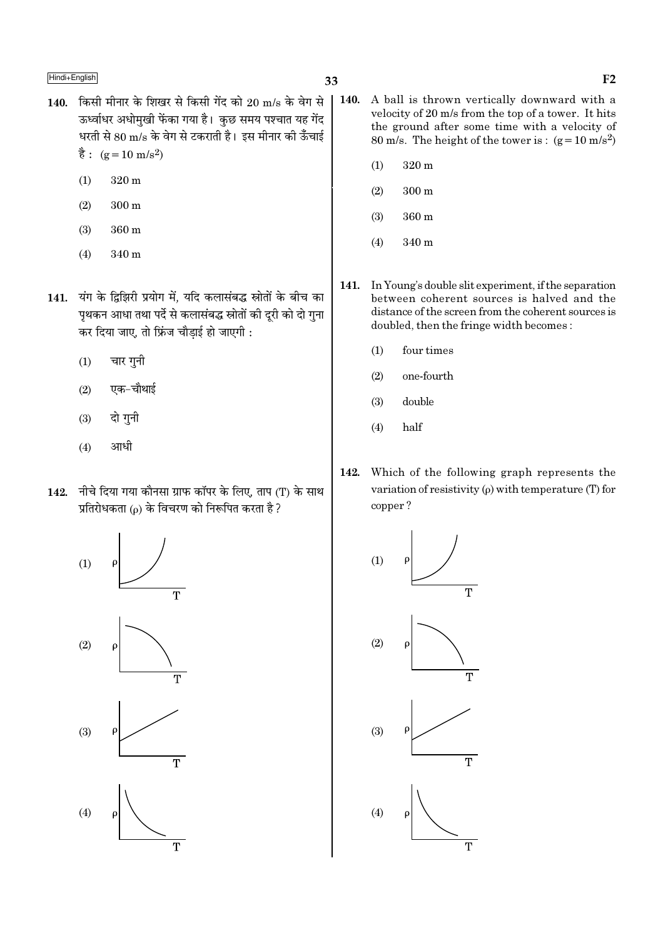- 140. किसी मीनार के शिखर से किसी गेंद को 20 m/s के वेग से ऊर्ध्वाधर अधोमखी फेंका गया है। कछ समय पश्चात यह गेंद धरती से 80 m/s के वेग से टकराती है। इस मीनार की ऊँचाई  $\dot{\vec{g}}$ : (g = 10 m/s<sup>2</sup>)
	- $(1)$  $320 \text{ m}$
	- $(2)$  $300 \text{ m}$
	- $(3)$ 360 m
	- 340 m  $(4)$
- 141. यंग के द्विझिरी प्रयोग में. यदि कलासंबद्ध स्रोतों के बीच का पृथकन आधा तथा पर्दे से कलासंबद्ध स्रोतों की दुरी को दो गुना कर दिया जाए, तो फ्रिंज चौड़ाई हो जाएगी :
	- चार गनी  $(1)$
	- एक-चौथाई  $(2)$
	- दो गुनी  $(3)$
	- $(4)$ आधी
- 142. नीचे दिया गया कौनसा ग्राफ कॉपर के लिए, ताप (T) के साथ प्रतिरोधकता (p) के विचरण को निरूपित करता है ?



- **140.** A ball is thrown vertically downward with a velocity of 20 m/s from the top of a tower. It hits the ground after some time with a velocity of 80 m/s. The height of the tower is:  $(g=10 \text{ m/s}^2)$ 
	- $320 \text{ m}$  $(1)$
	- $300<sub>m</sub>$  $(2)$
	- $(3)$  $360 m$
	- $340<sub>m</sub>$  $(4)$
- 141. In Young's double slit experiment, if the separation between coherent sources is halved and the distance of the screen from the coherent sources is doubled, then the fringe width becomes:
	- $(1)$ four times
	- $(2)$ one-fourth
	- $(3)$ double
	- half  $(4)$
- 142. Which of the following graph represents the variation of resistivity  $(\rho)$  with temperature (T) for copper?

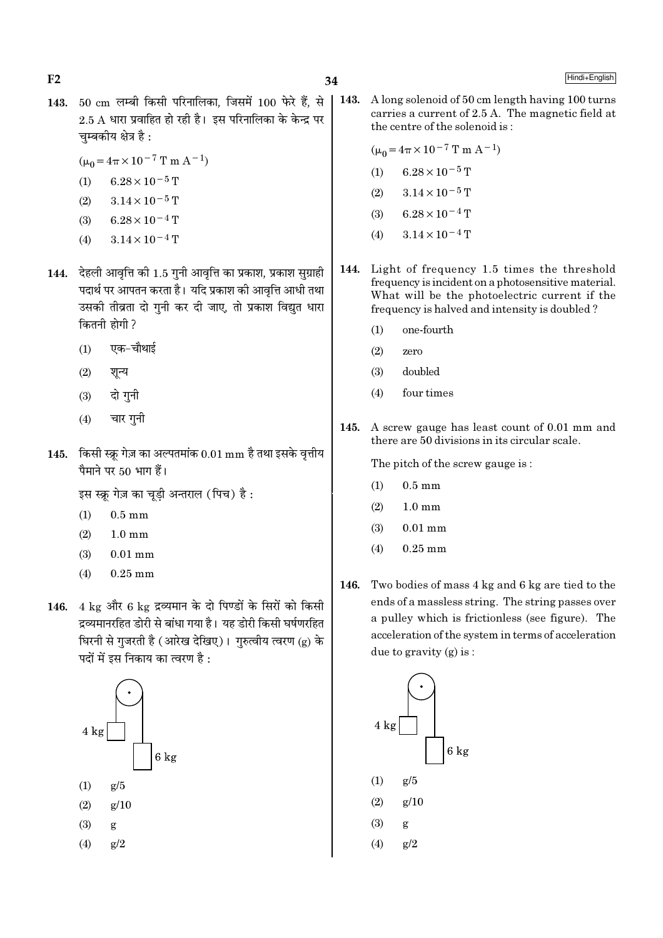34

- 143. 50 cm लम्बी किसी परिनालिका, जिसमें 100 फेरे हैं, से  $2.5$  A धारा प्रवाहित हो रही है। इस परिनालिका के केन्द्र पर चम्बकीय क्षेत्र है :
	- $(\mu_0 = 4\pi \times 10^{-7} \text{ T m A}^{-1})$
	- $(1)$  $6.28 \times 10^{-5}$  T
	- $(2)$  $3.14 \times 10^{-5}$  T
	- $6.28 \times 10^{-4}$  T  $(3)$
	- $3.14 \times 10^{-4}$  T  $(4)$
- 144. देहली आवृत्ति की 1.5 गुनी आवृत्ति का प्रकाश, प्रकाश सुग्राही पदार्थ पर आपतन करता है। यदि प्रकाश की आवत्ति आधी तथा उसकी तीव्रता दो गनी कर दी जाए. तो प्रकाश विद्यत धारा कितनी होगी ?
	- एक-चौथाई  $(1)$
	- $(2)$ शून्य
	- दो गुनी  $(3)$
	- $(4)$ चार गुनी
- 145. किसी स्क्रू गेज़ का अल्पतमांक  $0.01 \text{ mm}$  है तथा इसके वृत्तीय पैमाने पर 50 भाग हैं।

इस स्क्रू गेज़ का चूड़ी अन्तराल (पिच) है:

- $(1)$  $0.5 \text{ mm}$
- $(2)$  $1.0 \text{ mm}$
- $0.01$  mm  $(3)$
- $(4)$  $0.25$  mm
- 146. 4 kg और 6 kg द्रव्यमान के दो पिण्डों के सिरों को किसी द्रव्यमानरहित डोरी से बांधा गया है। यह डोरी किसी घर्षणरहित घिरनी से गुजरती है (आरेख देखिए)। गुरुत्वीय त्वरण (g) के पदों में इस निकाय का त्वरण है :



 $\vert$  143. A long solenoid of 50 cm length having 100 turns carries a current of 2.5 A. The magnetic field at the centre of the solenoid is:

$$
(\mu_0 = 4\pi \times 10^{-7} \text{ T m A}^{-1})
$$

- $6.28\times10^{-5}\,\mathrm{T}$  $(1)$
- $(2)$  $3.14 \times 10^{-5}$  T
- $6.28 \times 10^{-4}$  T  $(3)$
- $3.14 \times 10^{-4}$  T  $(4)$
- Light of frequency 1.5 times the threshold 144. frequency is incident on a photosensitive material. What will be the photoelectric current if the frequency is halved and intensity is doubled?
	- $(1)$ one-fourth
	- $(2)$ zero
	- $(3)$ doubled
	- four times  $(4)$
- A screw gauge has least count of 0.01 mm and 145. there are 50 divisions in its circular scale.

The pitch of the screw gauge is:

- $(1)$  $0.5$  mm
- $(2)$  $1.0 \text{ mm}$
- $(3)$  $0.01$  mm
- $0.25$  mm  $(4)$
- Two bodies of mass 4 kg and 6 kg are tied to the 146. ends of a massless string. The string passes over a pulley which is frictionless (see figure). The acceleration of the system in terms of acceleration due to gravity  $(g)$  is:



- $g/5$  $(1)$
- $(2)$  $g/10$
- $(3)$ g
- $(4)$  $g/2$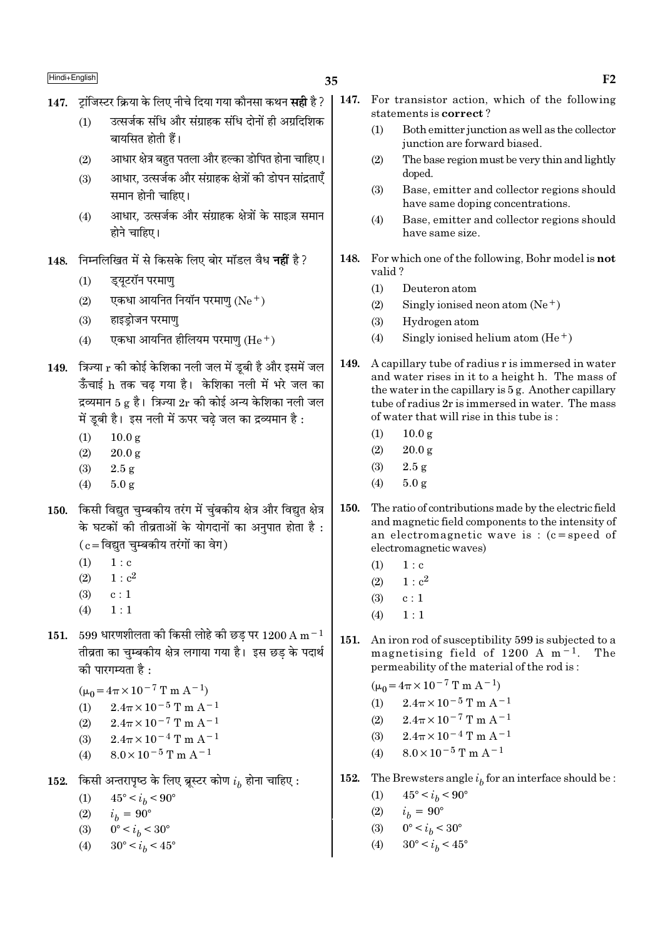- 147. टांजिस्टर क्रिया के लिए नीचे दिया गया कौनसा कथन **सही** है ?
	- उत्सर्जक संधि और संग्राहक संधि दोनों ही अग्रदिशिक  $(1)$ बायसित होती हैं।
	- आधार क्षेत्र बहुत पतला और हल्का डोपित होना चाहिए।  $(2)$
	- आधार, उत्सर्जक और संग्राहक क्षेत्रों की डोपन सांद्रताएँ  $(3)$ समान होनी चाहिए।
	- आधार, उत्सर्जक और संग्राहक क्षेत्रों के साइज़ समान  $(4)$ होने चाहिए।
- निम्नलिखित में से किसके लिए बोर मॉडल वैध **नहीं** है? 148.
	- ड्यूटरॉन परमाण्  $(1)$
	- एकधा आयनित नियाँन परमाण  $(Ne<sup>+</sup>)$  $(2)$
	- हाइडोजन परमाण  $(3)$
	- एकधा आयनित हीलियम परमाणु  $(\text{He}^+)$  $(4)$
- 149. त्रिज्या  $r$  की कोई केशिका नली जल में ड़बी है और इसमें जल ऊँचाई h तक चढ गया है। केशिका नली में भरे जल का द्रव्यमान 5 g है। त्रिज्या  $2r$  की कोई अन्य केशिका नली जल में डूबी है। इस नली में ऊपर चढे जल का द्रव्यमान है :
	- $10.0 g$  $(1)$
	- $(2)$  $20.0 g$
	- $(3)$  $2.5 g$
	- $(4)$  $5.0 g$
- 150. किसी विद्युत चुम्बकीय तरंग में चुंबकीय क्षेत्र और विद्युत क्षेत्र के घटकों की तीव्रताओं के योगदानों का अनुपात होता है:  $(c = \bar{c}$ विद्युत चुम्बकीय तरंगों का वेग)
	- $(1)$  $1 : c$
	- $1: c<sup>2</sup>$  $(2)$
	- $c:1$  $(3)$
	- $(4)$  $1:1$
- 151. 599 धारणशीलता की किसी लोहे की छड पर 1200 A m $^{-1}$ तीव्रता का चम्बकीय क्षेत्र लगाया गया है। इस छड के पदार्थ को पारगम्यता है  $\cdot$

$$
(\mu_0 = 4\pi \times 10^{-7} \text{ T m A}^{-1})
$$

- $2.4\pi \times 10^{-5}$  T m A<sup>-1</sup>  $(1)$
- $2.4\pi \times 10^{-7}$  T m A<sup>-1</sup>  $(2)$  $2.4\pi \times 10^{-4}$  T m A<sup>-1</sup>  $(3)$
- $8.0 \times 10^{-5}$  T m A<sup>-1</sup>  $(4)$
- किसी अन्तरापृष्ठ के लिए ब्रूस्टर कोण  $i_h$  होना चाहिए : 152.
	- $(1)$  $45^{\circ} < i_h < 90^{\circ}$
	- $(2)$  $i_h = 90^{\circ}$
	- $0^{\circ} < i_h < 30^{\circ}$  $(3)$
	- $(4)$  $30^{\circ} < i_h < 45^{\circ}$
- 147. For transistor action, which of the following statements is correct?
	- $(1)$ Both emitter junction as well as the collector junction are forward biased.
	- The base region must be very thin and lightly  $(2)$ doped.
	- $(3)$ Base, emitter and collector regions should have same doping concentrations.
	- $(4)$ Base, emitter and collector regions should have same size.
- 148. For which one of the following, Bohr model is not valid?
	- $(1)$ Deuteron atom
	- $(2)$ Singly ionised neon atom  $(Ne<sup>+</sup>)$
	- $(3)$ Hydrogen atom
	- Singly ionised helium atom  $(He<sup>+</sup>)$  $(4)$
- 149. A capillary tube of radius r is immersed in water and water rises in it to a height h. The mass of the water in the capillary is  $5g$ . Another capillary tube of radius 2r is immersed in water. The mass of water that will rise in this tube is:
	- $10.0 g$  $(1)$
	- $20.0 \text{ g}$  $(2)$
	- $(3)$  $2.5 g$
	- $5.0 g$  $(4)$
- 150. The ratio of contributions made by the electric field and magnetic field components to the intensity of an electromagnetic wave is:  $(c = speed of$ electromagnetic waves)
	- $1:c$  $(1)$
	- $1 : c<sup>2</sup>$  $(2)$
	- $(3)$  $c:1$
	- $1:1$  $(4)$
- 151. An iron rod of susceptibility 599 is subjected to a magnetising field of 1200 A  $m<sup>-1</sup>$ . The permeability of the material of the rod is:

 $(\mu_0 = 4\pi \times 10^{-7} \text{ T m A}^{-1})$ 

- $2.4\pi \times 10^{-5}$  T m A<sup>-1</sup>  $(1)$
- $2.4\pi \times 10^{-7}$  T m A<sup>-1</sup>  $(2)$
- $2.4\pi \times 10^{-4}$  T m A<sup>-1</sup>  $(3)$
- $8.0 \times 10^{-5}$  T m A<sup>-1</sup>  $(4)$
- 152. The Brewsters angle  $i<sub>h</sub>$  for an interface should be:
	- $45^{\circ} < i_h < 90^{\circ}$  $(1)$
	- $i_h = 90^{\circ}$  $(2)$
	- $0^{\circ} < i_h < 30^{\circ}$  $(3)$
	- $30^{\circ} < i_b < 45^{\circ}$  $(4)$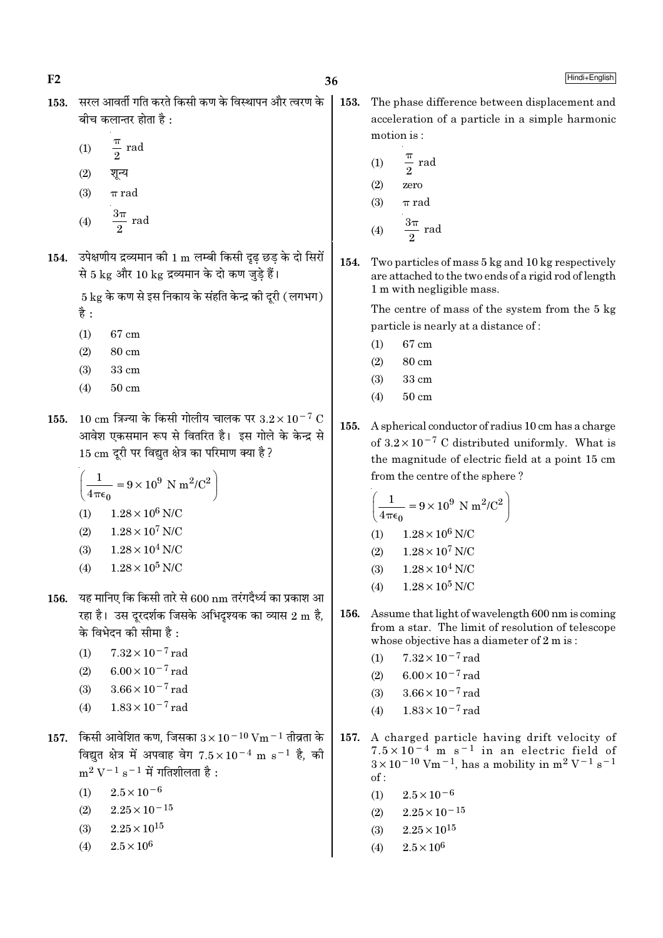$F<sub>2</sub>$ 

Hindi+English

- 153. सरल आवर्ती गति करते किसी कण के विस्थापन और त्वरण के बीच कलान्तर होता है $\cdot$ 
	- $rac{\pi}{2}$  rad  $(1)$
	- $(2)$ शून्य
	- $\pi$  rad  $(3)$
	- $rac{3\pi}{2}$  rad  $(4)$
- 154. उपेक्षणीय द्रव्यमान की 1 m लम्बी किसी दृढ़ छड़ के दो सिरों से 5 kg और 10 kg द्रव्यमान के दो कण जुड़े हैं।

 $5 \text{ kg}$  के कण से इस निकाय के संहति केन्द्र की दूरी (लगभग) है :

- $(1)$ 67 cm
- 80 cm  $(2)$
- $(3)$ 33 cm
- $(4)$  $50 \text{ cm}$
- 155. 10 cm त्रिज्या के किसी गोलीय चालक पर  $3.2 \times 10^{-7}$  C आवेश एकसमान रूप से वितरित है। इस गोले के केन्द्र से 15 cm दूरी पर विद्युत क्षेत्र का परिमाण क्या है ?

$$
\left(\frac{1}{4\pi\epsilon_0} = 9 \times 10^9 \text{ N m}^2/\text{C}^2\right)
$$
  
(1) 1.28×10<sup>6</sup> N/C  
(2) 1.28×10<sup>7</sup> N/C  
(3) 1.28×10<sup>4</sup> N/C

- $1.28 \times 10^5$  N/C  $(4)$
- 156. यह मानिए कि किसी तारे से  $600\,\mathrm{nm}$  तरंगदैर्ध्य का प्रकाश आ रहा है। उस दूरदर्शक जिसके अभिदृश्यक का व्यास 2 m है, के विभेदन की सीमा है :
	- $7.32 \times 10^{-7}$  rad  $(1)$
	- $6.00 \times 10^{-7}$  rad  $(2)$
	- $3.66 \times 10^{-7}$  rad  $(3)$
	- $1.83 \times 10^{-7}$  rad  $(4)$
- $157.$  किसी आवेशित कण, जिसका  $3 \times 10^{-10}$  Vm  $^{-1}$  तीव्रता के विद्युत क्षेत्र में अपवाह वेग  $7.5 \times 10^{-4}$  m s<sup>-1</sup> है, की  $m^2 V^{-1} s^{-1}$  में गतिशीलता है:
	- $2.5 \times 10^{-6}$  $(1)$
	- $2.25 \times 10^{-15}$  $(2)$
	- $2.25 \times 10^{15}$  $(3)$
	- $2.5\times10^6$  $(4)$

153. The phase difference between displacement and acceleration of a particle in a simple harmonic motion is:

$$
(1) \qquad \frac{\pi}{2} \text{ rad}
$$

- $(2)$ zero
- $(3)$  $\pi$  rad

$$
(4) \qquad \frac{3\pi}{2} \text{ rad}
$$

154. Two particles of mass 5 kg and 10 kg respectively are attached to the two ends of a rigid rod of length 1 m with negligible mass.

> The centre of mass of the system from the 5 kg particle is nearly at a distance of:

- 67 cm  $(1)$
- $(2)$ 80 cm
- $(3)$ 33 cm
- $50 \text{ cm}$  $(4)$
- 155. A spherical conductor of radius 10 cm has a charge of  $3.2 \times 10^{-7}$  C distributed uniformly. What is the magnitude of electric field at a point 15 cm from the centre of the sphere?

$$
\left(\frac{1}{4\pi\epsilon_0} = 9 \times 10^9 \text{ N m}^2/\text{C}^2\right)
$$
  
(1) 1.28 × 10<sup>6</sup> N/C

- $(2)$  $1.28 \times 10^7$  N/C
- $1.28 \times 10^4$  N/C  $(3)$
- $1.28 \times 10^5$  N/C  $(4)$
- 156. Assume that light of wavelength 600 nm is coming from a star. The limit of resolution of telescope whose objective has a diameter of 2 m is:
	- $7.32 \times 10^{-7}$  rad  $(1)$
	- $6.00 \times 10^{-7}$  rad  $(2)$
	- $3.66 \times 10^{-7}$  rad  $(3)$
	- $1.83 \times 10^{-7}$  rad  $(4)$
- 157. A charged particle having drift velocity of  $7.5 \times 10^{-4}$  m s<sup>-1</sup> in an electric field of  $3 \times 10^{-10}$  Vm<sup>-1</sup>, has a mobility in m<sup>2</sup> V<sup>-1</sup> s<sup>-1</sup>  $of:$ 
	- $2.5 \times 10^{-6}$  $(1)$
	- $2.25 \times 10^{-15}$  $(2)$
	- $2.25 \times 10^{15}$  $(3)$
	- $2.5 \times 10^6$  $(4)$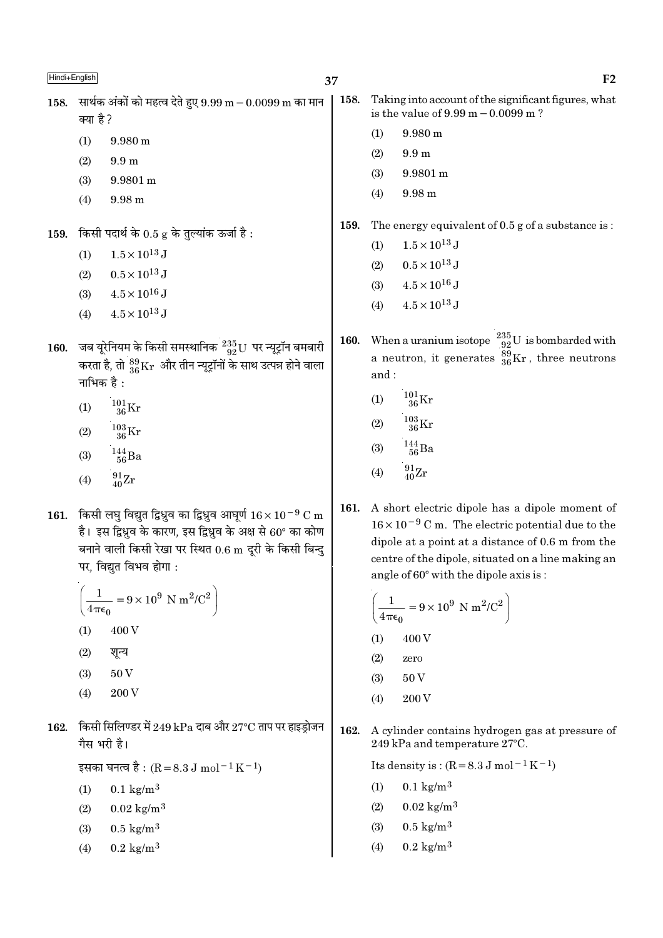158. सार्थक अंकों को महत्व देते हुए  $9.99 \text{ m} - 0.0099 \text{ m}$  का मान क्या है ?

- $(1)$  $9.980 \text{ m}$
- $(2)$  $9.9<sub>m</sub>$
- $(3)$ 9.9801 m
- $(4)$  $9.98<sub>m</sub>$

किसी पदार्थ के 0.5 g के तुल्यांक ऊर्जा है: 159.

- $1.5 \times 10^{13}$  J  $(1)$
- $0.5 \times 10^{13}$  J  $(2)$
- $4.5 \times 10^{16}$  J  $(3)$
- $4.5 \times 10^{13}$  J  $(4)$
- जब यूरेनियम के किसी समस्थानिक  $\frac{235}{92}$ U पर न्यूट्रॉन बमबारी 160. करता है, तो  $^{89}_{36}\rm{Kr}$  और तीन न्यूट्रॉनों के साथ उत्पन्न होने वाला नाभिक है :
	- $^{101}_{36}$ Kr  $(1)$
	- $\frac{103}{36}\mathrm{Kr}$  $(2)$
	- $\frac{144}{56}$ Ba  $(3)$
	- $\frac{91}{40}\text{Zr}$  $(4)$
- 161. किसी लघु विद्युत द्विध्रुव का द्विध्रुव आघूर्ण  $16 \times 10^{-9}$  C m है। इस द्विध्नव के कारण, इस द्विध्नव के अक्ष से  $60^{\circ}$  का कोण बनाने वाली किसी रेखा पर स्थित 0.6 m दूरी के किसी बिन्दु पर, विद्युत विभव होगा:

$$
\left(\frac{1}{4\pi\epsilon_0} = 9 \times 10^9 \text{ N m}^2/\text{C}^2\right)
$$
  
(1) 400 V

- 
- $(2)$ शन्य
- 50V  $(3)$
- 200 V  $(4)$
- 162. किसी सिलिण्डर में 249 kPa दाब और 27°C ताप पर हाइड़ोजन गैस भरी है।

इसका घनत्व है : (R = 8.3 J mol  $^{-1}$  K  $^{-1}$ )

- $(1)$  $0.1 \text{ kg/m}^3$
- $0.02 \text{ kg/m}^3$  $(2)$
- $0.5 \text{ kg/m}^3$  $(3)$
- $0.2 \text{ kg/m}^3$  $(4)$
- 158. Taking into account of the significant figures, what is the value of  $9.99 \text{ m} - 0.0099 \text{ m}$ ?
	- $(1)$ 9.980 m
	- $(2)$  $9.9<sub>m</sub>$
	- 9.9801 m  $(3)$
	- 9.98 m  $(4)$
- 159. The energy equivalent of 0.5 g of a substance is:
	- $1.5 \times 10^{13}$  J  $(1)$
	- $0.5 \times 10^{13}$  J  $(2)$
	- $4.5 \times 10^{16}$  J  $(3)$
	- $4.5 \times 10^{13}$  J  $(4)$
- When a uranium isotope  $\frac{235}{92}U$  is bombarded with 160. a neutron, it generates  $\frac{39}{36}$ Kr, three neutrons and:
	- $^{101}_{36}$ Kr  $(1)$
	- $^{103}_{36}$ Kr  $(2)$
	- $^{144}_{\,\,56}$ Ba  $(3)$
	- $\frac{91}{40}Zr$  $(4)$
- A short electric dipole has a dipole moment of 161.  $16 \times 10^{-9}$  C m. The electric potential due to the dipole at a point at a distance of 0.6 m from the centre of the dipole, situated on a line making an angle of 60° with the dipole axis is:

$$
\left(\frac{1}{4\pi\epsilon_0} = 9 \times 10^9 \text{ N m}^2/\text{C}^2\right)
$$
  
(1) 400 V

- $(2)$ zero
- $(3)$ 50 V
- 200 V  $(4)$
- 162. A cylinder contains hydrogen gas at pressure of 249 kPa and temperature 27°C.

Its density is:  $(R = 8.3 J \text{ mol}^{-1} \text{K}^{-1})$ 

- $0.1 \text{ kg/m}^3$  $(1)$
- $0.02 \text{ kg/m}^3$  $(2)$
- $0.5 \text{ kg/m}^3$  $(3)$
- $0.2 \text{ kg/m}^3$  $(4)$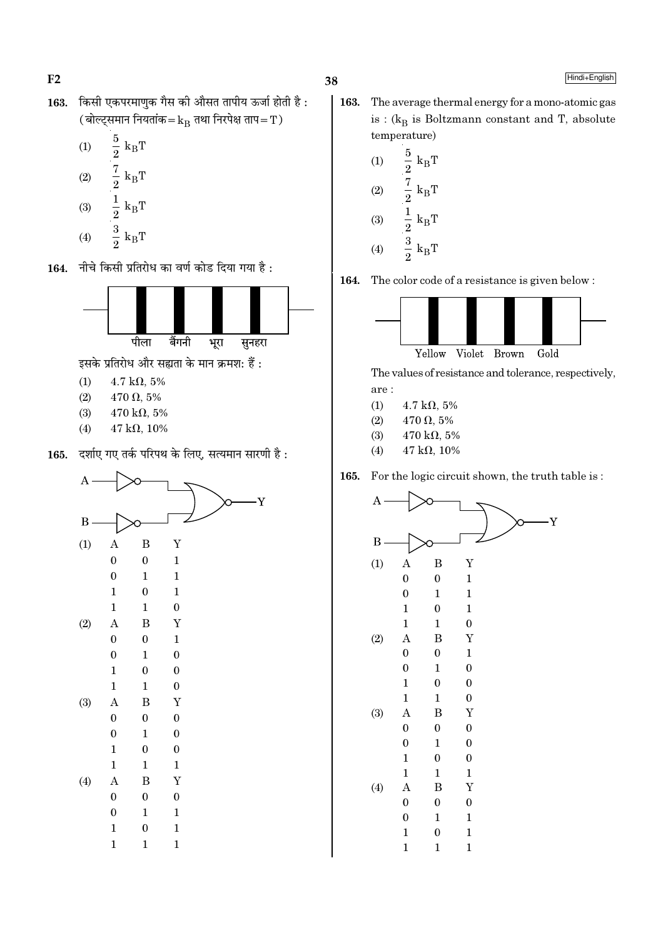$F2$ 

- किसी एकपरमाणुक गैस की औसत तापीय ऊर्जा होती है: 163. (बोल्ट्समान नियतांक $=$  $k_{\rm B}$  तथा निरपेक्ष ताप $=$   $\rm T$ )
	- $\begin{aligned} \frac{5}{2} \text{ k}_{\text{B}}\text{T} \\ \frac{7}{2} \text{ k}_{\text{B}}\text{T} \\ \frac{1}{2} \text{ k}_{\text{B}}\text{T} \\ \frac{3}{2} \text{ k}_{\text{B}}\text{T} \end{aligned}$  $(1)$  $(2)$  $(3)$
	- $(4)$
- नीचे किसी प्रतिरोध का वर्ण कोड दिया गया है : 164.



इसके प्रतिरोध और सह्यता के मान क्रमश: हैं:

- $4.7 \text{ k}\Omega$ , 5%  $(1)$
- $(2)$  $470 \Omega, 5\%$
- $(3)$  $470 \text{ k}\Omega, 5\%$
- $(4)$  $47 \text{ k}\Omega, 10\%$
- दर्शाए गए तर्क परिपथ के लिए, सत्यमान सारणी है: 165.



- 
- 163. The average thermal energy for a mono-atomic gas is :  $(k_B$  is Boltzmann constant and T, absolute temperature)
	- $\frac{5}{2}$  k<sub>B</sub><sup>r</sup><br> $\frac{7}{2}$  k<sub>B</sub>T<br> $\frac{1}{2}$  k<sub>B</sub>T<br> $\frac{3}{2}$  k<sub>B</sub>T  $(1)$  $(2)$  $(3)$  $(4)$

164. The color code of a resistance is given below:



The values of resistance and tolerance, respectively,

Y

- are:
- $(1)$  $4.7 \text{ k}\Omega, 5\%$
- $(2)$  $470 \Omega, 5\%$
- $470 \text{ k}\Omega, 5\%$  $(3)$
- $(4)$  $47 k\Omega, 10\%$



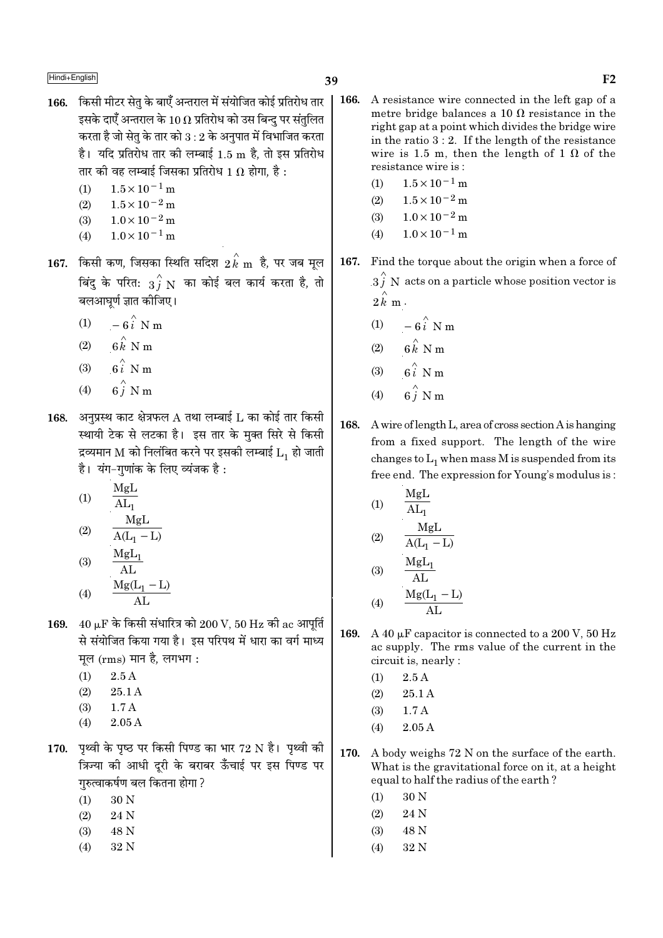- 166. किसी मीटर सेतु के बाएँ अन्तराल में संयोजित कोई प्रतिरोध तार इसके दाएँ अन्तराल के 10  $\Omega$  प्रतिरोध को उस बिन्द पर संतलित करता है जो सेतृ के तार को  $3:2$  के अनुपात में विभाजित करता है। यदि प्रतिरोध तार की लम्बाई 1.5 m है, तो इस प्रतिरोध तार की वह लम्बाई जिसका प्रतिरोध 1  $\Omega$  होगा. है :
	- $1.5 \times 10^{-1}$  m  $(1)$
	- $1.5 \times 10^{-2}$  m  $(2)$
	- $1.0 \times 10^{-2}$  m  $(3)$
	- $1.0 \times 10^{-1}$  m  $(4)$
- $167.$  किसी कण, जिसका स्थिति सदिश  $2\,{\rm \vec{k}}$  m है, पर जब मूल बिंदु के परित:  $3\hat{j}$   ${\rm N}$  का कोई बल कार्य करता है, तो बलआघूर्ण ज्ञात कीजिए।
	- (1)  $-6i$  N m
	- $6\overset{\wedge}{k}$  N m  $(2)$
	- $6i$  N m  $(3)$
	- $6\stackrel{\wedge}{i}$  N m  $(4)$
- 168. अनुप्रस्थ काट क्षेत्रफल  $A$  तथा लम्बाई  $L$  का कोई तार किसी स्थायी टेक से लटका है। इस तार के मुक्त सिरे से किसी द्रव्यमान M को निलंबित करने पर इसकी लम्बाई  $\mathrm{L_{1}}$  हो जाती है। यंग-गणांक के लिए व्यंजक है:
	- MgL  $(1)$  $AL_1$
	- $\frac{MgL}{A(L_1 L)}$  $(2)$  $M_{\alpha}I$

(3) 
$$
\frac{M g L_1}{AL}
$$
  
(4)  $M g (L_1 - L_1)$ 

- 169.  $40 \mu$ F के किसी संधारित्र को 200 V, 50 Hz की ac आपूर्ति से संयोजित किया गया है। इस परिपथ में धारा का वर्ग माध्य मूल (rms) मान है, लगभग:
	- $2.5A$  $(1)$
	- $(2)$  $25.1A$
	- $(3)$  $1.7A$
	- $2.05A$  $(4)$
- 170. पृथ्वी के पृष्ठ पर किसी पिण्ड का भार 72 N है। पृथ्वी की त्रिज्या की आधी दुरी के बराबर ऊँचाई पर इस पिण्ड पर गरुत्वाकर्षण बल कितना होगा ?
	- $(1)$ 30 N
	- 24 N  $(2)$
	- $(3)$ 48 N
	- $(4)$ 32 N
- 166. A resistance wire connected in the left gap of a metre bridge balances a 10  $\Omega$  resistance in the right gap at a point which divides the bridge wire in the ratio  $3:2$ . If the length of the resistance wire is 1.5 m, then the length of 1  $\Omega$  of the resistance wire is:
	- $1.5 \times 10^{-1}$  m  $(1)$
	- $1.5 \times 10^{-2}$  m  $(2)$
	- $1.0 \times 10^{-2}$  m  $(3)$
	- $(4)$  $1.0 \times 10^{-1}$  m
- 167. Find the torque about the origin when a force of  $3\hat{i}$  N acts on a particle whose position vector is  $2 \hat{k}$  m.
	- (1)  $-6\hat{i}$  N m
	- $6 \hat{k}$  N m  $(2)$
	- $6i$  N m  $(3)$
	- $(4)$
- 168. A wire of length L, area of cross section A is hanging from a fixed support. The length of the wire changes to  $L_1$  when mass M is suspended from its free end. The expression for Young's modulus is:
	- MgL  $(1)$  $\overline{\mathrm{AL}}_1$ MgL  $(2)$  $\overline{A(L_1-L)}$  $MgL_1$
	- $(3)$  $AL$  $Mg(L_1 - L)$  $(4)$
- 169. A 40 µF capacitor is connected to a 200 V, 50 Hz ac supply. The rms value of the current in the circuit is, nearly :
	- $2.5A$  $(1)$
	- $25.1A$  $(2)$
	- $(3)$  $1.7A$
	- $2.05A$  $(4)$
- 170. A body weighs 72 N on the surface of the earth. What is the gravitational force on it, at a height equal to half the radius of the earth?
	- $(1)$ 30 N
	- $(2)$ 24 N
	- $(3)$ 48 N
	- $(4)$ 32 N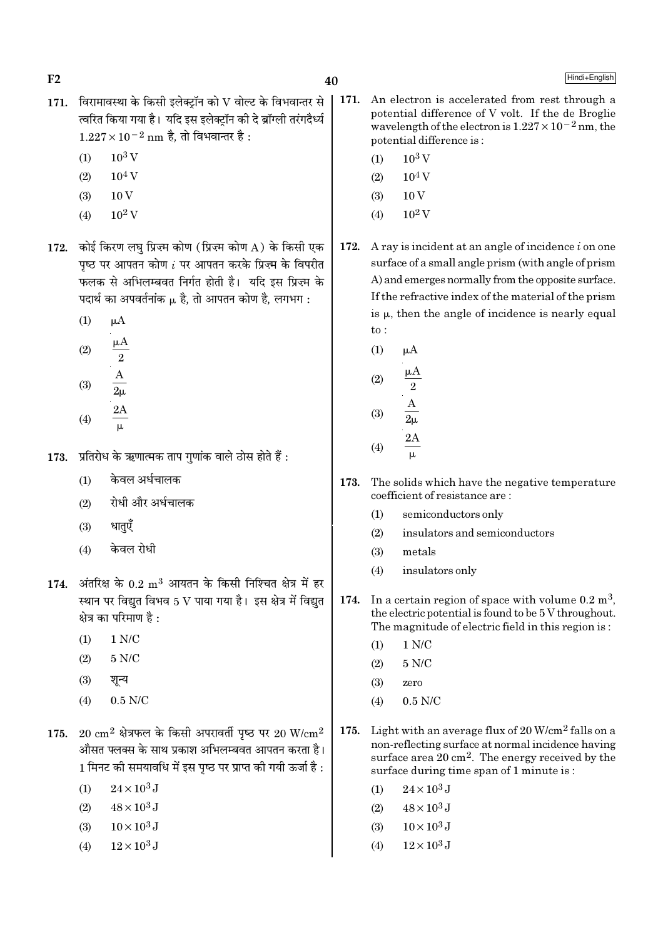$F<sub>2</sub>$ 

- 171. विरामावस्था के किसी इलेक्टॉन को  $V$  वोल्ट के विभवान्तर से त्वरित किया गया है। यदि इस इलेक्टॉन की दे ब्रॉग्ली तरंगदैर्ध्य  $1.227 \times 10^{-2}$  nm है, तो विभवान्तर है:
	- $10^3$  V  $(1)$
	- $(2)$  $10<sup>4</sup>$  V
	- $10V$  $(3)$
	- $10^2$  V  $(4)$
- 172. कोई किरण लघ प्रिज़्म कोण (प्रिज़्म कोण A) के किसी एक पष्ठ पर आपतन कोण  $i$  पर आपतन करके प्रिज़्म के विपरीत फलक से अभिलम्बवत निर्गत होती है। यदि इस प्रिज्म के पदार्थ का अपवर्तनांक µ है. तो आपतन कोण है. लगभग:
	- $(1)$  $\mu A$
	- $(2)$  $(9)$

$$
\begin{array}{cc}\n\text{(0)} & 2\mu \\
\text{(4)} & \frac{2\text{A}}{\mu}\n\end{array}
$$

- प्रतिरोध के ऋणात्मक ताप गुणांक वाले ठोस होते हैं : 173.
	- केवल अर्धचालक  $(1)$
	- रोधी और अर्धचालक  $(2)$
	- धातएँ  $(3)$
	- केवल रोधी  $(4)$
- $174.$  अंतरिक्ष के  $0.2 \text{ m}^3$  आयतन के किसी निश्चित क्षेत्र में हर स्थान पर विद्युत विभव 5 V पाया गया है। इस क्षेत्र में विद्युत क्षेत्र का परिमाण है :
	- $(1)$  $1 N/C$
	- $5 N/C$  $(2)$
	- $(3)$ शन्य
	- $0.5$  N/C  $(4)$
- $175.$  20  $\rm cm^2$  क्षेत्रफल के किसी अपरावर्ती पृष्ठ पर 20 W/ $\rm cm^2$ औसत फ्लक्स के साथ प्रकाश अभिलम्बवत आपतन करता है। 1 मिनट की समयावधि में इस पष्ठ पर प्राप्त की गयी ऊर्जा है :
	- $24 \times 10^3$  J  $(1)$
	- $48 \times 10^3$  J  $(2)$
	- $10 \times 10^3$  J  $(3)$
	- $12 \times 10^3$  J  $(4)$
- 171. An electron is accelerated from rest through a potential difference of V volt. If the de Broglie wavelength of the electron is  $1.227 \times 10^{-2}$  nm, the potential difference is:
	- $10^3$  V  $(1)$

40

- $10^4$  V  $(2)$
- $10V$  $(3)$
- $10^2$  V  $(4)$
- 172. A ray is incident at an angle of incidence  $i$  on one surface of a small angle prism (with angle of prism) A) and emerges normally from the opposite surface. If the refractive index of the material of the prism is  $\mu$ , then the angle of incidence is nearly equal  $to$ :
	- $(1)$  $\mu A$  $(2)$  $(3)$  $2A$  $(4)$  $\mu$
- The solids which have the negative temperature 173. coefficient of resistance are:
	- semiconductors only  $(1)$
	- $(2)$ insulators and semiconductors
	- metals  $(3)$
	- $(4)$ insulators only
- In a certain region of space with volume  $0.2 \text{ m}^3$ , 174. the electric potential is found to be 5 V throughout. The magnitude of electric field in this region is:
	- $1 N/C$  $(1)$
	- $5 N/C$  $(2)$
	- $(3)$ zero
	- $0.5$  N/C  $(4)$
- Light with an average flux of  $20 \text{ W/cm}^2$  falls on a 175. non-reflecting surface at normal incidence having surface area  $20 \text{ cm}^2$ . The energy received by the surface during time span of 1 minute is:
	- $24 \times 10^3$  J  $(1)$
	- $48 \times 10^3$  J  $(2)$
	- $(3)$  $10 \times 10^3$  J
	- $12 \times 10^3$  J  $(4)$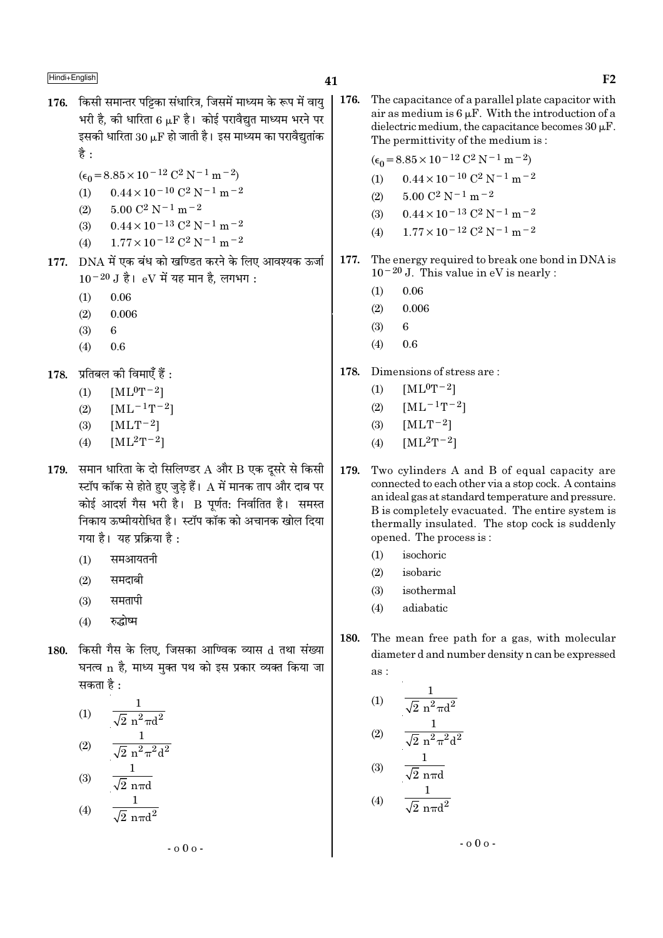- 176. किसी समान्तर पट्टिका संधारित्र, जिसमें माध्यम के रूप में वाय भरी है. की धारिता 6 u.F है। कोई परावैद्यत माध्यम भरने पर इसकी धारिता  $30 \mu$ F हो जाती है। इस माध्यम का परावैद्युतांक है $\cdot$ 
	- $(\epsilon_0 = 8.85 \times 10^{-12} \text{ C}^2 \text{ N}^{-1} \text{ m}^{-2})$
	- $0.44 \times 10^{-10}$  C<sup>2</sup> N<sup>-1</sup> m<sup>-2</sup>  $(1)$
	- $(2)$  $5.00 \text{ C}^2 \text{ N}^{-1} \text{ m}^{-2}$
	- $0.44 \times 10^{-13}$  C<sup>2</sup> N<sup>-1</sup> m<sup>-2</sup>  $(3)$
	- $1.77 \times 10^{-12}$  C<sup>2</sup> N<sup>-1</sup> m<sup>-2</sup>  $(4)$
- 177. DNA में एक बंध को खण्डित करने के लिए आवश्यक ऊर्जा  $10^{-20}$  J है। eV में यह मान है. लगभग:
	- $0.06$  $(1)$
	- $(2)$  $0.006$
	- $(3)$ 6
	- $(4)$ 0.6
- $178.$  प्रतिबल की विमाएँ हैं :
	- $[ML^0T^{-2}]$  $(1)$
	- $[ML^{-1}T^{-2}]$  $(2)$
	- $[MLT^{-2}]$  $(3)$
	- $[ML^2T^{-2}]$  $(4)$
- 179. समान धारिता के दो सिलिण्डर  $A$  और  $B$  एक दूसरे से किसी स्टॉप कॉक से होते हुए जुडे हैं।  $\,\mathrm{A}$  में मानक ताप और दाब पर कोई आदर्श गैस भरी है। B पूर्णत: निर्वातित है। समस्त निकाय ऊष्मीयरोधित है। स्टॉप कॉक को अचानक खोल दिया गया है। यह प्रक्रिया है:
	- समआयतनी  $(1)$
	- समदाबी  $(2)$
	- समतापी  $(3)$
	- रुद्धोष्म  $(4)$
- 180. किसी गैस के लिए, जिसका आण्विक व्यास d तथा संख्या घनत्व n है, माध्य मुक्त पथ को इस प्रकार व्यक्त किया जा सकता है :

(1) 
$$
\frac{1}{\sqrt{2} n^{2} \pi d^{2}}
$$
  
\n(2) 
$$
\frac{1}{\sqrt{2} n^{2} \pi^{2} d^{2}}
$$
  
\n(3) 
$$
\frac{1}{\sqrt{2} n \pi d}
$$
  
\n(4) 
$$
\frac{1}{\sqrt{2} n \pi d^{2}}
$$

176. The capacitance of a parallel plate capacitor with air as medium is  $6 \mu$ F. With the introduction of a dielectric medium, the capacitance becomes  $30 \mu$ F. The permittivity of the medium is:

 $(\epsilon_0 = 8.85 \times 10^{-12} \text{ C}^2 \text{ N}^{-1} \text{ m}^{-2})$ 

- $0.44 \times 10^{-10}$  C<sup>2</sup> N<sup>-1</sup> m<sup>-2</sup>  $(1)$
- $5.00 \text{ C}^2 \text{ N}^{-1} \text{ m}^{-2}$  $(2)$
- $0.44 \times 10^{-13}$  C<sup>2</sup> N<sup>-1</sup> m<sup>-2</sup>  $(3)$
- $1.77 \times 10^{-12}$  C<sup>2</sup> N<sup>-1</sup> m<sup>-2</sup>  $(4)$
- The energy required to break one bond in DNA is 177.  $10^{-20}$  J. This value in eV is nearly :
	- $0.06$  $(1)$
	- $(2)$ 0.006
	- $(3)$  $\mathbf{6}$
	- $(4)$ 0.6
- 178. Dimensions of stress are:
	- $[ML^0T^{-2}]$  $(1)$
	- $[ML^{-1}T^{-2}]$  $(2)$
	- $[MLT-2]$  $(3)$
	- $[ML^2T^{-2}]$  $(4)$
- 179. Two cylinders A and B of equal capacity are connected to each other via a stop cock. A contains an ideal gas at standard temperature and pressure. B is completely evacuated. The entire system is thermally insulated. The stop cock is suddenly opened. The process is:
	- isochoric  $(1)$
	- $(2)$ isobaric
	- isothermal  $(3)$
	- adiabatic  $(4)$
- 180. The mean free path for a gas, with molecular diameter d and number density n can be expressed as :

(1) 
$$
\frac{1}{\sqrt{2} n^2 \pi d^2}
$$
  
\n(2) 
$$
\frac{1}{\sqrt{2} n^2 \pi^2 d^2}
$$
  
\n(3) 
$$
\frac{1}{\sqrt{2} n \pi d}
$$
  
\n(4) 
$$
\frac{1}{\sqrt{2} n \pi d^2}
$$

 $-000 -$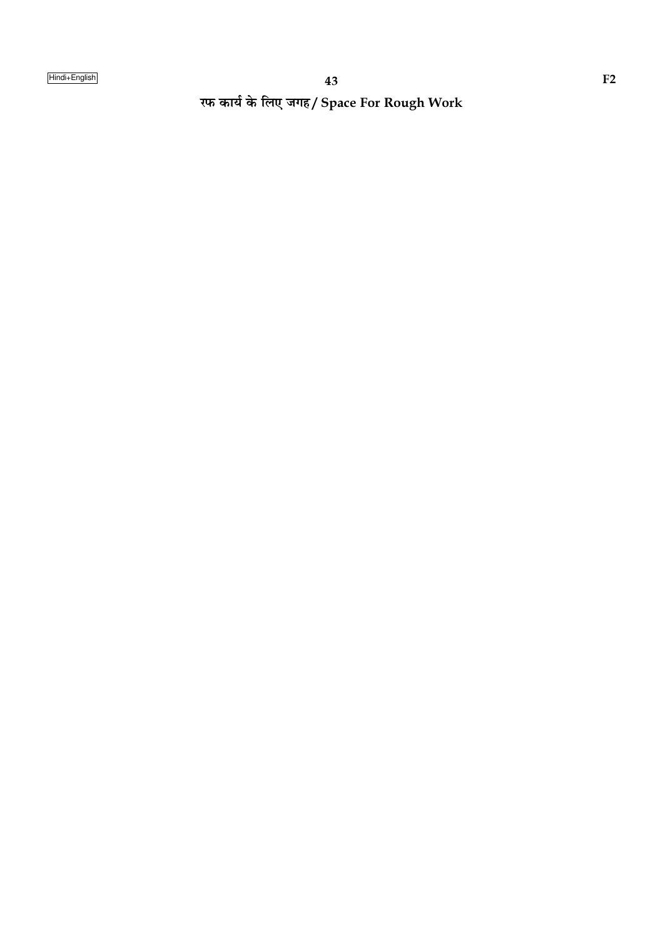रफ कार्य के लिए जगह/ Space For Rough Work